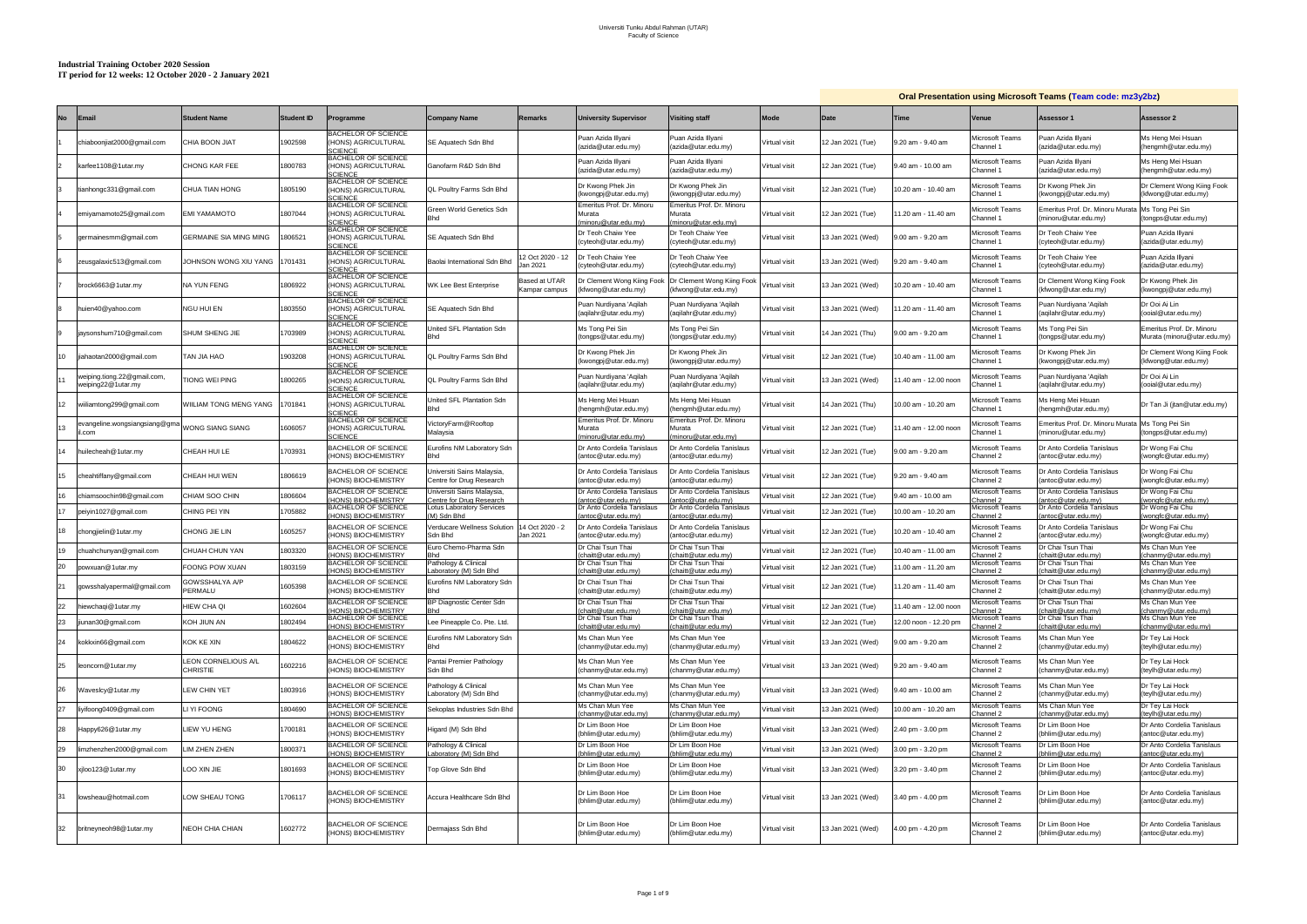### **Industrial Training October 2020 Session IT period for 12 weeks: 12 October 2020 - 2 January 2021**

|           |                                                  |                                        |            |                                                                           |                                                        |                                |                                                                                                                                                                                                                                                                                                                                                                             |                                                             |               |                   | <b>Oral Presentation using Microsoft Teams (Team code: mz3y2bz)</b> |                                        |                                                         |                                                          |
|-----------|--------------------------------------------------|----------------------------------------|------------|---------------------------------------------------------------------------|--------------------------------------------------------|--------------------------------|-----------------------------------------------------------------------------------------------------------------------------------------------------------------------------------------------------------------------------------------------------------------------------------------------------------------------------------------------------------------------------|-------------------------------------------------------------|---------------|-------------------|---------------------------------------------------------------------|----------------------------------------|---------------------------------------------------------|----------------------------------------------------------|
| <b>No</b> | <b>Email</b>                                     | <b>Student Name</b>                    | Student ID | Programme                                                                 | <b>Company Name</b>                                    | Remarks                        | <b>University Supervisor</b>                                                                                                                                                                                                                                                                                                                                                | <b>Visiting staff</b>                                       | <b>Mode</b>   | Date              | Time                                                                | <b>Venue</b>                           | Assessor 1                                              | Assessor 2                                               |
|           | chiaboonjiat2000@gmail.com                       | CHIA BOON JIAT                         | 902598     | <b>BACHELOR OF SCIENCE</b><br>HONS) AGRICULTURAL<br><b>CIENCE</b>         | SE Aquatech Sdn Bhd                                    |                                | Puan Azida Illyani<br>(azida@utar.edu.my)                                                                                                                                                                                                                                                                                                                                   | Puan Azida Illyani<br>(azida@utar.edu.my)                   | Virtual visit | 12 Jan 2021 (Tue) | 3.20 am - 9.40 am                                                   | Aicrosoft Teams<br>Channel 1           | Puan Azida Illyani<br>(azida@utar.edu.my)               | Ms Heng Mei Hsuan<br>(hengmh@utar.edu.my)                |
|           | karfee1108@1utar.my                              | <b>CHONG KAR FEE</b>                   | 800783     | <b>BACHELOR OF SCIENCE</b><br>HONS) AGRICULTURAL<br>CIENCE                | Ganofarm R&D Sdn Bhd                                   |                                | Puan Azida Illyani<br>(azida@utar.edu.my)                                                                                                                                                                                                                                                                                                                                   | Puan Azida Illyani<br>(azida@utar.edu.my)                   | Virtual visit | 12 Jan 2021 (Tue) | 3.40 am - 10.00 am                                                  | <b>Aicrosoft Teams</b><br>Channel 1    | Puan Azida Illyani<br>azida@utar.edu.my)                | Ms Heng Mei Hsuan<br>(hengmh@utar.edu.my)                |
|           | tianhongc331@gmail.com                           | CHUA TIAN HONG                         | 1805190    | <b>BACHELOR OF SCIENCE</b><br>HONS) AGRICULTURAL<br><b>SCIENCE</b>        | <b>QL Poultry Farms Sdn Bhd</b>                        |                                | Dr Kwong Phek Jin<br>(kwongpj@utar.edu.my)                                                                                                                                                                                                                                                                                                                                  | Dr Kwong Phek Jin<br>(kwongpj@utar.edu.my)                  | Virtual visit | 12 Jan 2021 (Tue) | 10.20 am - 10.40 am                                                 | <i>l</i> icrosoft Teams<br>hannel 1:   | Dr Kwong Phek Jin<br>kwongpj@utar.edu.my)               | Dr Clement Wong Kiing Fook<br>(kfwong@utar.edu.my)       |
|           | emiyamamoto25@gmail.com                          | OTOMAMA IME                            | 807044     | <b>BACHELOR OF SCIENCE</b><br><b>HONS) AGRICULTURAL</b><br>CIENCE         | Green World Genetics Sdn<br>Bhd                        |                                | Emeritus Prof. Dr. Minoru<br>Murata<br>ninoru@utar.edu.mv)                                                                                                                                                                                                                                                                                                                  | Emeritus Prof. Dr. Minoru<br>Murata<br>(minoru@utar.edu.mv) | Virtual visit | 12 Jan 2021 (Tue) | 1.20 am - 11.40 am                                                  | Aicrosoft Teams<br>Channel 1           | Emeritus Prof. Dr. Minoru Murata<br>minoru@utar.edu.my) | Ms Tong Pei Sin<br>(tongps@utar.edu.my)                  |
|           | germainesmm@gmail.com                            | GERMAINE SIA MING MING                 | 806521     | <b>BACHELOR OF SCIENCE</b><br><b>HONS) AGRICULTURAL</b><br><b>SCIENCE</b> | SE Aquatech Sdn Bhd                                    |                                | Dr Teoh Chaiw Yee<br>(cyteoh@utar.edu.my)                                                                                                                                                                                                                                                                                                                                   | Dr Teoh Chaiw Yee<br>(cyteoh@utar.edu.my)                   | Virtual visit | 13 Jan 2021 (Wed) | 3.00 am - 9.20 am                                                   | Aicrosoft Teams<br>Channel 1           | Dr Teoh Chaiw Yee<br>cyteoh@utar.edu.my)                | Puan Azida Illyani<br>(azida@utar.edu.my)                |
|           | zeusgalaxic513@gmail.com                         | JOHNSON WONG XIU YANG                  | 1701431    | <b>BACHELOR OF SCIENCE</b><br>HONS) AGRICULTURAL<br>CIENCE                | Baolai International Sdn Bhd                           | 2 Oct 2020 - 12<br>an 2021     | Dr Teoh Chaiw Yee<br>cyteoh@utar.edu.my)                                                                                                                                                                                                                                                                                                                                    | Dr Teoh Chaiw Yee<br>(cyteoh@utar.edu.my)                   | Virtual visit | 13 Jan 2021 (Wed) | 9.20 am - 9.40 am                                                   | Aicrosoft Teams<br>Channel 1           | Dr Teoh Chaiw Yee<br>cyteoh@utar.edu.my)                | Puan Azida Illyani<br>(azida@utar.edu.my)                |
|           | brock6663@1utar.my                               | <b>NA YUN FENG</b>                     | 806922     | <b>BACHELOR OF SCIENCE</b><br>HONS) AGRICULTURAL<br>CIENCE                | <b>WK Lee Best Enterprise</b>                          | Based at UTAR<br>Kampar campus | Ir Clement Wong Kiing Fook<br><fwong@utar.edu.my)< td=""><td>Dr Clement Wong Kiing Fook<br/>(kfwong@utar.edu.my)</td><td>Virtual visit</td><td>13 Jan 2021 (Wed)</td><td>0.20 am - 10.40 am</td><td>Aicrosoft Teams<br/>Channel 1</td><td>Dr Clement Wong Kiing Fook<br/>kfwong@utar.edu.my)</td><td>Dr Kwong Phek Jin<br/>(kwongpj@utar.edu.my)</td></fwong@utar.edu.my)<> | Dr Clement Wong Kiing Fook<br>(kfwong@utar.edu.my)          | Virtual visit | 13 Jan 2021 (Wed) | 0.20 am - 10.40 am                                                  | Aicrosoft Teams<br>Channel 1           | Dr Clement Wong Kiing Fook<br>kfwong@utar.edu.my)       | Dr Kwong Phek Jin<br>(kwongpj@utar.edu.my)               |
|           | huien40@yahoo.com                                | NGU HUI EN                             | 803550     | BACHELOR OF SCIENCE<br>HONS) AGRICULTURAL<br><b>SCIENCE</b>               | SE Aquatech Sdn Bhd                                    |                                | Puan Nurdiyana 'Agilah<br>(aqilahr@utar.edu.my)                                                                                                                                                                                                                                                                                                                             | Puan Nurdiyana 'Agilah<br>(aqilahr@utar.edu.my)             | Virtual visit | 13 Jan 2021 (Wed) | 1.20 am - 11.40 am                                                  | licrosoft Teams<br>Channel 1           | Puan Nurdiyana 'Aqilah<br>aqilahr@utar.edu.my)          | Dr Ooi Ai Lin<br>(ooial@utar.edu.my)                     |
|           | jaysonshum710@gmail.com                          | SHUM SHENG JIE                         | 703989     | <b>BACHELOR OF SCIENCE</b><br>HONS) AGRICULTURAL<br><b>SCIENCE</b>        | <b>Jnited SFL Plantation Sdn</b><br><b>Bhd</b>         |                                | Ms Tong Pei Sin<br>(tongps@utar.edu.my)                                                                                                                                                                                                                                                                                                                                     | Ms Tong Pei Sin<br>(tongps@utar.edu.my)                     | Virtual visit | 4 Jan 2021 (Thu)  | 0.00 am - 9.20 am                                                   | Microsoft Teams<br>Channel 1           | Ms Tong Pei Sin<br>tongps@utar.edu.my)                  | Emeritus Prof. Dr. Minoru<br>Murata (minoru@utar.edu.my) |
| 10        | iahaotan2000@gmail.com                           | OAH AIL <i>A</i> NT                    | 903208     | <b>BACHELOR OF SCIENCE</b><br>HONS) AGRICULTURAL<br><b>SCIENCE</b>        | QL Poultry Farms Sdn Bhd                               |                                | Dr Kwong Phek Jin<br>(kwongpj@utar.edu.my)                                                                                                                                                                                                                                                                                                                                  | Dr Kwong Phek Jin<br>(kwongpj@utar.edu.my)                  | Virtual visit | 12 Jan 2021 (Tue) | 0.40 am - 11.00 am                                                  | Aicrosoft Teams<br>Channel 1           | Dr Kwong Phek Jin<br>kwongpj@utar.edu.my)               | Dr Clement Wong Kiing Fook<br>(kfwong@utar.edu.my)       |
|           | veiping.tiong.22@gmail.com<br>weiping22@1utar.my | <b>TIONG WEI PING</b>                  | 1800265    | <b>BACHELOR OF SCIENCE</b><br><b>HONS) AGRICULTURAL</b><br>CIENCE         | QL Poultry Farms Sdn Bhd                               |                                | Puan Nurdiyana 'Aqilah<br>(aqilahr@utar.edu.my)                                                                                                                                                                                                                                                                                                                             | Puan Nurdiyana 'Aqilah<br>(aqilahr@utar.edu.my)             | Virtual visit | 13 Jan 2021 (Wed) | 1.40 am - 12.00 noon                                                | licrosoft Teams<br>hannel 1:           | Puan Nurdiyana 'Aqilah<br>(aqilahr@utar.edu.my)         | Dr Ooi Ai Lin<br>(ooial@utar.edu.my)                     |
| 12        | wiiliamtong299@gmail.com                         | WIILIAM TONG MENG YANG                 | 1701841    | BACHELOR OF SCIENCE<br>HONS) AGRICULTURAL<br><b>SCIENCE</b>               | Jnited SFL Plantation Sdn<br><b>Bhd</b>                |                                | Ms Heng Mei Hsuan<br>(hengmh@utar.edu.my)                                                                                                                                                                                                                                                                                                                                   | Ms Heng Mei Hsuan<br>(hengmh@utar.edu.my)                   | Virtual visit | 14 Jan 2021 (Thu) | 0.00 am - 10.20 am                                                  | Aicrosoft Teams<br>Channel 1           | Vis Heng Mei Hsuan<br>hengmh@utar.edu.my)               | Dr Tan Ji (jtan@utar.edu.my)                             |
| 13        | vangeline.wongsiangsiang@gma<br>il.com           | WONG SIANG SIANG                       | 606057     | <b>BACHELOR OF SCIENCE</b><br>HONS) AGRICULTURAL<br><b>SCIENCE</b>        | /ictoryFarm@Rooftop<br>Malaysia                        |                                | Emeritus Prof. Dr. Minoru<br>Murata<br>minoru@utar.edu.my)                                                                                                                                                                                                                                                                                                                  | Emeritus Prof. Dr. Minoru<br>Murata<br>(minoru@utar.edu.my) | Virtual visit | 12 Jan 2021 (Tue) | 1.40 am - 12.00 noon                                                | licrosoft Teams<br>hannel 1:           | Emeritus Prof. Dr. Minoru Murata<br>minoru@utar.edu.my) | Ms Tong Pei Sin<br>(tongps@utar.edu.my)                  |
| 14        | huilecheah@1utar.my                              | CHEAH HUI LE                           | 1703931    | BACHELOR OF SCIENCE<br>HONS) BIOCHEMISTRY                                 | Eurofins NM Laboratory Sdn<br><b>Bhd</b>               |                                | Dr Anto Cordelia Tanislaus<br>(antoc@utar.edu.my)                                                                                                                                                                                                                                                                                                                           | Dr Anto Cordelia Tanislaus<br>(antoc@utar.edu.my)           | Virtual visit | 12 Jan 2021 (Tue) | 9.00 am - 9.20 am                                                   | Aicrosoft Teams<br>Channel 2           | Dr Anto Cordelia Tanislaus<br>antoc@utar.edu.my)        | Dr Wong Fai Chu<br>(wongfc@utar.edu.my)                  |
| 15        | cheahtiffany@gmail.com                           | CHEAH HUI WEN                          | 806619     | <b>BACHELOR OF SCIENCE</b><br>HONS) BIOCHEMISTRY                          | Universiti Sains Malaysia,<br>Centre for Drug Research |                                | Dr Anto Cordelia Tanislaus<br>(antoc@utar.edu.my)                                                                                                                                                                                                                                                                                                                           | Dr Anto Cordelia Tanislaus<br>(antoc@utar.edu.my)           | Virtual visit | 12 Jan 2021 (Tue) | 3.20 am - 9.40 am                                                   | Microsoft Teams<br>Channel 2           | Dr Anto Cordelia Tanislaus<br>antoc@utar.edu.my)        | Dr Wong Fai Chu<br>(wongfc@utar.edu.my)                  |
| 16        | chiamsoochin98@gmail.com                         | CHIAM SOO CHIN                         | 806604     | <b>BACHELOR OF SCIENCE</b><br>HONS) BIOCHEMISTRY                          | Universiti Sains Malaysia,<br>Centre for Drug Research |                                | Dr Anto Cordelia Tanislaus<br>antoc@utar.edu.my)                                                                                                                                                                                                                                                                                                                            | Dr Anto Cordelia Tanislaus<br>antoc@utar.edu.my)            | Virtual visit | 2 Jan 2021 (Tue)  | 3.40 am - 10.00 am                                                  | Aicrosoft Teams<br>hannel 2            | Dr Anto Cordelia Tanislaus<br>antoc@utar.edu.my)        | Dr Wong Fai Chu<br>(wongfc@utar.edu.my)                  |
| 17        | peiyin1027@gmail.com                             | CHING PEI YIN                          | 1705882    | <b>BACHELOR OF SCIENCE</b><br><b>HONS) BIOCHEMISTRY</b>                   | Lotus Laboratory Services<br>(M) Sdn Bhd               |                                | Dr Anto Cordelia Tanislaus<br>antoc@utar.edu.my)                                                                                                                                                                                                                                                                                                                            | Dr Anto Cordelia Tanislaus<br>(antoc@utar.edu.mv)           | Virtual visit | 12 Jan 2021 (Tue) | 10.00 am - 10.20 am                                                 | Microsoft Teams<br>hannel 2            | Dr Anto Cordelia Tanislaus<br>antoc@utar.edu.mv)        | Dr Wong Fai Chu<br>(wongfc@utar.edu.my)                  |
| 18        | hongjielin@1utar.my                              | CHONG JIE LIN                          | 605257     | BACHELOR OF SCIENCE<br>HONS) BIOCHEMISTRY                                 | /erducare Wellness Solution<br>Sdn Bhd                 | 4 Oct 2020 - 2<br>Jan 2021     | 0r Anto Cordelia Tanislaus<br>(antoc@utar.edu.my)                                                                                                                                                                                                                                                                                                                           | Dr Anto Cordelia Tanislaus<br>(antoc@utar.edu.my)           | Virtual visit | 12 Jan 2021 (Tue) | 0.20 am - 10.40 am                                                  | <i>l</i> licrosoft Teams<br>Channel 2  | Dr Anto Cordelia Tanislaus<br>(antoc@utar.edu.my)       | Dr Wong Fai Chu<br>(wongfc@utar.edu.my)                  |
| 19        | :huahchunyan@gmail.com                           | CHUAH CHUN YAN                         | 803320     | <b>BACHELOR OF SCIENCE</b><br>HONS) BIOCHEMISTRY                          | Euro Chemo-Pharma Sdn                                  |                                | Dr Chai Tsun Thai<br>chaitt@utar.edu.my)                                                                                                                                                                                                                                                                                                                                    | Dr Chai Tsun Thai<br>(chaitt@utar.edu.my)                   | Virtual visit | 12 Jan 2021 (Tue) | 10.40 am - 11.00 am                                                 | <i>l</i> licrosoft Teams<br>hannel 2   | Dr Chai Tsun Thai<br>chaitt@utar.edu.my)                | Ms Chan Mun Yee<br>(chanmy@utar.edu.my)                  |
| 20        | powxuan@1utar.my                                 | OONG POW XUAN                          | 803159     | <b>BACHELOR OF SCIENCE</b><br>HONS) BIOCHEMISTRY                          | Pathology & Clinical<br>aboratory (M) Sdn Bhd          |                                | Dr Chai Tsun Thai<br>(chaitt@utar.edu.my)                                                                                                                                                                                                                                                                                                                                   | Dr Chai Tsun Thai<br>(chaitt@utar.edu.mv)                   | Virtual visit | 2 Jan 2021 (Tue)  | 1.00 am - 11.20 am                                                  | <b>Aicrosoft Teams</b><br>hannel 2:    | Or Chai Tsun Thai<br>chaitt@utar.edu.my)                | Ms Chan Mun Yee<br>(chanmy@utar.edu.my)                  |
|           | gowsshalyapermal@gmail.com                       | GOWSSHALYA A/P<br>PERMALU              | 1605398    | <b>BACHELOR OF SCIENCE</b><br>(HONS) BIOCHEMISTRY                         | Eurofins NM Laboratory Sdn<br><b>Bhd</b>               |                                | Dr Chai Tsun Thai<br>(chaitt@utar.edu.my)                                                                                                                                                                                                                                                                                                                                   | Dr Chai Tsun Thai<br>(chaitt@utar.edu.my)                   | Virtual visit | 12 Jan 2021 (Tue) | 11.20 am - 11.40 am                                                 | Microsoft Teams<br>Channel 2           | Dr Chai Tsun Thai<br>(chaitt@utar.edu.my)               | Ms Chan Mun Yee<br>(chanmy@utar.edu.my)                  |
| 22        | hiewchaqi@1utar.my                               | HIEW CHA QI                            | 602604     | <b>BACHELOR OF SCIENCE</b><br>(HONS) BIOCHEMISTRY                         | BP Diagnostic Center Sdn                               |                                | Dr Chai Tsun Thai<br>(chaitt@utar.edu.my)                                                                                                                                                                                                                                                                                                                                   | Dr Chai Tsun Thai<br>(chaitt@utar.edu.my)                   | Virtual visit | 12 Jan 2021 (Tue) | 1.40 am - 12.00 noon                                                | <b>Aicrosoft Teams</b><br>hannel 2     | Dr Chai Tsun Thai<br>chaitt@utar.edu.my)                | Ms Chan Mun Yee<br>(chanmy@utar.edu.my)                  |
| 23        | jiunan30@gmail.com                               | KOH JIUN AN                            | 802494     | <b>BACHELOR OF SCIENCE</b><br>HONS) BIOCHEMISTRY                          | Lee Pineapple Co. Pte. Ltd.                            |                                | Dr Chai Tsun Thai<br>(chaitt@utar.edu.my)                                                                                                                                                                                                                                                                                                                                   | Dr Chai Tsun Thai<br>(chaitt@utar.edu.my)                   | Virtual visit | 2 Jan 2021 (Tue)  | 12.00 noon - 12.20 pm                                               | Aicrosoft Teams<br>hannel <sub>2</sub> | Dr Chai Tsun Thai<br>chaitt@utar.edu.my)                | Ms Chan Mun Yee<br>(chanmy@utar.edu.my)                  |
| 24        | kokkxin66@gmail.com                              | KOK KE XIN                             | 804622     | <b>BACHELOR OF SCIENCE</b><br>(HONS) BIOCHEMISTRY                         | Eurofins NM Laboratory Sdn<br><b>Bhd</b>               |                                | Ms Chan Mun Yee<br>(chanmy@utar.edu.my)                                                                                                                                                                                                                                                                                                                                     | Ms Chan Mun Yee<br>(chanmy@utar.edu.my)                     | Virtual visit | 13 Jan 2021 (Wed) | 3.00 am - 9.20 am                                                   | Microsoft Teams<br>Channel 2           | Ms Chan Mun Yee<br>(chanmy@utar.edu.my)                 | Dr Tey Lai Hock<br>(teylh@utar.edu.my)                   |
| 25        | leoncorn@1utar.my                                | LEON CORNELIOUS A/L<br><b>CHRISTIE</b> | 602216     | <b>BACHELOR OF SCIENCE</b><br>HONS) BIOCHEMISTRY                          | Pantai Premier Pathology<br>Sdn Bhd                    |                                | Ms Chan Mun Yee<br>(chanmy@utar.edu.my)                                                                                                                                                                                                                                                                                                                                     | Ms Chan Mun Yee<br>(chanmy@utar.edu.my)                     | Virtual visit | 13 Jan 2021 (Wed) | 9.20 am - 9.40 am                                                   | Microsoft Teams<br>Channel 2           | Ms Chan Mun Yee<br>chanmy@utar.edu.my)                  | Dr Tey Lai Hock<br>(teylh@utar.edu.my)                   |
| 26        | Waveslcy@1utar.my                                | <b>LEW CHIN YET</b>                    | 1803916    | BACHELOR OF SCIENCE<br>HONS) BIOCHEMISTRY                                 | Pathology & Clinical<br>Laboratory (M) Sdn Bhd         |                                | Ms Chan Mun Yee<br>(chanmy@utar.edu.my)                                                                                                                                                                                                                                                                                                                                     | Ms Chan Mun Yee<br>(chanmy@utar.edu.my)                     | Virtual visit | 13 Jan 2021 (Wed) | 9.40 am - 10.00 am                                                  | Microsoft Teams<br>Channel 2           | Ms Chan Mun Yee<br>(chanmy@utar.edu.my)                 | Dr Tey Lai Hock<br>(teylh@utar.edu.my)                   |
| 27        | liyifoong0409@gmail.com                          | LI YI FOONG                            | 1804690    | <b>BACHELOR OF SCIENCE</b><br>HONS) BIOCHEMISTRY                          | Sekoplas Industries Sdn Bhd                            |                                | Ms Chan Mun Yee<br>(chanmy@utar.edu.my)                                                                                                                                                                                                                                                                                                                                     | Ms Chan Mun Yee<br>(chanmy@utar.edu.my)                     | Virtual visit | 13 Jan 2021 (Wed) | 10.00 am - 10.20 am                                                 | Microsoft Teams<br>hannel 2            | Ms Chan Mun Yee<br>chanmy@utar.edu.my)                  | Dr Tey Lai Hock<br>(teylh@utar.edu.my)                   |
| 28        | Happy626@1utar.my                                | LIEW YU HENG                           | 1700181    | <b>BACHELOR OF SCIENCE</b><br>(HONS) BIOCHEMISTRY                         | Higard (M) Sdn Bhd                                     |                                | Dr Lim Boon Hoe<br>(bhlim@utar.edu.my)                                                                                                                                                                                                                                                                                                                                      | Dr Lim Boon Hoe<br>(bhlim@utar.edu.my)                      | Virtual visit | 13 Jan 2021 (Wed) | 2.40 pm - 3.00 pm                                                   | Microsoft Teams<br>Channel 2           | Dr Lim Boon Hoe<br>(bhlim@utar.edu.my)                  | Dr Anto Cordelia Tanislaus<br>(antoc@utar.edu.my)        |
| 29        | limzhenzhen2000@gmail.com                        | LIM ZHEN ZHEN                          | 1800371    | <b>BACHELOR OF SCIENCE</b><br>HONS) BIOCHEMISTRY                          | Pathology & Clinical<br>aboratory (M) Sdn Bhd          |                                | Dr Lim Boon Hoe<br>(bhlim@utar.edu.my)                                                                                                                                                                                                                                                                                                                                      | Dr Lim Boon Hoe<br>(bhlim@utar.edu.my)                      | Virtual visit | 13 Jan 2021 (Wed) | 3.00 pm - 3.20 pm                                                   | Microsoft Teams<br>Channel 2           | Dr Lim Boon Hoe<br>(bhlim@utar.edu.my)                  | Dr Anto Cordelia Tanislaus<br>(antoc@utar.edu.my)        |
| 30        | xjloo123@1utar.my                                | LOO XIN JIE                            | 1801693    | <b>BACHELOR OF SCIENCE</b><br>(HONS) BIOCHEMISTRY                         | Top Glove Sdn Bhd                                      |                                | Dr Lim Boon Hoe<br>(bhlim@utar.edu.my)                                                                                                                                                                                                                                                                                                                                      | Dr Lim Boon Hoe<br>(bhlim@utar.edu.my)                      | Virtual visit | 13 Jan 2021 (Wed) | 3.20 pm - 3.40 pm                                                   | Microsoft Teams<br>Channel 2           | Dr Lim Boon Hoe<br>(bhlim@utar.edu.my)                  | Dr Anto Cordelia Tanislaus<br>(antoc@utar.edu.my)        |
| 31        | lowsheau@hotmail.com                             | LOW SHEAU TONG                         | 706117     | <b>BACHELOR OF SCIENCE</b><br>(HONS) BIOCHEMISTRY                         | Accura Healthcare Sdn Bhd                              |                                | Dr Lim Boon Hoe<br>(bhlim@utar.edu.my)                                                                                                                                                                                                                                                                                                                                      | Dr Lim Boon Hoe<br>(bhlim@utar.edu.my)                      | Virtual visit | 13 Jan 2021 (Wed) | 3.40 pm - 4.00 pm                                                   | Microsoft Teams<br>Channel 2           | Dr Lim Boon Hoe<br>(bhlim@utar.edu.my)                  | Dr Anto Cordelia Tanislaus<br>(antoc@utar.edu.my)        |
| 32        | britneyneoh98@1utar.my                           | NEOH CHIA CHIAN                        | 1602772    | <b>BACHELOR OF SCIENCE</b><br>HONS) BIOCHEMISTRY                          | Dermajass Sdn Bhd                                      |                                | Dr Lim Boon Hoe<br>(bhlim@utar.edu.my)                                                                                                                                                                                                                                                                                                                                      | Dr Lim Boon Hoe<br>(bhlim@utar.edu.my)                      | Virtual visit | 13 Jan 2021 (Wed) | 4.00 pm - 4.20 pm                                                   | Microsoft Teams<br>Channel 2           | Dr Lim Boon Hoe<br>(bhlim@utar.edu.my)                  | Dr Anto Cordelia Tanislaus<br>(antoc@utar.edu.my)        |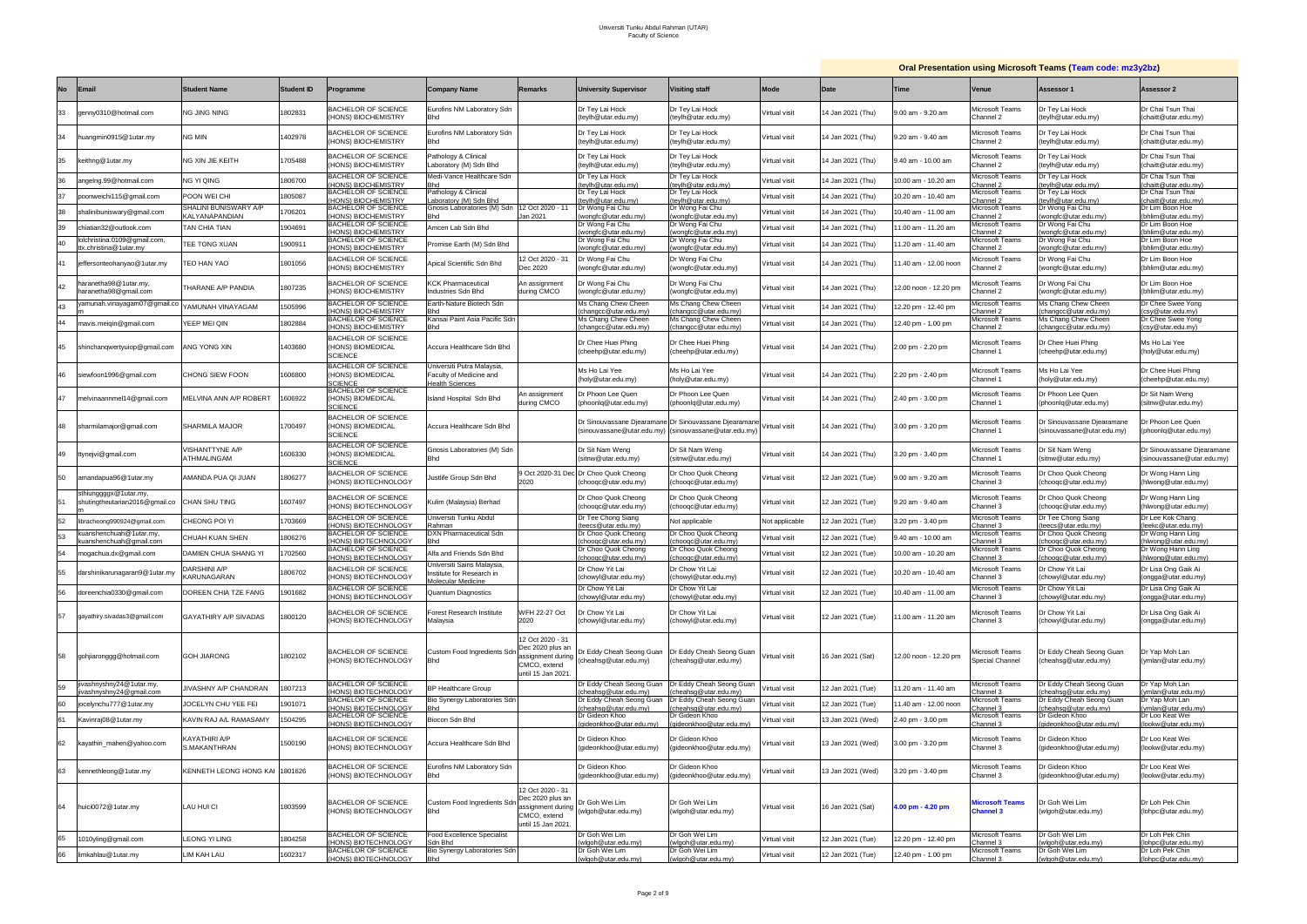| <b>Oral Presentation using Microsoft Teams (Team code: mz3y2bz)</b> |
|---------------------------------------------------------------------|
|                                                                     |

|           |                                                                       |                                        |                   |                                                                         |                                                                                 |                                                                                                |                                                            |                                                                                                                |                |                   |                       |                                      | <u>Urai i resentation dsing microsoft Teams (Team coue, mayyaba</u> |                                                               |
|-----------|-----------------------------------------------------------------------|----------------------------------------|-------------------|-------------------------------------------------------------------------|---------------------------------------------------------------------------------|------------------------------------------------------------------------------------------------|------------------------------------------------------------|----------------------------------------------------------------------------------------------------------------|----------------|-------------------|-----------------------|--------------------------------------|---------------------------------------------------------------------|---------------------------------------------------------------|
| <b>No</b> | <b>Email</b>                                                          | <b>Student Name</b>                    | <b>Student ID</b> | Programme                                                               | <b>Company Name</b>                                                             | <b>Remarks</b>                                                                                 | <b>University Supervisor</b>                               | <b>Visiting staff</b>                                                                                          | Mode           | Date              | Time                  | Venue                                | Assessor 1                                                          | Assessor 2                                                    |
| 33        | genny0310@hotmail.com                                                 | ng Jing Ning                           | 1802831           | BACHELOR OF SCIENCE<br>HONS) BIOCHEMISTRY                               | Eurofins NM Laboratory Sdn<br><b>Bhd</b>                                        |                                                                                                | Dr Tey Lai Hock<br>(teylh@utar.edu.my)                     | Dr Tey Lai Hock<br>(teylh@utar.edu.my)                                                                         | Virtual visit  | 4 Jan 2021 (Thu)  | 9.00 am - 9.20 am     | <i>A</i> icrosoft Teams<br>Channel 2 | Dr Tey Lai Hock<br>(teylh@utar.edu.my)                              | Dr Chai Tsun Thai<br>(chaitt@utar.edu.my)                     |
| 34        | huangmin0915@1utar.my                                                 | NG MIN                                 | 402978            | <b>BACHELOR OF SCIENCE</b><br>HONS) BIOCHEMISTRY                        | Eurofins NM Laboratory Sdn<br>Bhd                                               |                                                                                                | Dr Tey Lai Hock<br>(teylh@utar.edu.my)                     | Dr Tey Lai Hock<br>(teylh@utar.edu.my)                                                                         | Virtual visit  | 14 Jan 2021 (Thu) | 9.20 am - 9.40 am     | Microsoft Teams<br>Channel 2         | Dr Tey Lai Hock<br>teylh@utar.edu.my)                               | Dr Chai Tsun Thai<br>(chaitt@utar.edu.my)                     |
| 35        | keithng@1utar.my                                                      | NG XIN JIE KEITH                       | 705488            | <b>BACHELOR OF SCIENCE</b><br>HONS) BIOCHEMISTRY                        | Pathology & Clinical<br>Laboratory (M) Sdn Bhd                                  |                                                                                                | Dr Tey Lai Hock<br>(teylh@utar.edu.my)                     | Dr Tey Lai Hock<br>(teylh@utar.edu.my)                                                                         | Virtual visit  | 14 Jan 2021 (Thu) | 9.40 am - 10.00 am    | <i>l</i> icrosoft Teams<br>hannel 2  | Dr Tey Lai Hock<br>(teylh@utar.edu.my)                              | Dr Chai Tsun Thai<br>(chaitt@utar.edu.my)                     |
| 36        | angelng.99@hotmail.com                                                | NG YI QING                             | 1806700           | <b>BACHELOR OF SCIENCE</b><br>HONS) BIOCHEMISTRY                        | Medi-Vance Healthcare Sdn                                                       |                                                                                                | Dr Tey Lai Hock<br>teylh@utar.edu.my)                      | Dr Tey Lai Hock<br>teylh@utar.edu.my)                                                                          | Virtual visit  | 4 Jan 2021 (Thu)  | 10.00 am - 10.20 am   | <i>l</i> icrosoft Teams<br>hannel 2  | Dr Tey Lai Hock<br>teylh@utar.edu.my)                               | Dr Chai Tsun Thai<br>(chaitt@utar.edu.my)                     |
| 37        | poonweichi115@gmail.com                                               | POON WEI CHI                           | 1805087           | <b>BACHELOR OF SCIENCE</b><br><b>HONS) BIOCHEMISTRY</b>                 | Pathology & Clinical<br>aboratory (M) Sdn Bhd                                   |                                                                                                | Dr Tey Lai Hock<br>teylh@utar.edu.my                       | Dr Tey Lai Hock<br>teylh@utar.edu.my                                                                           | Virtual visit  | 14 Jan 2021 (Thu) | 0.20 am - 10.40 am    | <i>A</i> icrosoft Teams<br>hannel 2: | Dr Tey Lai Hock<br>eylh@utar.edu.my)                                | Dr Chai Tsun Thai<br>chaitt@utar.edu.my                       |
| 38        | shalinibuniswary@gmail.com                                            | SHALINI BUNISWARY A/P                  | 706201            | <b>BACHELOR OF SCIENCE</b>                                              | Gnosis Laboratories (M) Sdn 12 Oct 2020 - 11                                    |                                                                                                | Dr Wong Fai Chu                                            | Dr Wong Fai Chu                                                                                                | Virtual visit  | 4 Jan 2021 (Thu)  | 0.40 am - 11.00 am    | <i>A</i> icrosoft Teams              | Dr Wong Fai Chu                                                     | Dr Lim Boon Hoe                                               |
| 39        | chiatian32@outlook.com                                                | <b>KALYANAPANDIAN</b><br>TAN CHIA TIAN | 1904691           | <b>HONS) BIOCHEMISTRY</b><br><b>BACHELOR OF SCIENCE</b>                 | Amcen Lab Sdn Bhd                                                               | an 2021                                                                                        | wongfc@utar.edu.my)<br>Dr Wong Fai Chu                     | wongfc@utar.edu.my<br>Dr Wong Fai Chu                                                                          | Virtual visit  | 4 Jan 2021 (Thu)  | 1.00 am - 11.20 am    | hannel 2<br>Microsoft Teams          | wongfc@utar.edu.my)<br>Dr Wong Fai Chu                              | (bhlim@utar.edu.my)<br>Dr Lim Boon Hoe                        |
| 40        | lolchristina.0109@gmail.com,                                          | TEE TONG XUAN                          | 1900911           | HONS) BIOCHEMISTRY<br>BACHELOR OF SCIENCE                               | Promise Earth (M) Sdn Bhd                                                       |                                                                                                | wongfc@utar.edu.my)<br>Dr Wong Fai Chu                     | (wongfc@utar.edu.my<br>Dr Wong Fai Chu                                                                         | Virtual visit  | 14 Jan 2021 (Thu) | 1.20 am - 11.40 am    | hannel 2:<br><i>l</i> icrosoft Teams | wongfc@utar.edu.my)<br>Dr Wong Fai Chu                              | (bhlim@utar.edu.my<br>Dr Lim Boon Hoe                         |
|           | tx.christina@1utar.mv                                                 |                                        |                   | HONS) BIOCHEMISTRY                                                      |                                                                                 |                                                                                                | wongfc@utar.edu.mv)                                        | wongfc@utar.edu.my)                                                                                            |                |                   |                       | hannel 2:                            | wongfc@utar.edu.my)                                                 | (bhlim@utar.edu.my)                                           |
|           | jeffersonteohanyao@1utar.my                                           | EO HAN YAO                             | 1801056           | BACHELOR OF SCIENCE<br>HONS) BIOCHEMISTRY                               | Apical Scientific Sdn Bhd                                                       | 12 Oct 2020 - 31<br>Dec 2020                                                                   | Dr Wong Fai Chu<br>wongfc@utar.edu.my)                     | Dr Wong Fai Chu<br>(wongfc@utar.edu.my)                                                                        | Virtual visit  | 14 Jan 2021 (Thu) | 1.40 am - 12.00 noon  | Aicrosoft Teams<br>hannel 2          | Dr Wong Fai Chu<br>wongfc@utar.edu.my)                              | Dr Lim Boon Hoe<br>(bhlim@utar.edu.my)                        |
| 42        | haranetha98@1utar.my,<br>haranetha98@gmail.com                        | THARANE A/P PANDIA                     | 807235            | <b>BACHELOR OF SCIENCE</b><br>HONS) BIOCHEMISTRY                        | <b>KCK Pharmaceutical</b><br>Industries Sdn Bhd                                 | <b>\n</b> assignment<br>during CMCO                                                            | Dr Wong Fai Chu<br>wongfc@utar.edu.my)                     | Dr Wong Fai Chu<br>(wongfc@utar.edu.my)                                                                        | Virtual visit  | 4 Jan 2021 (Thu)  | 12.00 noon - 12.20 pm | licrosoft Teams<br>hannel 2:         | Dr Wong Fai Chu<br>wongfc@utar.edu.my)                              | Dr Lim Boon Hoe<br>(bhlim@utar.edu.my)                        |
| 43        | yamunah.vinayagam07@gmail.co                                          | 'AMUNAH VINAYAGAM                      | 505996            | <b>BACHELOR OF SCIENCE</b><br>HONS) BIOCHEMISTRY                        | Earth-Nature Biotech Sdn<br>Bhd                                                 |                                                                                                | Ms Chang Chew Cheen<br>changcc@utar.edu.my)                | Ms Chang Chew Cheen<br>(changcc@utar.edu.my)                                                                   | Virtual visit  | 4 Jan 2021 (Thu)  | 2.20 pm - 12.40 pm    | Aicrosoft Teams<br>hannel 2          | Ms Chang Chew Cheen<br>changcc@utar.edu.my)                         | Dr Chee Swee Yong<br>(csy@utar.edu.my)                        |
| 44        | mavis.meigin@gmail.com                                                | <b>EEP MEI QIN</b>                     | 1802884           | <b>BACHELOR OF SCIENCE</b><br>(HONS) BIOCHEMISTRY                       | Kansai Paint Asia Pacific Sdn<br>Bhd                                            |                                                                                                | Ms Chang Chew Cheen<br>changcc@utar.edu.mv)                | Ms Chang Chew Cheen<br>(changcc@utar.edu.my)                                                                   | Virtual visit  | 4 Jan 2021 (Thu)  | 12.40 pm - 1.00 pm    | <i>A</i> icrosoft Teams<br>Channel 2 | Ms Chang Chew Cheen<br>changcc@utar.edu.my)                         | Dr Chee Swee Yong<br>(csy@utar.edu.my)                        |
| 45        | shinchanqwertyuiop@gmail.com                                          | ANG YONG XIN                           | 403680            | <b>BACHELOR OF SCIENCE</b><br><b>HONS) BIOMEDICAL</b><br><b>SCIENCE</b> | Accura Healthcare Sdn Bhd                                                       |                                                                                                | Dr Chee Huei Phing<br>(cheehp@utar.edu.my)                 | Dr Chee Huei Phing<br>(cheehp@utar.edu.my)                                                                     | Virtual visit  | 4 Jan 2021 (Thu)  | 2.00 pm - 2.20 pm     | Microsoft Teams<br>Channel 1         | Dr Chee Huei Phing<br>(cheehp@utar.edu.my)                          | Ms Ho Lai Yee<br>(holy@utar.edu.my)                           |
| 46        | siewfoon1996@gmail.com                                                | CHONG SIEW FOON                        | 1606800           | <b>BACHELOR OF SCIENCE</b><br>HONS) BIOMEDICAL<br><b>SCIENCE</b>        | Universiti Putra Malaysia,<br>Faculty of Medicine and<br><b>Health Sciences</b> |                                                                                                | Ms Ho Lai Yee<br>(holy@utar.edu.my)                        | Ms Ho Lai Yee<br>(holy@utar.edu.my)                                                                            | Virtual visit  | 14 Jan 2021 (Thu) | 2.20 pm - 2.40 pm     | <i>l</i> icrosoft Teams<br>Channel 1 | Ms Ho Lai Yee<br>holy@utar.edu.my)                                  | Dr Chee Huei Phing<br>(cheehp@utar.edu.my)                    |
| 47        | melvinaannmel14@gmail.com                                             | MELVINA ANN A/P ROBERT                 | 1606922           | <b>BACHELOR OF SCIENCE</b><br>HONS) BIOMEDICAL<br><b>SCIENCE</b>        | Island Hospital Sdn Bhd                                                         | <b>In assignment</b><br>during CMCO                                                            | Dr Phoon Lee Quen<br>(phoonlq@utar.edu.my)                 | Dr Phoon Lee Quen<br>(phoonlq@utar.edu.my)                                                                     | Virtual visit  | 14 Jan 2021 (Thu) | 2.40 pm - 3.00 pm     | Aicrosoft Teams<br>Channel 1         | Dr Phoon Lee Quen<br>(phoonlq@utar.edu.my)                          | Dr Sit Nam Weng<br>(sitnw@utar.edu.my)                        |
| 48        | sharmilamajor@gmail.com                                               | SHARMILA MAJOR                         | 700497            | <b>BACHELOR OF SCIENCE</b><br>HONS) BIOMEDICAL<br><b>SCIENCE</b>        | Accura Healthcare Sdn Bhd                                                       |                                                                                                |                                                            | Dr Sinouvassane Djearamane Dr Sinouvassane Djearamane<br>(sinouvassane@utar.edu.my) (sinouvassane@utar.edu.my) | Virtual visit  | 14 Jan 2021 (Thu) | 3.00 pm - 3.20 pm     | Microsoft Teams<br>Channel 1         | Dr Sinouvassane Djearamane<br>(sinouvassane@utar.edu.my)            | Dr Phoon Lee Quen<br>(phoonlg@utar.edu.my)                    |
| 49        | ttynejvi@gmail.com                                                    | /ISHANTTYNE A/P<br>ATHMALINGAM         | 1606330           | <b>BACHELOR OF SCIENCE</b><br>HONS) BIOMEDICAL<br><b>SCIENCE</b>        | Gnosis Laboratories (M) Sdn<br>Bhd                                              |                                                                                                | Dr Sit Nam Weng<br>(sitnw@utar.edu.my)                     | Dr Sit Nam Weng<br>(sitnw@utar.edu.my)                                                                         | Virtual visit  | 14 Jan 2021 (Thu) | 3.20 pm - 3.40 pm     | <i>A</i> icrosoft Teams<br>Channel 1 | Dr Sit Nam Weng<br>sitnw@utar.edu.my)                               | Dr Sinouvassane Djearamane<br>(sinouvassane@utar.edu.my)      |
| 50        | amandapua96@1utar.my                                                  | AMANDA PUA QI JUAN                     | 1806277           | BACHELOR OF SCIENCE<br>HONS) BIOTECHNOLOGY                              | lustlife Group Sdn Bhd                                                          | :020                                                                                           | Oct 2020-31 Dec Dr Choo Quok Cheong<br>choogc@utar.edu.my) | Dr Choo Quok Cheong<br>(chooqc@utar.edu.my)                                                                    | Virtual visit  | 12 Jan 2021 (Tue) | 9.00 am - 9.20 am     | <i>l</i> icrosoft Teams<br>Channel 3 | Dr Choo Quok Cheong<br>chooqc@utar.edu.my)                          | Dr Wong Hann Ling<br>(hlwong@utar.edu.my)                     |
|           | sthiunggggx@1utar.my,<br>shutingtheutarian2016@gmail.co CHAN SHU TING |                                        | 1607497           | <b>BACHELOR OF SCIENCE</b><br>HONS) BIOTECHNOLOGY                       | Kulim (Malaysia) Berhad                                                         |                                                                                                | Dr Choo Quok Cheong<br>choogc@utar.edu.my)                 | Dr Choo Quok Cheong<br>(choogc@utar.edu.my)                                                                    | Virtual visit  | 12 Jan 2021 (Tue) | 9.20 am - 9.40 am     | Aicrosoft Teams<br>Channel 3         | Dr Choo Quok Cheong<br>chooqc@utar.edu.my)                          | Dr Wong Hann Ling<br>(hlwong@utar.edu.my)                     |
| 52        | libracheong990924@gmail.com                                           | CHEONG POI YI                          | 703669            | <b>BACHELOR OF SCIENCE</b><br><b>HONS) BIOTECHNOLOGY</b>                | Universiti Tunku Abdul<br>Rahmar                                                |                                                                                                | Dr Tee Chong Siang<br>eecs@utar.edu.my                     | Not applicable                                                                                                 | Not applicable | 12 Jan 2021 (Tue) | 3.20 pm - 3.40 pm     | <i>A</i> icrosoft Teams<br>hannel 3: | Dr Tee Chong Siang<br>eecs@utar.edu.my)                             | Dr Lee Kok Chang<br>(leekc@utar.edu.my)                       |
| 53        | kuanshenchuah@1utar.my,<br>kuanshenchuah@gmail.com                    | CHUAH KUAN SHEN                        | 806276            | BACHELOR OF SCIENCE<br>HONS) BIOTECHNOLOGY                              | DXN Pharmaceutical Sdn<br>Bhd                                                   |                                                                                                | Dr Choo Quok Cheong<br>choogc@utar.edu.my)                 | Dr Choo Quok Cheong<br>(choogc@utar.edu.my)                                                                    | Virtual visit  | 2 Jan 2021 (Tue)  | 3.40 am - 10.00 am    | Microsoft Teams<br>:hannel 3         | Dr Choo Quok Cheong<br>choogc@utar.edu.my)                          | Dr Wong Hann Ling<br>(hlwong@utar.edu.my)                     |
| 54        | mogachua.dx@gmail.com                                                 | <b>DAMIEN CHUA SHANG YI</b>            | 702560            | BACHELOR OF SCIENCE                                                     | Alfa and Friends Sdn Bhd                                                        |                                                                                                | Dr Choo Quok Cheong                                        | Dr Choo Quok Cheong                                                                                            | Virtual visit  | 12 Jan 2021 (Tue) | 10.00 am - 10.20 am   | Microsoft Teams                      | Dr Choo Quok Cheong                                                 | Dr Wong Hann Ling                                             |
|           |                                                                       | <b>DARSHINI A/P</b>                    |                   | HONS) BIOTECHNOLOGY<br><b>BACHELOR OF SCIENCE</b>                       | Universiti Sains Malaysia,                                                      |                                                                                                | choogc@utar.edu.my)<br>Dr Chow Yit Lai                     | (choogc@utar.edu.my)<br>Dr Chow Yit Lai                                                                        |                |                   |                       | Channel 3<br>Microsoft Teams         | choogc@utar.edu.my)<br>Dr Chow Yit Lai                              | (hlwong@utar.edu.my)<br>Dr Lisa Ong Gaik Ai                   |
| 55        | darshinikarunagaran9@1utar.my                                         | KARUNAGARAN                            | 1806702           | HONS) BIOTECHNOLOGY                                                     | Institute for Research in<br>Molecular Medicine                                 |                                                                                                | (chowyl@utar.edu.my)                                       | (chowyl@utar.edu.my)                                                                                           | Virtual visit  | 12 Jan 2021 (Tue) | 10.20 am - 10.40 am   | Channel 3                            | (chowyl@utar.edu.my)                                                | (ongga@utar.edu.my)                                           |
| 56        | doreenchia0330@gmail.com                                              | DOREEN CHIA TZE FANG                   | 1901682           | <b>BACHELOR OF SCIENCE</b><br>(HONS) BIOTECHNOLOGY                      | <b>Quantum Diagnostics</b>                                                      |                                                                                                | Dr Chow Yit Lai<br>chowyl@utar.edu.my)                     | Dr Chow Yit Lai<br>(chowyl@utar.edu.my)                                                                        | Virtual visit  | 12 Jan 2021 (Tue) | 10.40 am - 11.00 am   | Microsoft Teams<br>hannel 3          | Dr Chow Yit Lai<br>chowyl@utar.edu.my)                              | Dr Lisa Ong Gaik Ai<br>(ongga@utar.edu.my)                    |
| 57        | gayathiry.sivadas3@gmail.com                                          | <b>GAYATHIRY A/P SIVADAS</b>           | 800120            | BACHELOR OF SCIENCE<br>(HONS) BIOTECHNOLOGY                             | Forest Research Institute<br>Malaysia                                           | VFH 22-27 Oct<br>2020                                                                          | Dr Chow Yit Lai<br>(chowyl@utar.edu.my)                    | Dr Chow Yit Lai<br>(chowyl@utar.edu.my)                                                                        | Virtual visit  | 12 Jan 2021 (Tue) | 1.00 am - 11.20 am    | Microsoft Teams<br>Channel 3         | Dr Chow Yit Lai<br>(chowyl@utar.edu.my)                             | Dr Lisa Ong Gaik Ai<br>(ongga@utar.edu.my)                    |
| 58        | gohjiaronggg@hotmail.com                                              | <b>GOH JIARONG</b>                     | 1802102           | <b>BACHELOR OF SCIENCE</b><br>(HONS) BIOTECHNOLOGY                      | Custom Food Ingredients Sdn<br><b>Bhd</b>                                       | 12 Oct 2020 - 31<br>Dec 2020 plus an<br>issignment during<br>CMCO, extend<br>until 15 Jan 2021 | Dr Eddy Cheah Seong Guan<br>(cheahsq@utar.edu.my)          | Dr Eddy Cheah Seong Guan<br>(cheahsg@utar.edu.my)                                                              | Virtual visit  | 6 Jan 2021 (Sat)  | 12.00 noon - 12.20 pm | Aicrosoft Teams<br>Special Channel   | Dr Eddy Cheah Seong Guan<br>(cheahsg@utar.edu.my)                   | Dr Yap Moh Lan<br>(ymlan@utar.edu.my)                         |
| 59        | jivashnyshny24@1utar.my,<br>vashnyshny24@gmail.com                    | JIVASHNY A/P CHANDRAN                  | 807213            | <b>BACHELOR OF SCIENCE</b><br><b>HONS) BIOTECHNOLOGY</b>                | <b>BP Healthcare Group</b>                                                      |                                                                                                | Dr Eddy Cheah Seong Guan<br>cheahsq@utar.edu.my)           | Dr Eddy Cheah Seong Guan<br>cheahsq@utar.edu.my)                                                               | Virtual visit  | 12 Jan 2021 (Tue) | 1.20 am - 11.40 am    | Aicrosoft Teams<br>hannel 3          | Dr Eddy Cheah Seong Guan<br>cheahsg@utar.edu.my)                    | Dr Yap Moh Lan<br>(ymlan@utar.edu.my)                         |
| 60        | jocelynchu777@1utar.my                                                | JOCELYN CHU YEE FEI                    | 1901071           | BACHELOR OF SCIENCE<br>HONS) BIOTECHNOLOGY                              | Bio Synergy Laboratories Sdn<br>3hd                                             |                                                                                                | Dr Eddy Cheah Seong Guan<br>cheahsg@utar.edu.my)           | Dr Eddy Cheah Seong Guan<br>cheahsg@utar.edu.my)                                                               | Virtual visit  | 12 Jan 2021 (Tue) | 1.40 am - 12.00 noon  | Aicrosoft Teams<br>hannel 3:         | Dr Eddy Cheah Seong Guan<br>cheahsg@utar.edu.my)                    | Dr Yap Moh Lan<br>(ymlan@utar.edu.my)                         |
|           | Kavinraj08@1utar.my                                                   | KAVIN RAJ A/L RAMASAMY                 | 1504295           | <b>BACHELOR OF SCIENCE</b><br>HONS) BIOTECHNOLOGY                       | Biocon Sdn Bhd                                                                  |                                                                                                | Dr Gideon Khoo<br>gideonkhoo@utar.edu.my)                  | Dr Gideon Khoo<br>jideonkhoo@utar.edu.my)                                                                      | Virtual visit  | 13 Jan 2021 (Wed) | 2.40 pm - 3.00 pm     | Microsoft Teams<br>Channel 3         | Dr Gideon Khoo<br>qideonkhoo@utar.edu.my)                           | Dr Loo Keat Wei                                               |
| 62        | kayathiri_mahen@yahoo.com                                             | KAYATHIRI A/P<br>S.MAKANTHRAN          | 1500190           | BACHELOR OF SCIENCE<br>HONS) BIOTECHNOLOGY                              | Accura Healthcare Sdn Bhd                                                       |                                                                                                | Dr Gideon Khoo<br>(gideonkhoo@utar.edu.my)                 | Dr Gideon Khoo<br>(gideonkhoo@utar.edu.my)                                                                     | Virtual visit  | 13 Jan 2021 (Wed) | 3.00 pm - 3.20 pm     | Microsoft Teams<br>Channel 3         | Dr Gideon Khoo<br>gideonkhoo@utar.edu.my)                           | (lookw@utar.edu.my)<br>Dr Loo Keat Wei<br>(lookw@utar.edu.my) |
| 63        | kennethleong@1utar.my                                                 | KENNETH LEONG HONG KAI                 | 1801626           | BACHELOR OF SCIENCE<br>HONS) BIOTECHNOLOGY                              | Eurofins NM Laboratory Sdn<br><b>Bhd</b>                                        |                                                                                                | Dr Gideon Khoo<br>(gideonkhoo@utar.edu.my)                 | Dr Gideon Khoo<br>(gideonkhoo@utar.edu.my)                                                                     | Virtual visit  | 13 Jan 2021 (Wed) | 3.20 pm - 3.40 pm     | Microsoft Teams<br>Channel 3         | Dr Gideon Khoo<br>(gideonkhoo@utar.edu.my)                          | Dr Loo Keat Wei<br>(lookw@utar.edu.my)                        |
| 64        | huici0072@1utar.my                                                    | LAU HUI CI                             | 1803599           | <b>BACHELOR OF SCIENCE</b><br>HONS) BIOTECHNOLOGY                       | Custom Food Ingredients Sdr<br><b>Bhd</b>                                       | 12 Oct 2020 - 31<br>Dec 2020 plus an<br>assignment during<br>CMCO, extend<br>until 15 Jan 2021 | Dr Goh Wei Lim<br>(wlgoh@utar.edu.my)                      | Dr Goh Wei Lim<br>(wlgoh@utar.edu.my)                                                                          | Virtual visit  | 6 Jan 2021 (Sat)  | 4.00 pm - 4.20 pm     | <b>Microsoft Teams</b><br>Channel 3  | Dr Goh Wei Lim<br>(wlgoh@utar.edu.my)                               | Dr Loh Pek Chin<br>(lohpc@utar.edu.my)                        |
| 65        | 1010yling@gmail.com                                                   | <b>LEONG YI LING</b>                   | 1804258           | <b>BACHELOR OF SCIENCE</b><br><b>HONS) BIOTECHNOLOGY</b>                | Food Excellence Specialist<br>Sdn Bhd                                           |                                                                                                | Dr Goh Wei Lim<br>vlgoh@utar.edu.my)                       | Dr Goh Wei Lim<br>wlgoh@utar.edu.my)                                                                           | Virtual visit  | 12 Jan 2021 (Tue) | 12.20 pm - 12.40 pm   | <i>l</i> icrosoft Teams<br>hannel 3  | Dr Goh Wei Lim<br>wlgoh@utar.edu.my)                                | Dr Loh Pek Chin<br>(lohpc@utar.edu.my)                        |
| 66        | limkahlau@1utar.my                                                    | LIM KAH LAU                            | 1602317           | BACHELOR OF SCIENCE                                                     | Bio Synergy Laboratories Sdn                                                    |                                                                                                | Dr Goh Wei Lim                                             | Dr Goh Wei Lim                                                                                                 | Virtual visit  | 12 Jan 2021 (Tue) | 12.40 pm - 1.00 pm    | Microsoft Teams                      | Dr Goh Wei Lim                                                      | Dr Loh Pek Chin                                               |
|           |                                                                       |                                        |                   | HONS) BIOTECHNOLOGY                                                     | <b>Bhd</b>                                                                      |                                                                                                | (wlgoh@utar.edu.my)                                        | (wlgoh@utar.edu.my)                                                                                            |                |                   |                       | hannel 3                             | wlgoh@utar.edu.my)                                                  | (lohpc@utar.edu.my)                                           |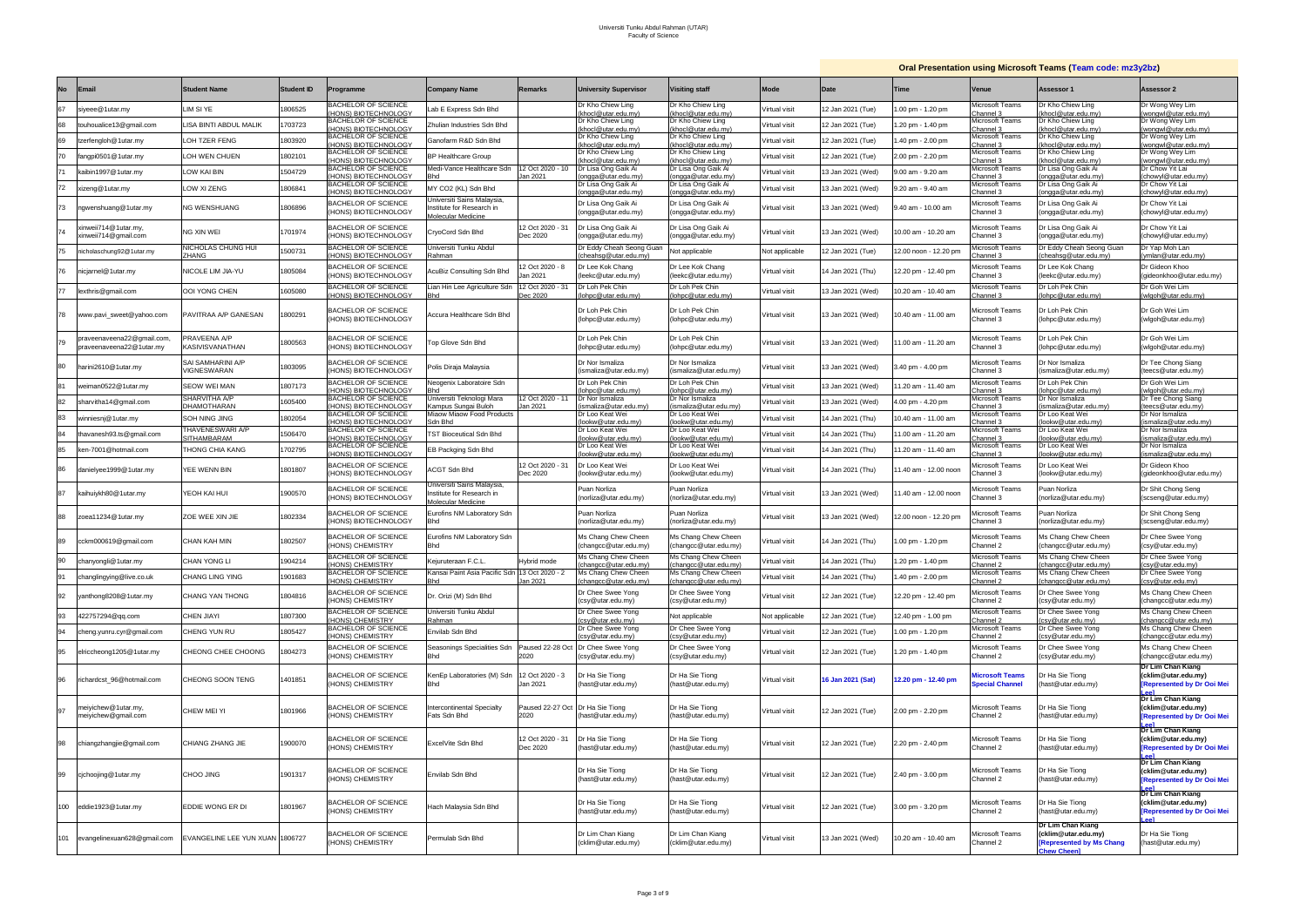# **Oral Presentation using Microsoft Teams (Team code: mz3y2bz)**

|           |                                                        |                                             |                   |                                                                      |                                                      |                                          |                                                                     |                                                                     |                |                   |                       |                                                  | <b>Craft Roomanon aging improver reams (Team coup, macyable</b>                           |                                                                        |
|-----------|--------------------------------------------------------|---------------------------------------------|-------------------|----------------------------------------------------------------------|------------------------------------------------------|------------------------------------------|---------------------------------------------------------------------|---------------------------------------------------------------------|----------------|-------------------|-----------------------|--------------------------------------------------|-------------------------------------------------------------------------------------------|------------------------------------------------------------------------|
| <b>No</b> | <b>Email</b>                                           | <b>Student Name</b>                         | <b>Student ID</b> | Programme                                                            | Company Name                                         | <b>Remarks</b>                           | <b>University Supervisor</b>                                        | <b>Visiting staff</b>                                               | <b>Mode</b>    | <b>Date</b>       | Time                  | Venue                                            | Assessor 1                                                                                | Assessor 2                                                             |
| 67        | siyeee@1utar.my                                        | LIM SI YE                                   | 1806525           | BACHELOR OF SCIENCE<br>HONS) BIOTECHNOLOGY                           | ab E Express Sdn Bhd                                 |                                          | Dr Kho Chiew Ling<br>(khocl@utar.edu.my)                            | Dr Kho Chiew Ling<br>(khocl@utar.edu.my)                            | Virtual visit  | 12 Jan 2021 (Tue) | .00 pm - 1.20 pm      | Microsoft Teams<br>:hannel 3                     | Dr Kho Chiew Ling<br>khocl@utar.edu.my)                                                   | Dr Wong Wey Lim<br>(wongwl@utar.edu.my)                                |
| 68        | touhoualice13@gmail.com                                | <b>ISA BINTI ABDUL MALIK</b>                | 1703723           | BACHELOR OF SCIENCE<br>HONS) BIOTECHNOLOGY                           | Zhulian Industries Sdn Bhd                           |                                          | Dr Kho Chiew Ling<br>khocl@utar.edu.my)                             | Dr Kho Chiew Ling<br>(khocl@utar.edu.my)                            | Virtual visit  | 12 Jan 2021 (Tue) | .20 pm - 1.40 pm      | Microsoft Teams<br>:hannel 3                     | Dr Kho Chiew Ling<br>khocl@utar.edu.my                                                    | Dr Wong Wey Lim<br>(wongwl@utar.edu.my)                                |
| 69        | tzerfengloh@1utar.my                                   | LOH TZER FENG                               | 1803920           | BACHELOR OF SCIENCE                                                  | Ganofarm R&D Sdn Bhd                                 |                                          | Dr Kho Chiew Ling                                                   | Dr Kho Chiew Ling                                                   | Virtual visit  | 12 Jan 2021 (Tue) | .40 pm - 2.00 pm      | Microsoft Teams                                  | Dr Kho Chiew Ling                                                                         | Dr Wong Wey Lim                                                        |
| 70        | angpi0501@1utar.my                                     | OH WEN CHUEN.                               | 1802101           | <b>HONS) BIOTECHNOLOGY</b><br><b>BACHELOR OF SCIENCE</b>             | <b>BP Healthcare Group</b>                           |                                          | (khocl@utar.edu.my)<br>Dr Kho Chiew Ling                            | (khocl@utar.edu.my)<br>Dr Kho Chiew Ling                            | Virtual visit  | 2 Jan 2021 (Tue)  | .00 pm - 2.20 pm      | hannel 3:<br>Microsoft Teams                     | khocl@utar.edu.my)<br>Dr Kho Chiew Ling                                                   | <u>(wonqwl@utar.edu.my)</u><br>Dr Wong Wey Lim                         |
|           | kaibin1997@1utar.my                                    | LOW KAI BIN                                 | 1504729           | HONS) BIOTECHNOLOGY<br><b>BACHELOR OF SCIENCE</b>                    | Medi-Vance Healthcare Sdn                            | 12 Oct 2020 - 10                         | (khocl@utar.edu.my)<br>Dr Lisa Ong Gaik Ai                          | (khocl@utar.edu.my)<br>Dr Lisa Ong Gaik Ai                          | Virtual visit  | 3 Jan 2021 (Wed   | 3.00 am - 9.20 am     | Channel 3<br>Microsoft Teams                     | khocl@utar.edu.my<br>Dr Lisa Ong Gaik Ai                                                  | (wongwl@utar.edu.my)<br>Dr Chow Yit Lai                                |
|           |                                                        |                                             |                   | HONS) BIOTECHNOLOGY<br>BACHELOR OF SCIENCE                           |                                                      | an 2021                                  | ongga@utar.edu.my<br>Dr Lisa Ong Gaik Ai                            | ongga@utar.edu.my<br>Dr Lisa Ong Gaik Ai                            |                |                   |                       | : hannel:<br>Microsoft Teams                     | ngga@utar.edu.my<br>Dr Lisa Ong Gaik Ai                                                   | chowyl@utar.edu.my<br>Dr Chow Yit Lai                                  |
| 72        | xizeng@1utar.my                                        | LOW XI ZENG                                 | 1806841           | <b>HONS) BIOTECHNOLOGY</b>                                           | MY CO2 (KL) Sdn Bhd<br>Jniversiti Sains Malaysia,    |                                          | ongga@utar.edu.my)                                                  | (ongga@utar.edu.my)                                                 | Virtual visit  | 3 Jan 2021 (Wed)  | 9.20 am - 9.40 am     | Channel 3                                        | ongga@utar.edu.my)                                                                        | (chowyl@utar.edu.my)                                                   |
| 73        | ngwenshuang@1utar.my                                   | NG WENSHUANG                                | 1806896           | <b>BACHELOR OF SCIENCE</b><br>HONS) BIOTECHNOLOGY                    | nstitute for Research in<br>Molecular Medicine       |                                          | Dr Lisa Ong Gaik Ai<br>(ongga@utar.edu.my)                          | Dr Lisa Ong Gaik Ai<br>(ongga@utar.edu.my)                          | Virtual visit  | 13 Jan 2021 (Wed) | 9.40 am - 10.00 am    | <i>l</i> licrosoft Teams<br>Channel 3            | Dr Lisa Ong Gaik Ai<br>ongga@utar.edu.my)                                                 | Dr Chow Yit Lai<br>(chowyl@utar.edu.my)                                |
|           | xinweii714@1utar.my,<br>xinweii714@gmail.com           | ng Xin Wei                                  | 1701974           | <b>BACHELOR OF SCIENCE</b><br>HONS) BIOTECHNOLOGY                    | CryoCord Sdn Bhd                                     | 12 Oct 2020 - 31<br>Dec 2020             | Dr Lisa Ong Gaik Ai<br>(ongga@utar.edu.my)                          | Dr Lisa Ong Gaik Ai<br>(ongga@utar.edu.my)                          | Virtual visit  | 13 Jan 2021 (Wed) | 0.00 am - 10.20 am    | <i>l</i> icrosoft Teams<br>Channel 3             | Dr Lisa Ong Gaik Ai<br>(ongga@utar.edu.my)                                                | Dr Chow Yit Lai<br>(chowyl@utar.edu.my                                 |
| 75        | nicholaschung92@1utar.my                               | NICHOLAS CHUNG HUI<br>ZHANG                 | 1500731           | BACHELOR OF SCIENCE<br>HONS) BIOTECHNOLOGY                           | <b>Jniversiti Tunku Abdul</b><br>Rahman              |                                          | Dr Eddy Cheah Seong Guan<br>(cheahsg@utar.edu.my)                   | Not applicable                                                      | Not applicable | 12 Jan 2021 (Tue) | 12.00 noon - 12.20 pm | licrosoft Teams<br>hannel 3                      | Dr Eddy Cheah Seong Guan<br>cheahsg@utar.edu.my)                                          | Dr Yap Moh Lan<br>(ymlan@utar.edu.my)                                  |
| 76        | nicjarnel@1utar.my                                     | NICOLE LIM JIA-YU                           | 1805084           | <b>BACHELOR OF SCIENCE</b><br>HONS) BIOTECHNOLOGY                    | AcuBiz Consulting Sdn Bhd                            | 12 Oct 2020 - 8<br>Jan 2021              | Dr Lee Kok Chang<br>(leekc@utar.edu.my)                             | Dr Lee Kok Chang<br>(leekc@utar.edu.my)                             | Virtual visit  | 4 Jan 2021 (Thu)  | 12.20 pm - 12.40 pm   | <i>l</i> icrosoft Teams<br>Channel 3             | Dr Lee Kok Chang<br>(leekc@utar.edu.my)                                                   | Dr Gideon Khoo<br>(gideonkhoo@utar.edu.my)                             |
| 77        | lexthris@gmail.com                                     | OOI YONG CHEN                               | 1605080           | BACHELOR OF SCIENCE<br>HONS) BIOTECHNOLOGY                           | Lian Hin Lee Agriculture Sdn<br>Bhd                  | 12 Oct 2020 - 31<br>Dec 2020             | Dr Loh Pek Chin<br>lohpc@utar.edu.my)                               | Dr Loh Pek Chin<br>(lohpc@utar.edu.my)                              | √irtual visit  | 13 Jan 2021 (Wed) | 0.20 am - 10.40 am    | <i>l</i> icrosoft Teams<br>hannel 3              | Dr Loh Pek Chin<br>lohpc@utar.edu.my)                                                     | Dr Goh Wei Lim<br>(wlgoh@utar.edu.my)                                  |
| 78        | www.pavi_sweet@yahoo.com                               | PAVITRAA A/P GANESAN                        | 800291            | BACHELOR OF SCIENCE<br>HONS) BIOTECHNOLOGY                           | Accura Healthcare Sdn Bhd                            |                                          | Dr Loh Pek Chin<br>(lohpc@utar.edu.my)                              | Dr Loh Pek Chin<br>(lohpc@utar.edu.my)                              | Virtual visit  | 13 Jan 2021 (Wed) | 10.40 am - 11.00 am   | Microsoft Teams<br>Channel 3                     | Dr Loh Pek Chin<br>(lohpc@utar.edu.my)                                                    | Dr Goh Wei Lim<br>(wlgoh@utar.edu.my)                                  |
|           | praveenaveena22@gmail.com,<br>praveenaveena22@1utar.my | PRAVEENA A/P<br>KASIVISVANATHAN             | 800563            | BACHELOR OF SCIENCE<br>HONS) BIOTECHNOLOGY                           | <b>Top Glove Sdn Bhd</b>                             |                                          | Dr Loh Pek Chin<br>(lohpc@utar.edu.my)                              | Dr Loh Pek Chin<br>(lohpc@utar.edu.my)                              | Virtual visit  | 13 Jan 2021 (Wed) | 1.00 am - 11.20 am    | <i>l</i> licrosoft Teams<br>Channel 3            | Dr Loh Pek Chin<br>lohpc@utar.edu.my)                                                     | Dr Goh Wei Lim<br>(wlgoh@utar.edu.my)                                  |
| 80        | harini2610@1utar.my                                    | SAI SAMHARINI A/P<br>VIGNESWARAN            | 1803095           | BACHELOR OF SCIENCE<br>HONS) BIOTECHNOLOGY                           | Polis Diraja Malaysia                                |                                          | Dr Nor Ismaliza<br>(ismaliza@utar.edu.my)                           | Dr Nor Ismaliza<br>(ismaliza@utar.edu.my)                           | Virtual visit  | 13 Jan 2021 (Wed) | 3.40 pm - 4.00 pm     | <i>l</i> icrosoft Teams<br>Channel 3             | Dr Nor Ismaliza<br>ismaliza@utar.edu.my)                                                  | Dr Tee Chong Siang<br>(teecs@utar.edu.my)                              |
|           | veiman0522@1utar.my                                    | SEOW WEI MAN                                | 1807173           | <b>BACHELOR OF SCIENCE</b><br>HONS) BIOTECHNOLOGY                    | Neogenix Laboratoire Sdn<br>3hd                      |                                          | Dr Loh Pek Chin<br>(lohpc@utar.edu.my)                              | Dr Loh Pek Chin<br>(lohpc@utar.edu.my)                              | Virtual visit  | 3 Jan 2021 (Wed   | 1.20 am - 11.40 am    | Microsoft Teams<br>hannel 3:                     | Dr Loh Pek Chin<br>lohpc@utar.edu.my)                                                     | Dr Goh Wei Lim<br>(wlgoh@utar.edu.my)                                  |
| 82        | sharvitha14@gmail.com                                  | SHARVITHA A/P<br><b>DHAMOTHARAN</b>         | 1605400           | BACHELOR OF SCIENCE<br>HONS) BIOTECHNOLOGY                           | Universiti Teknologi Mara<br>Kampus Sungai Buloh     | 12 Oct 2020 - 11<br>an 2021              | Dr Nor Ismaliza<br>ismaliza@utar.edu.my)                            | Dr Nor Ismaliza<br>(ismaliza@utar.edu.mv)                           | Virtual visit  | 13 Jan 2021 (Wed) | 1.00 pm - 4.20 pm     | <i>l</i> licrosoft Teams<br>hannel 3:            | Dr Nor Ismaliza<br>smaliza@utar.edu.mv)                                                   | Dr Tee Chong Siang<br>(teecs@utar.edu.my)                              |
| 83        | winniesnj@1utar.my                                     | SOH NING JING                               | 1802054           | BACHELOR OF SCIENCE                                                  | Miaow Miaow Food Products                            |                                          | Dr Loo Keat Wei                                                     | Dr Loo Keat Wei                                                     | Virtual visit  | 4 Jan 2021 (Thu)  | 10.40 am - 11.00 am   | Microsoft Teams                                  | Dr Loo Keat Wei                                                                           | Dr Nor Ismaliza                                                        |
| 84        | thavanesh93.ts@gmail.com                               | <b>HAVENESWARI A/P</b>                      | 1506470           | HONS) BIOTECHNOLOGY<br>BACHELOR OF SCIENCE                           | 3dn Bhd<br>TST Bioceutical Sdn Bhd                   |                                          | lookw@utar.edu.my)<br>Dr Loo Keat Wei                               | (lookw@utar.edu.my)<br>Dr Loo Keat Wei                              | Virtual visit  | 4 Jan 2021 (Thu)  | 1.00 am - 11.20 am    | hannel 3:<br><i>l</i> licrosoft Teams            | lookw@utar.edu.my)<br>Dr Loo Keat Wei                                                     | (ismaliza@utar.edu.my)<br>Dr Nor Ismaliza                              |
| 85        | ken-7001@hotmail.com                                   | <b>ITHAMBARAM</b><br><b>THONG CHIA KANG</b> | 1702795           | <b>HONS) BIOTECHNOLOGY</b><br>BACHELOR OF SCIENCE                    | EB Packging Sdn Bhd                                  |                                          | lookw@utar.edu.my)<br>Dr Loo Keat Wei                               | (lookw@utar.edu.my<br>Dr Loo Keat Wei                               | Virtual visit  | 4 Jan 2021 (Thu)  |                       | hannel 3<br>Microsoft Teams                      | ookw@utar.edu.my)<br>Dr Loo Keat Wei                                                      | (ismaliza@utar.edu.my)<br>Dr Nor Ismaliza                              |
|           |                                                        |                                             |                   | HONS) BIOTECHNOLOGY                                                  |                                                      |                                          | lookw@utar.edu.my)                                                  | (lookw@utar.edu.my                                                  |                |                   | 1.20 am - 11.40 am    | hannel 3:                                        | lookw@utar.edu.my)                                                                        | (ismaliza@utar.edu.my)                                                 |
| 86        | danielyee1999@1utar.my                                 | YEE WENN BIN                                | 1801807           | <b>BACHELOR OF SCIENCE</b><br>HONS) BIOTECHNOLOGY                    | <b>ACGT Sdn Bhd</b><br>Jniversiti Sains Malaysia,    | 12 Oct 2020 - 31<br>Dec 2020             | Dr Loo Keat Wei<br>(lookw@utar.edu.my)                              | Dr Loo Keat Wei<br>(lookw@utar.edu.my)                              | Virtual visit  | 14 Jan 2021 (Thu) | 1.40 am - 12.00 noon  | licrosoft Teams<br>hannel 3:                     | Dr Loo Keat Wei<br>(lookw@utar.edu.my)                                                    | Dr Gideon Khoo<br>(gideonkhoo@utar.edu.my)                             |
| 87        | kaihuiykh80@1utar.my                                   | YEOH KAI HUI                                | 1900570           | <b>BACHELOR OF SCIENCE</b><br>HONS) BIOTECHNOLOGY                    | nstitute for Research in<br>Molecular Medicine       |                                          | Puan Norliza<br>norliza@utar.edu.my)                                | Puan Norliza<br>(norliza@utar.edu.my)                               | Virtual visit  | 13 Jan 2021 (Wed) | 1.40 am - 12.00 noon  | <i>l</i> licrosoft Teams<br>hannel 3             | Puan Norliza<br>norliza@utar.edu.my)                                                      | Dr Shit Chong Seng<br>(scseng@utar.edu.my)                             |
| 88        | zoea11234@1utar.my                                     | ZOE WEE XIN JIE                             | 1802334           | <b>BACHELOR OF SCIENCE</b><br>HONS) BIOTECHNOLOGY                    | Eurofins NM Laboratory Sdn<br>Bhd                    |                                          | Puan Norliza<br>(norliza@utar.edu.my)                               | Puan Norliza<br>(norliza@utar.edu.my)                               | Virtual visit  | 13 Jan 2021 (Wed) | 12.00 noon - 12.20 pm | licrosoft Teams<br>hannel 3:                     | <sup>o</sup> uan Norliza<br>norliza@utar.edu.my)                                          | Dr Shit Chong Seng<br>(scseng@utar.edu.my)                             |
| 89        | cckm000619@gmail.com                                   | CHAN KAH MIN                                | 802507            | BACHELOR OF SCIENCE<br>HONS) CHEMISTRY<br><b>BACHELOR OF SCIENCE</b> | Eurofins NM Laboratory Sdn                           |                                          | Ms Chang Chew Cheen<br>(changcc@utar.edu.my)<br>Ms Chang Chew Cheen | Ms Chang Chew Cheen<br>(changcc@utar.edu.my)<br>Ms Chang Chew Cheen | Virtual visit  | 14 Jan 2021 (Thu) | .00 pm - 1.20 pm      | Microsoft Teams<br>Channel 2<br>Microsoft Teams  | Ms Chang Chew Cheen<br>changcc@utar.edu.my)<br>Ms Chang Chew Cheen                        | Dr Chee Swee Yong<br>(csy@utar.edu.my)<br>Dr Chee Swee Yong            |
| 90        | chanyongli@1utar.my                                    | CHAN YONG LI                                | 1904214           | (HONS) CHEMISTRY                                                     | ejuruteraan F.C.L                                    | Hybrid mode                              | (changcc@utar.edu.my)                                               | (changcc@utar.edu.my)                                               | Virtual visit  | 4 Jan 2021 (Thu)  | .20 pm - 1.40 pm      | : Channel                                        | changcc@utar.edu.my)                                                                      | (csy@utar.edu.my)                                                      |
| 91        | changlingying@live.co.uk                               | CHANG LING YING                             | 1901683           | BACHELOR OF SCIENCE<br><b>HONS) CHEMISTRY</b>                        | Kansai Paint Asia Pacific Sdn 13 Oct 2020 - 2<br>Rhd | Jan 2021                                 | Ms Chang Chew Cheen<br>(changcc@utar.edu.mv)                        | Ms Chang Chew Cheen<br>(changcc@utar.edu.mv)                        | Virtual visit  | 4 Jan 2021 (Thu)  | 1.40 pm - 2.00 pm     | Microsoft Teams<br>hannel 2:                     | Ms Chang Chew Cheen<br>changcc@utar.edu.mv)                                               | Dr Chee Swee Yong<br>(csy@utar.edu.mv)                                 |
| 92        | yanthong8208@1utar.my                                  | CHANG YAN THONG                             | 1804816           | <b>BACHELOR OF SCIENCE</b><br>HONS) CHEMISTRY                        | Dr. Orizi (M) Sdn Bhd                                |                                          | Dr Chee Swee Yong<br>(csy@utar.edu.my)                              | Dr Chee Swee Yong<br>(csy@utar.edu.my)                              | Virtual visit  | 12 Jan 2021 (Tue) | 12.20 pm - 12.40 pm   | Aicrosoft Teams<br>Channel 2                     | Dr Chee Swee Yong<br>(csy@utar.edu.my)                                                    | Ms Chang Chew Cheen<br>(changcc@utar.edu.my)                           |
| 93        | 422757294@qq.com                                       | CHEN JIAYI                                  | 807300            | BACHELOR OF SCIENCE<br>HONS) CHEMISTRY                               | Universiti Tunku Abdul<br>Rahman                     |                                          | Dr Chee Swee Yong<br>csy@utar.edu.my)                               | Not applicable                                                      | Not applicable | 12 Jan 2021 (Tue) | 2.40 pm - 1.00 pm     | Microsoft Teams<br>hannel 2:                     | Dr Chee Swee Yong<br>csy@utar.edu.my)                                                     | Ms Chang Chew Cheen<br>(changcc@utar.edu.my)                           |
| 94        | cheng.yunru.cyr@gmail.com                              | CHENG YUN RU                                | 1805427           | BACHELOR OF SCIENCE<br>HONS) CHEMISTRY                               | Envilab Sdn Bhd                                      |                                          | Dr Chee Swee Yong<br>csy@utar.edu.my)                               | Dr Chee Swee Yong<br>(csy@utar.edu.my)                              | Virtual visit  | 12 Jan 2021 (Tue) | .00 pm - 1.20 pm      | Microsoft Teams<br>Channel 2                     | <b>Dr Chee Swee Yong</b><br>csy@utar.edu.my)                                              | Ms Chang Chew Cheen<br>(changcc@utar.edu.my)                           |
| 95        | elriccheong1205@1utar.my                               | CHEONG CHEE CHOONG                          | 804273            | BACHELOR OF SCIENCE<br><b>HONS) CHEMISTRY</b>                        | Seasonings Specialities Sdn<br>Bhd                   | 2020                                     | Paused 22-28 Oct Dr Chee Swee Yong<br>csy@utar.edu.my)              | Dr Chee Swee Yong<br>(csy@utar.edu.my)                              | Virtual visit  | 12 Jan 2021 (Tue) | .20 pm - 1.40 pm      | Microsoft Teams<br>Channel 2                     | Dr Chee Swee Yong<br>csy@utar.edu.my)                                                     | Ms Chang Chew Cheen<br>(changcc@utar.edu.my)                           |
| 96        | richardcst 96@hotmail.com                              | CHEONG SOON TENG                            | 1401851           | BACHELOR OF SCIENCE<br>(HONS) CHEMISTRY                              | KenEp Laboratories (M) Sdn<br><b>Bhd</b>             | 12 Oct 2020 - 3<br>Jan 2021              | Dr Ha Sie Tiong<br>(hast@utar.edu.my)                               | Dr Ha Sie Tiong<br>(hast@utar.edu.my)                               | Virtual visit  | 16 Jan 2021 (Sat) | 12.20 pm - 12.40 pm   | <b>Microsoft Teams</b><br><b>Special Channel</b> | Dr Ha Sie Tiong<br>(hast@utar.edu.my)                                                     | Dr Lim Chan Kiang<br>(cklim@utar.edu.my)<br>Represented by Dr Ooi Mei  |
| 97        | meiyichew@1utar.my,<br>meiyichew@gmail.com             | CHEW MEI YI                                 | 1801966           | BACHELOR OF SCIENCE<br>HONS) CHEMISTRY                               | <b>Intercontinental Specialty</b><br>Fats Sdn Bhd    | Paused 22-27 Oct Dr Ha Sie Tiong<br>2020 | (hast@utar.edu.my)                                                  | Dr Ha Sie Tiong<br>(hast@utar.edu.my)                               | Virtual visit  | 12 Jan 2021 (Tue) | 2.00 pm - 2.20 pm     | Microsoft Teams<br>Channel 2                     | Dr Ha Sie Tiong<br>(hast@utar.edu.my)                                                     | Dr Lim Chan Kiang<br>(cklim@utar.edu.my)<br>[Represented by Dr Ooi Mei |
| 98        | chiangzhangjie@gmail.com                               | CHIANG ZHANG JIE                            | 1900070           | BACHELOR OF SCIENCE<br>HONS) CHEMISTRY                               | ExcelVite Sdn Bhd                                    | 12 Oct 2020 - 31<br>Dec 2020             | Dr Ha Sie Tiong<br>(hast@utar.edu.my)                               | Dr Ha Sie Tiong<br>(hast@utar.edu.my)                               | Virtual visit  | 12 Jan 2021 (Tue) | 2.20 pm - 2.40 pm     | Microsoft Teams<br>Channel 2                     | Dr Ha Sie Tiong<br>(hast@utar.edu.my)                                                     | Dr Lim Chan Kiang<br>(cklim@utar.edu.my)<br>[Represented by Dr Ooi Mei |
| 99        | cichoojing@1utar.my                                    | CHOO JING                                   | 1901317           | <b>BACHELOR OF SCIENCE</b><br>(HONS) CHEMISTRY                       | Envilab Sdn Bhd                                      |                                          | Dr Ha Sie Tiong<br>(hast@utar.edu.my)                               | Dr Ha Sie Tiong<br>(hast@utar.edu.my)                               | Virtual visit  | 12 Jan 2021 (Tue) | 2.40 pm - 3.00 pm     | Microsoft Teams<br>Channel 2                     | Dr Ha Sie Tiong<br>(hast@utar.edu.my)                                                     | Dr Lim Chan Kiang<br>(cklim@utar.edu.my)<br>[Represented by Dr Ooi Mei |
|           | 100 eddie1923@1utar.my                                 | EDDIE WONG ER DI                            | 1801967           | <b>BACHELOR OF SCIENCE</b><br>HONS) CHEMISTRY                        | Hach Malaysia Sdn Bhd                                |                                          | Dr Ha Sie Tiong<br>(hast@utar.edu.my)                               | Dr Ha Sie Tiong<br>(hast@utar.edu.my)                               | Virtual visit  | 12 Jan 2021 (Tue) | 3.00 pm - 3.20 pm     | Microsoft Teams<br>Channel 2                     | Dr Ha Sie Tiong<br>(hast@utar.edu.my)                                                     | Dr Lim Chan Kiang<br>(cklim@utar.edu.my)<br>[Represented by Dr Ooi Mei |
| 101       | evangelinexuan628@gmail.com                            | EVANGELINE LEE YUN XUAN 1806727             |                   | <b>BACHELOR OF SCIENCE</b><br>HONS) CHEMISTRY                        | Permulab Sdn Bhd                                     |                                          | Dr Lim Chan Kiang<br>(cklim@utar.edu.my)                            | Dr Lim Chan Kiang<br>(cklim@utar.edu.my)                            | Virtual visit  | 13 Jan 2021 (Wed) | 10.20 am - 10.40 am   | Microsoft Teams<br>Channel 2                     | Dr Lim Chan Kiang<br>cklim@utar.edu.my)<br>[Represented by Ms Chang<br><b>Chew Cheenl</b> | Dr Ha Sie Tiong<br>(hast@utar.edu.my)                                  |
|           |                                                        |                                             |                   |                                                                      |                                                      |                                          |                                                                     |                                                                     |                |                   |                       |                                                  |                                                                                           |                                                                        |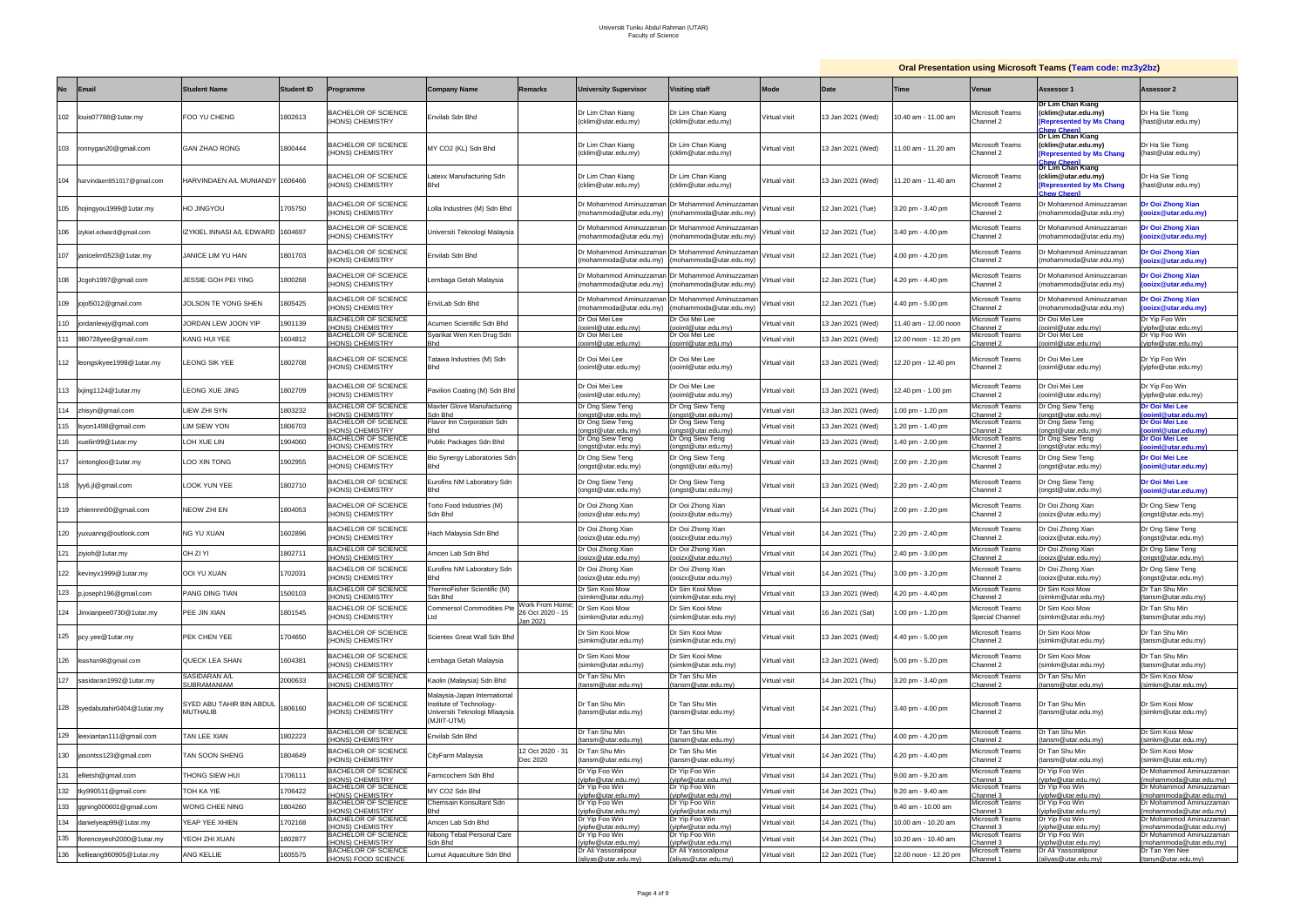|           |                               |                                      |                   |                                                      |                                                                                                          |                                                |                                                   |                                                    |               |                   |                       |                                       | <b>Oral Presentation using Microsoft Teams (Team code: mz3y2bz)</b>                     |                                                    |
|-----------|-------------------------------|--------------------------------------|-------------------|------------------------------------------------------|----------------------------------------------------------------------------------------------------------|------------------------------------------------|---------------------------------------------------|----------------------------------------------------|---------------|-------------------|-----------------------|---------------------------------------|-----------------------------------------------------------------------------------------|----------------------------------------------------|
| <b>No</b> | Email                         | <b>Student Name</b>                  | <b>Student ID</b> | Programme                                            | <b>Company Name</b>                                                                                      | Remarks                                        | <b>University Supervisor</b>                      | <b>Visiting staff</b>                              | <b>Mode</b>   | Date              | Time                  | Venue                                 | Assessor 1                                                                              | Assessor 2                                         |
| 102       | louis07788@1utar.my           | FOO YU CHENG                         | 1802613           | <b>BACHELOR OF SCIENCE</b><br>HONS) CHEMISTRY        | Envilab Sdn Bhd                                                                                          |                                                | Dr Lim Chan Kiang<br>(cklim@utar.edu.my)          | Dr Lim Chan Kiang<br>(cklim@utar.edu.my)           | Virtual visit | 13 Jan 2021 (Wed) | 10.40 am - 11.00 am   | <i>l</i> icrosoft Teams<br>hannel 2   | Dr Lim Chan Kiang<br>cklim@utar.edu.my)<br><b>Represented by Ms Chang</b><br>hew Cheen  | Dr Ha Sie Tiong<br>(hast@utar.edu.my)              |
|           | 103 ronnygan20@gmail.com      | <b>GAN ZHAO RONG</b>                 | 1800444           | BACHELOR OF SCIENCE<br>HONS) CHEMISTRY               | MY CO2 (KL) Sdn Bhd                                                                                      |                                                | Dr Lim Chan Kiang<br>(cklim@utar.edu.my)          | Dr Lim Chan Kiang<br>(cklim@utar.edu.my)           | Virtual visit | 13 Jan 2021 (Wed) | 1.00 am - 11.20 am    | <i>l</i> icrosoft Teams<br>hannel 2   | Dr Lim Chan Kiang<br>cklim@utar.edu.my)<br><b>Represented by Ms Chang</b><br>hew Cheen  | Dr Ha Sie Tiong<br>(hast@utar.edu.my)              |
| 104       | harvindaen951017@gmail.com    | HARVINDAEN A/L MUNIANDY              | 1606466           | BACHELOR OF SCIENCE<br>HONS) CHEMISTRY               | Latexx Manufacturing Sdn<br><b>Bhd</b>                                                                   |                                                | Dr Lim Chan Kiang<br>(cklim@utar.edu.my)          | Dr Lim Chan Kiang<br>(cklim@utar.edu.my)           | Virtual visit | 13 Jan 2021 (Wed) | 1.20 am - 11.40 am    | <i>A</i> icrosoft Teams<br>-2 hannel  | Dr Lim Chan Kiang<br>cklim@utar.edu.my)<br><b>Represented by Ms Chang</b><br>hew Cheenl | Dr Ha Sie Tiong<br>(hast@utar.edu.my)              |
| 105       | hojingyou1999@1utar.my        | HO JINGYOU                           | 1705750           | <b>BACHELOR OF SCIENCE</b><br>HONS) CHEMISTRY        | Lolla Industries (M) Sdn Bhd                                                                             |                                                | Dr Mohammod Aminuzzan<br>mohammoda@utar.edu.my)   | Dr Mohammod Aminuzzamar<br>(mohammoda@utar.edu.mv) | Virtual visit | 12 Jan 2021 (Tue) | 3.20 pm - 3.40 pm     | <i>l</i> licrosoft Teams<br>Channel 2 | 0r Mohammod Aminuzzaman<br>mohammoda@utar.edu.my)                                       | Dr Ooi Zhong Xian<br>(ooizx@utar.edu.my)           |
| 106       | izykiel.edward@gmail.com      | IZYKIEL INNASI A/L EDWARD            | 1604697           | <b>BACHELOR OF SCIENCE</b><br>HONS) CHEMISTRY        | Universiti Teknologi Malaysia                                                                            |                                                | Dr Mohammod Aminuzzama<br>(mohammoda@utar.edu.my) | Dr Mohammod Aminuzzama<br>(mohammoda@utar.edu.my)  | Virtual visit | 12 Jan 2021 (Tue) | .40 pm - 4.00 pm      | <i>l</i> licrosoft Teams<br>Channel 2 | )r Mohammod Aminuzzaman<br>mohammoda@utar.edu.my)                                       | Dr Ooi Zhong Xian<br>(ooizx@utar.edu.my)           |
| 107       | janicelim0523@1utar.my        | JANICE LIM YU HAN                    | 1801703           | <b>BACHELOR OF SCIENCE</b><br>HONS) CHEMISTRY        | Envilab Sdn Bhd                                                                                          |                                                | Dr Mohammod Aminuzzama<br>mohammoda@utar.edu.my)  | Dr Mohammod Aminuzzaman<br>(mohammoda@utar.edu.my) | √irtual visit | 12 Jan 2021 (Tue) | 1.00 pm - 4.20 pm     | Aicrosoft Teams<br>Channel 2          | Or Mohammod Aminuzzaman<br>mohammoda@utar.edu.my)                                       | Dr Ooi Zhong Xian<br>(ooizx@utar.edu.my)           |
| 108       | Jcgoh1997@gmail.com           | JESSIE GOH PEI YING                  | 1800268           | <b>BACHELOR OF SCIENCE</b><br>HONS) CHEMISTRY        | Lembaga Getah Malaysia                                                                                   |                                                | Dr Mohammod Aminuzzama<br>mohammoda@utar.edu.my)  | Dr Mohammod Aminuzzaman<br>(mohammoda@utar.edu.my) | Virtual visit | 12 Jan 2021 (Tue) | 1.20 pm - 4.40 pm     | <i>l</i> icrosoft Teams<br>Channel 2  | )r Mohammod Aminuzzaman<br>mohammoda@utar.edu.my)                                       | Dr Ooi Zhong Xian<br>(ooizx@utar.edu.my)           |
| 109       | jojol5012@gmail.com           | <b>JOLSON TE YONG SHEN</b>           | 805425            | BACHELOR OF SCIENCE<br>HONS) CHEMISTRY               | EnviLab Sdn Bhd                                                                                          |                                                | Dr Mohammod Aminuzzama<br>mohammoda@utar.edu.my)  | Dr Mohammod Aminuzzaman<br>(mohammoda@utar.edu.my) | Virtual visit | 12 Jan 2021 (Tue) | .40 pm - 5.00 pm      | Aicrosoft Teams<br>Channel 2          | Dr Mohammod Aminuzzaman<br>mohammoda@utar.edu.my)                                       | Dr Ooi Zhong Xian<br>(ooizx@utar.edu.my)           |
| 110       | jordanlewjy@gmail.com         | JORDAN LEW JOON YIF                  | 1901139           | <b>BACHELOR OF SCIENCE</b><br><b>HONS) CHEMISTRY</b> | Acumen Scientific Sdn Bhd                                                                                |                                                | Dr Ooi Mei Lee<br>ooiml@utar.edu.my)              | Dr Ooi Mei Lee<br>ooiml@utar.edu.my)               | Virtual visit | 13 Jan 2021 (Wed) | 1.40 am - 12.00 noon  | <i>l</i> licrosoft Teams<br>hannel 2  | Dr Ooi Mei Lee<br>boiml@utar.edu.my)                                                    | Dr Yip Foo Win<br>(vipfw@utar.edu.my)              |
| 111       | 980728yee@gmail.com           | <b>KANG HUI YEE</b>                  | 1604812           | BACHELOR OF SCIENCE<br>HONS) CHEMISTRY               | Syarikat Wen Ken Drug Sdn<br>Bhd                                                                         |                                                | Dr Ooi Mei Lee<br>ooiml@utar.edu.my)              | Dr Ooi Mei Lee<br>ooiml@utar.edu.mv)               | Virtual visit | 13 Jan 2021 (Wed) | 12.00 noon - 12.20 pm | licrosoft Teams<br>hannel 2           | Dr Ooi Mei Lee<br>boiml@utar.edu.my)                                                    | Dr Yip Foo Win<br>(vipfw@utar.edu.my)              |
| 112       | leongsikyee1998@1utar.my      | LEONG SIK YEE                        | 1802708           | <b>BACHELOR OF SCIENCE</b><br>HONS) CHEMISTRY        | Tatawa Industries (M) Sdn<br><b>Bhd</b>                                                                  |                                                | Dr Ooi Mei Lee<br>(ooiml@utar.edu.mv)             | Dr Ooi Mei Lee<br>(ooiml@utar.edu.my)              | Virtual visit | 13 Jan 2021 (Wed) | 12.20 pm - 12.40 pm   | <i>l</i> icrosoft Teams<br>Channel 2  | Dr Ooi Mei Lee<br>ooiml@utar.edu.my)                                                    | Dr Yip Foo Win<br>(yipfw@utar.edu.my)              |
| 113       | lxjing1124@1utar.my           | LEONG XUE JING                       | 1802709           | <b>BACHELOR OF SCIENCE</b><br>HONS) CHEMISTRY        | Pavilion Coating (M) Sdn Bhd                                                                             |                                                | Dr Ooi Mei Lee<br>(ooiml@utar.edu.my)             | Dr Ooi Mei Lee<br>(ooiml@utar.edu.my)              | Virtual visit | 13 Jan 2021 (Wed) | 12.40 pm - 1.00 pm    | <i>l</i> icrosoft Teams<br>Channel 2  | Or Ooi Mei Lee<br>ooiml@utar.edu.my)                                                    | Dr Yip Foo Win<br>(yipfw@utar.edu.my)              |
|           | 114 zhisyn@gmail.com          | LIEW ZHI SYN                         | 1803232           | <b>BACHELOR OF SCIENCE</b><br>HONS) CHEMISTRY        | Maxter Glove Manufacturing<br>Sdn Bhd                                                                    |                                                | Dr Ong Siew Teng<br>ongst@utar.edu.my)            | Dr Ong Siew Teng<br>ongst@utar.edu.my)             | Virtual visit | 13 Jan 2021 (Wed) | .00 pm - 1.20 pm      | <i>l</i> licrosoft Teams<br>hannel 2: | Dr Ong Siew Teng<br>ongst@utar.edu.my)                                                  | Dr Ooi Mei Lee<br>(ooiml@utar.edu.my)              |
| 115       | Isyon1498@gmail.com           | IM SIEW YON                          | 1806703           | BACHELOR OF SCIENCE<br>HONS) CHEMISTRY               | Flavor Inn Corporation Sdn                                                                               |                                                | Dr Ong Siew Teng<br>ongst@utar.edu.my             | Dr Ong Siew Teng<br>ongst@utar.edu.my)             | Virtual visit | 3 Jan 2021 (Wed)  | .20 pm - 1.40 pm      | <i>l</i> icrosoft Teams<br>hannel 2:  | Dr Ong Siew Teng<br>ongst@utar.edu.my                                                   | Dr Ooi Mei Lee<br>ooiml@utar.edu.my                |
| 116       | xueliin99@1utar.my            | LOH XUE LIN                          | 1904060           | BACHELOR OF SCIENCE<br>(HONS) CHEMISTRY              | Public Packages Sdn Bhd                                                                                  |                                                | Dr Ong Siew Teng<br>ongst@utar.edu.mv)            | Dr Ong Siew Teng<br>(onast@utar.edu.mv)            | Virtual visit | 13 Jan 2021 (Wed) | 40 pm - 2.00 pm       | <i>A</i> icrosoft Teams<br>Channel 2  | Dr Ong Siew Teng<br>onast@utar.edu.mv)                                                  | Dr Ooi Mei Lee<br>ooiml@utar.edu.mv                |
| 117       | xintongloo@1utar.my           | LOO XIN TONG                         | 902955            | <b>BACHELOR OF SCIENCE</b><br>HONS) CHEMISTRY        | Bio Synergy Laboratories Sdn<br>Bhd                                                                      |                                                | Dr Ong Siew Teng<br>(ongst@utar.edu.my)           | Dr Ong Siew Teng<br>(ongst@utar.edu.my)            | Virtual visit | 13 Jan 2021 (Wed) | .00 pm - 2.20 pm      | <i>A</i> icrosoft Teams<br>Channel 2  | Dr Ong Siew Teng<br>ongst@utar.edu.my)                                                  | Dr Ooi Mei Lee<br>(ooiml@utar.edu.my)              |
|           | 118 lyy6.jl@gmail.com         | LOOK YUN YEE                         | 1802710           | <b>BACHELOR OF SCIENCE</b><br>HONS) CHEMISTRY        | Eurofins NM Laboratory Sdn<br><b>Bhd</b>                                                                 |                                                | Dr Ong Siew Teng<br>(ongst@utar.edu.my)           | Dr Ong Siew Teng<br>(ongst@utar.edu.my)            | Virtual visit | 13 Jan 2021 (Wed) | 2.20 pm - 2.40 pm     | Aicrosoft Teams<br>Channel 2          | Dr Ong Siew Teng<br>ongst@utar.edu.my)                                                  | Dr Ooi Mei Lee<br>(ooiml@utar.edu.mv)              |
|           | 119 zhiennnn00@gmail.com      | NEOW ZHI EN                          | 1804053           | <b>BACHELOR OF SCIENCE</b><br>HONS) CHEMISTRY        | Torto Food Industries (M)<br>Sdn Bhd                                                                     |                                                | Dr Ooi Zhong Xian<br>(ooizx@utar.edu.my)          | Dr Ooi Zhong Xian<br>(ooizx@utar.edu.my)           | Virtual visit | 14 Jan 2021 (Thu) | 2.00 pm - 2.20 pm     | <i>l</i> icrosoft Teams<br>Channel 2  | Ir Ooi Zhong Xian<br>(ooizx@utar.edu.my)                                                | Dr Ong Siew Teng<br>(ongst@utar.edu.my)            |
| 120       | yuxuanng@outlook.com          | NG YU XUAN                           | 1602896           | <b>BACHELOR OF SCIENCE</b><br>HONS) CHEMISTRY        | Hach Malaysia Sdn Bhd                                                                                    |                                                | Dr Ooi Zhong Xian<br>(ooizx@utar.edu.my)          | Dr Ooi Zhong Xian<br>(ooizx@utar.edu.my)           | Virtual visit | 14 Jan 2021 (Thu) | 2.20 pm - 2.40 pm     | licrosoft Teams<br>Channel 2          | Dr Ooi Zhong Xian<br>(ooizx@utar.edu.my)                                                | Dr Ong Siew Teng<br>(ongst@utar.edu.my)            |
|           | 121 ziyioh@1utar.my           | OH ZI YI                             | 1802711           | BACHELOR OF SCIENCE<br>(HONS) CHEMISTRY              | Amcen Lab Sdn Bhd                                                                                        |                                                | Dr Ooi Zhong Xian<br>(ooizx@utar.edu.my)          | Dr Ooi Zhong Xian<br>(ooizx@utar.edu.my)           | Virtual visit | 14 Jan 2021 (Thu) | 2.40 pm - 3.00 pm     | licrosoft Teams<br>Channel 2          | Dr Ooi Zhong Xian<br>ooizx@utar.edu.my)                                                 | Dr Ong Siew Teng<br>(ongst@utar.edu.mv)            |
|           | 122 kevinyx1999@1utar.my      | <b>OOI YU XUAN</b>                   | 702031            | <b>BACHELOR OF SCIENCE</b><br>HONS) CHEMISTRY        | Eurofins NM Laboratory Sdn<br>Bhd                                                                        |                                                | Dr Ooi Zhong Xian<br>(ooizx@utar.edu.my)          | Dr Ooi Zhong Xian<br>(ooizx@utar.edu.my)           | Virtual visit | 4 Jan 2021 (Thu)  | 3.00 pm - 3.20 pm     | Microsoft Teams<br>Channel 2          | Dr Ooi Zhong Xian<br>ooizx@utar.edu.my)                                                 | Dr Ong Siew Teng<br>(ongst@utar.edu.my)            |
| 123       | p.joseph196@gmail.com         | PANG DING TIAN                       | 1500103           | <b>BACHELOR OF SCIENCE</b><br>HONS) CHEMISTRY        | ThermoFisher Scientific (M)<br>Sdn Bhd                                                                   |                                                | Dr Sim Kooi Mow<br>simkm@utar.edu.my)             | Dr Sim Kooi Mow<br>(simkm@utar.edu.my)             | Virtual visit | 13 Jan 2021 (Wed) | 1.20 pm - 4.40 pm     | Microsoft Teams<br>-2 hannel          | Dr Sim Kooi Mow<br>simkm@utar.edu.mv)                                                   | Dr Tan Shu Min<br>(tansm@utar.edu.my)              |
|           | 124 Jinxianpee0730@1utar.my   | PEE JIN XIAN                         | 1801545           | BACHELOR OF SCIENCE<br>HONS) CHEMISTRY               | Commersol Commodities Pt<br>Ltd                                                                          | Work From Home;<br>26 Oct 2020 - 15<br>an 2021 | Dr Sim Kooi Mow<br>(simkm@utar.edu.my)            | Dr Sim Kooi Mow<br>(simkm@utar.edu.my)             | Virtual visit | 16 Jan 2021 (Sat) | 1.00 pm - 1.20 pm     | Microsoft Teams<br>Special Channel    | Dr Sim Kooi Mow<br>simkm@utar.edu.my)                                                   | Dr Tan Shu Min<br>(tansm@utar.edu.my)              |
|           | 125 pcy.yee@1utar.my          | PEK CHEN YEE                         | 1704650           | <b>BACHELOR OF SCIENCE</b><br>HONS) CHEMISTRY        | Scientex Great Wall Sdn Bhd                                                                              |                                                | Dr Sim Kooi Mow<br>(simkm@utar.edu.my)            | Dr Sim Kooi Mow<br>(simkm@utar.edu.my)             | Virtual visit | 13 Jan 2021 (Wed) | 4.40 pm - 5.00 pm     | Microsoft Teams<br>Channel 2          | Dr Sim Kooi Mow<br>(simkm@utar.edu.my)                                                  | Dr Tan Shu Min<br>(tansm@utar.edu.my)              |
| 126       | leashan98@gmail.com           | <b>QUECK LEA SHAN</b>                | 1604381           | BACHELOR OF SCIENCE<br>(HONS) CHEMISTRY              | Lembaga Getah Malaysia                                                                                   |                                                | Dr Sim Kooi Mow<br>(simkm@utar.edu.my)            | Dr Sim Kooi Mow<br>(simkm@utar.edu.my)             | Virtual visit | 13 Jan 2021 (Wed) | 5.00 pm - 5.20 pm     | Microsoft Teams<br>Channel 2          | Dr Sim Kooi Mow<br>(simkm@utar.edu.my)                                                  | Dr Tan Shu Min<br>(tansm@utar.edu.my)              |
| 127       | sasidaran1992@1utar.my        | SASIDARAN A/L<br><b>SUBRAMANIAM</b>  | 2000633           | <b>BACHELOR OF SCIENCE</b><br>HONS) CHEMISTRY        | Kaolin (Malaysia) Sdn Bhd                                                                                |                                                | Dr Tan Shu Min<br>tansm@utar.edu.my)              | Dr Tan Shu Min<br>(tansm@utar.edu.my)              | Virtual visit | 4 Jan 2021 (Thu)  | 3.20 pm - 3.40 pm     | Microsoft Teams<br>hannel 2           | Dr Tan Shu Min<br>tansm@utar.edu.my)                                                    | Dr Sim Kooi Mow<br>(simkm@utar.edu.my)             |
|           | 128 syedabutahir0404@1utar.my | SYED ABU TAHIR BIN ABDUL<br>MUTHALIB | 1806160           | BACHELOR OF SCIENCE<br>(HONS) CHEMISTRY              | Malaysia-Japan International<br>Institute of Technology-<br>Universiti Teknologi Mlaaysia<br>(MJIIT-UTM) |                                                | Dr Tan Shu Min<br>(tansm@utar.edu.my)             | Dr Tan Shu Min<br>(tansm@utar.edu.my)              | Virtual visit | 14 Jan 2021 (Thu) | 3.40 pm - 4.00 pm     | Microsoft Teams<br>Channel 2          | Dr Tan Shu Min<br>(tansm@utar.edu.my)                                                   | Dr Sim Kooi Mow<br>(simkm@utar.edu.my)             |
| 129       | leexiantan111@gmail.com       | <b>TAN LEE XIAN</b>                  | 802223            | BACHELOR OF SCIENCE<br>HONS) CHEMISTRY               | Envilab Sdn Bhd                                                                                          |                                                | Dr Tan Shu Min<br>tansm@utar.edu.my)              | Dr Tan Shu Min<br>(tansm@utar.edu.my)              | Virtual visit | 4 Jan 2021 (Thu)  | 4.00 pm - 4.20 pm     | Microsoft Teams<br>hannel 2           | Dr Tan Shu Min<br>tansm@utar.edu.my)                                                    | Dr Sim Kooi Mow<br>(simkm@utar.edu.my)             |
| 130       | jasontss123@gmail.com         | TAN SOON SHENG                       | 1804649           | <b>BACHELOR OF SCIENCE</b><br>HONS) CHEMISTRY        | CityFarm Malaysia                                                                                        | 12 Oct 2020 - 31<br>Dec 2020                   | Dr Tan Shu Min<br>(tansm@utar.edu.my)             | Dr Tan Shu Min<br>(tansm@utar.edu.my)              | Virtual visit | 4 Jan 2021 (Thu)  | 4.20 pm - 4.40 pm     | Microsoft Teams<br>Channel 2          | Dr Tan Shu Min<br>tansm@utar.edu.my)                                                    | Dr Sim Kooi Mow<br>(simkm@utar.edu.my)             |
| 131       | ellietsh@gmail.com            | HONG SIEW HUI                        | 706111            | <b>BACHELOR OF SCIENCE</b><br>HONS) CHEMISTRY        | armcochem Sdn Bhd                                                                                        |                                                | Dr Yip Foo Win<br>(vipfw@utar.edu.my)             | Dr Yip Foo Win<br>(vipfw@utar.edu.my)              | Virtual visit | 4 Jan 2021 (Thu)  | 3.00 am - 9.20 am     | Microsoft Teams<br>hannel 3           | Dr Yip Foo Win<br>yipfw@utar.edu.my)                                                    | Dr Mohammod Aminuzzaman<br>(mohammoda@utar.edu.my) |
| 132       | tky990511@gmail.com           | TOH KA YIE                           | 706422            | <b>BACHELOR OF SCIENCE</b><br>(HONS) CHEMISTRY       | MY CO2 Sdn Bhd                                                                                           |                                                | Dr Yip Foo Win<br>vipfw@utar.edu.my)              | Dr Yip Foo Win<br>(vipfw@utar.edu.mv)              | Virtual visit | 14 Jan 2021 (Thu) | 9.20 am - 9.40 am     | Microsoft Teams                       | Dr Yip Foo Win                                                                          | Dr Mohammod Aminuzzaman                            |
| 133       | ggning000601@gmail.com        | WONG CHEE NING                       | 1804260           | <b>BACHELOR OF SCIENCE</b>                           | Chemsain Konsultant Sdn                                                                                  |                                                | Dr Yip Foo Win                                    | Dr Yip Foo Win                                     | Virtual visit | 14 Jan 2021 (Thu) | 9.40 am - 10.00 am    | hannel 3:<br>Microsoft Teams          | vipfw@utar.edu.mv)<br>Dr Yip Foo Win                                                    | (mohammoda@utar.edu.my)<br>Dr Mohammod Aminuzzaman |
| 134       | danielyeap99@1utar.my         | YEAP YEE XHIEN                       | 1702168           | HONS) CHEMISTRY<br><b>BACHELOR OF SCIENCE</b>        | Bhd<br>Amcen Lab Sdn Bhd                                                                                 |                                                | (vipfw@utar.edu.my)<br>Dr Yip Foo Win             | (vipfw@utar.edu.my)<br>Dr Yip Foo Win              | Virtual visit | 14 Jan 2021 (Thu) | 10.00 am - 10.20 am   | :hannel 3<br>Aicrosoft Teams          | yipfw@utar.edu.my)<br>Dr Yip Foo Win                                                    | (mohammoda@utar.edu.my)<br>Dr Mohammod Aminuzzaman |
| 135       | florenceyeoh2000@1utar.my     | YEOH ZHI XUAN                        | 1802877           | HONS) CHEMISTRY<br><b>BACHELOR OF SCIENCE</b>        | Nibong Tebal Personal Care                                                                               |                                                | vipfw@utar.edu.my)<br>Dr Yip Foo Win              | (vipfw@utar.edu.my)<br>Dr Yip Foo Win              | Virtual visit | 14 Jan 2021 (Thu) | 10.20 am - 10.40 am   | hannel 3<br>Aicrosoft Teams           | /ipfw@utar.edu.my)<br>Dr Yip Foo Win                                                    | (mohammoda@utar.edu.my)<br>Dr Mohammod Aminuzzaman |
|           |                               | ANG KELLIE                           |                   | HONS) CHEMISTRY<br><b>BACHELOR OF SCIENCE</b>        | Sdn Bhd                                                                                                  |                                                | yipfw@utar.edu.my)<br>Dr Ali Yassoralipour        | (vipfw@utar.edu.my)<br>Dr Ali Yassoralipour        |               |                   |                       | hannel 3<br>Microsoft Teams           | /ipfw@utar.edu.my)<br>Dr Ali Yassoralipour                                              | (mohammoda@utar.edu.my)<br>Dr Tan Yen Nee          |
| 136       | kellieang960905@1utar.my      |                                      | 1605575           | (HONS) FOOD SCIENCE                                  | umut Aquaculture Sdn Bhd.                                                                                |                                                | (aliyas@utar.edu.my)                              | (aliyas@utar.edu.my)                               | Virtual visit | 12 Jan 2021 (Tue) | 12.00 noon - 12.20 pm | hannel 1                              | aliyas@utar.edu.my)                                                                     | (tanyn@utar.edu.my)                                |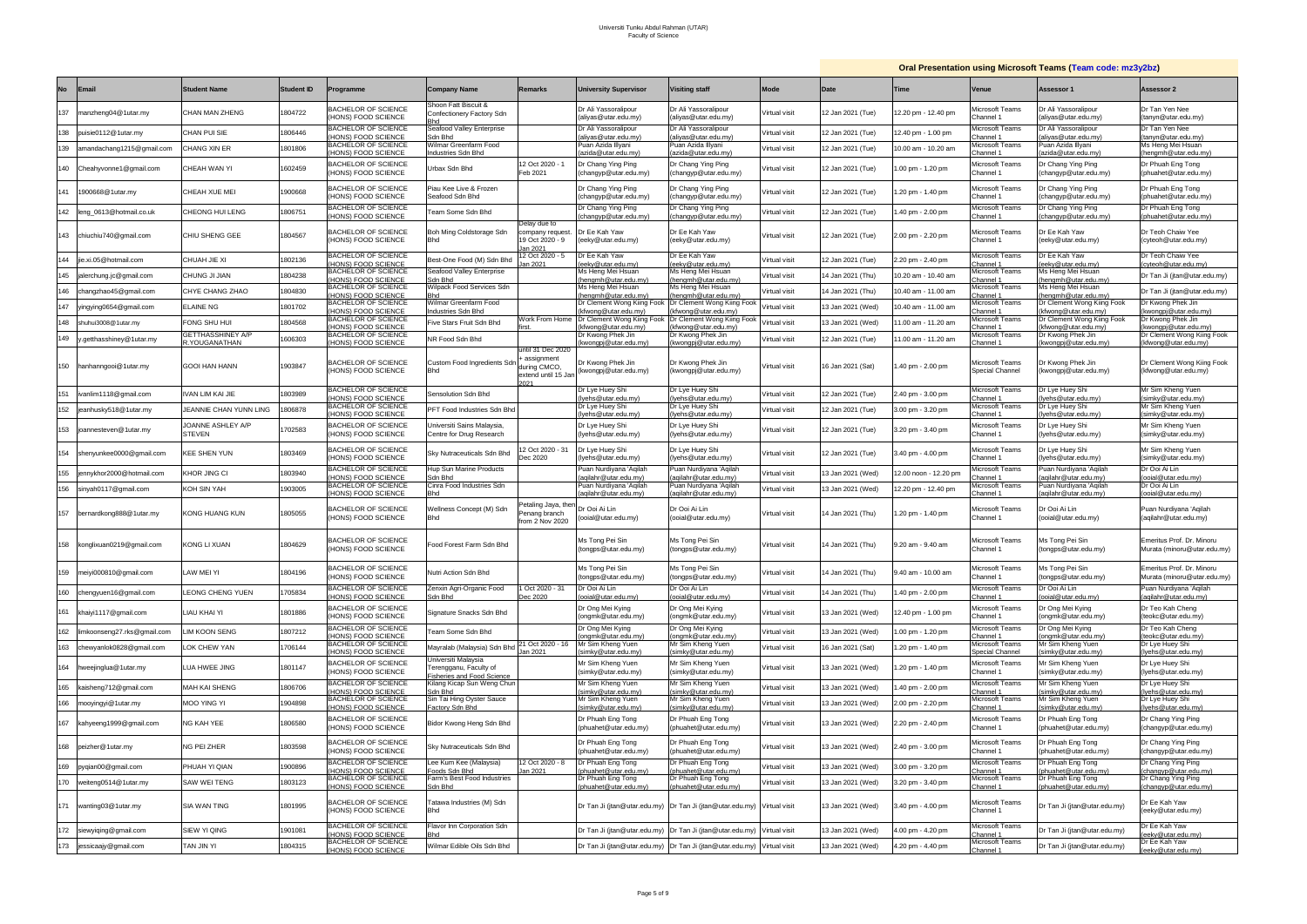| <b>Oral Presentation using Microsoft Teams (Team code: mz3y2bz)</b> |  |  |
|---------------------------------------------------------------------|--|--|
|                                                                     |  |  |

|           |                              |                                    |                   |                                                                        |                                                                                    |                                                                              |                                                                     |                                                                                                  |               |                   |                      |                                           | <b>Diam resentation asing initiosoft reams (ream code: masyaba</b> |                                                                   |
|-----------|------------------------------|------------------------------------|-------------------|------------------------------------------------------------------------|------------------------------------------------------------------------------------|------------------------------------------------------------------------------|---------------------------------------------------------------------|--------------------------------------------------------------------------------------------------|---------------|-------------------|----------------------|-------------------------------------------|--------------------------------------------------------------------|-------------------------------------------------------------------|
| <b>No</b> | <b>Email</b>                 | <b>Student Name</b>                | <b>Student ID</b> | Programme                                                              | <b>Company Name</b>                                                                | <b>Remarks</b>                                                               | <b>University Supervisor</b>                                        | <b>Visiting staff</b>                                                                            | Mode          | Date              | Time                 | Venue                                     | Assessor 1                                                         | Assessor 2                                                        |
| 137       | manzheng04@1utar.my          | CHAN MAN ZHENG                     | 1804722           | <b>BACHELOR OF SCIENCE</b><br>HONS) FOOD SCIENCE                       | Shoon Fatt Biscuit &<br>Confectionery Factory Sdn                                  |                                                                              | Dr Ali Yassoralipour<br>(aliyas@utar.edu.my)                        | Dr Ali Yassoralipour<br>(aliyas@utar.edu.my)                                                     | Virtual visit | 12 Jan 2021 (Tue) | 2.20 pm - 12.40 pm   | <i>A</i> icrosoft Teams<br>Channel 1      | Dr Ali Yassoralipour<br>(aliyas@utar.edu.my)                       | Dr Tan Yen Nee<br>(tanyn@utar.edu.my)                             |
| 138       | puisie0112@1utar.my          | CHAN PUI SIE                       | 1806446           | <b>BACHELOR OF SCIENCE</b><br>HONS) FOOD SCIENCE                       | Seafood Valley Enterprise<br>Sdn Bhd                                               |                                                                              | Dr Ali Yassoralipour<br>lliyas@utar.edu.my                          | Dr Ali Yassoralipour<br>aliyas@utar.edu.my                                                       | /irtual visit | 12 Jan 2021 (Tue) | 2.40 pm - 1.00 pm    | Microsoft Teams<br>hannel 1:              | Dr Ali Yassoralipour<br>aliyas@utar.edu.my)                        | Dr Tan Yen Nee<br>tanyn@utar.edu.my)                              |
| 139       | amandachang1215@gmail.com    | CHANG XIN ER                       | 1801806           | <b>BACHELOR OF SCIENCE</b><br>HONS) FOOD SCIENCE                       | Wilmar Greenfarm Food<br>Industries Sdn Bhd                                        |                                                                              | uan Azida Illyani<br>azida@utar.edu.my)                             | Puan Azida Illyani<br>(azida@utar.edu.my)                                                        | Virtual visit | 12 Jan 2021 (Tue) | 10.00 am - 10.20 am  | <i>A</i> icrosoft Teams<br>hannel 1:      | <sup>9</sup> uan Azida Illyani<br>(azida@utar.edu.my)              | Ms Heng Mei Hsuan<br>(hengmh@utar.edu.my                          |
|           | 140 Cheahyvonne1@gmail.com   | CHEAH WAN YI                       | 1602459           | <b>BACHELOR OF SCIENCE</b><br>HONS) FOOD SCIENCE                       | Urbax Sdn Bhd                                                                      | 12 Oct 2020 - 1<br>Feb 2021                                                  | Dr Chang Ying Ping<br>changyp@utar.edu.my)                          | Dr Chang Ying Ping<br>(changyp@utar.edu.my)                                                      | Virtual visit | 12 Jan 2021 (Tue) | .00 pm - 1.20 pm     | <b>Microsoft Teams</b><br>Channel 1       | Dr Chang Ying Ping<br>changyp@utar.edu.my)                         | Dr Phuah Eng Tong<br>(phuahet@utar.edu.my)                        |
| 141       | 1900668@1utar.my             | CHEAH XUE MEI                      | 900668            | BACHELOR OF SCIENCE<br>HONS) FOOD SCIENCE                              | Piau Kee Live & Frozen<br>Seafood Sdn Bhd                                          |                                                                              | Dr Chang Ying Ping<br>(changyp@utar.edu.my)                         | Dr Chang Ying Ping<br>(changyp@utar.edu.my)                                                      | /irtual visit | 12 Jan 2021 (Tue) | .20 pm - 1.40 pm     | Microsoft Teams<br>Channel 1              | Dr Chang Ying Ping<br>(changyp@utar.edu.my)                        | Dr Phuah Eng Tong<br>(phuahet@utar.edu.my)                        |
| 142       | leng_0613@hotmail.co.uk      | CHEONG HUI LENG                    | 1806751           | BACHELOR OF SCIENCE<br>HONS) FOOD SCIENCE                              | <b>Team Some Sdn Bhd</b>                                                           |                                                                              | Dr Chang Ying Ping<br>changyp@utar.edu.my)                          | Dr Chang Ying Ping<br>(changyp@utar.edu.my)                                                      | Virtual visit | 12 Jan 2021 (Tue) | .40 pm - 2.00 pm     | Microsoft Teams<br>hannel 1               | Dr Chang Ying Ping<br>changyp@utar.edu.my)                         | Dr Phuah Eng Tong<br>phuahet@utar.edu.my                          |
|           | 143 chiuchiu740@gmail.com    | CHIU SHENG GEE                     | 1804567           | BACHELOR OF SCIENCE<br>HONS) FOOD SCIENCE                              | Boh Ming Coldstorage Sdn<br>Bhd                                                    | Delay due to<br>company request. Dr Ee Kah Yaw<br>19 Oct 2020 - 9<br>an 2021 | eeky@utar.edu.my)                                                   | Dr Ee Kah Yaw<br>(eeky@utar.edu.my)                                                              | Virtual visit | 12 Jan 2021 (Tue) | 2.00 pm - 2.20 pm    | Microsoft Teams<br>Channel 1              | Dr Ee Kah Yaw<br>(eeky@utar.edu.my)                                | Dr Teoh Chaiw Yee<br>(cyteoh@utar.edu.my)                         |
| 144       | jie.xi.05@hotmail.com        | CHUAH JIE XI                       | 1802136           | <b>BACHELOR OF SCIENCE</b><br>HONS) FOOD SCIENCE                       | Best-One Food (M) Sdn Bhd                                                          | 2 Oct 2020 - 5<br>an 2021                                                    | Dr Ee Kah Yaw<br>eeky@utar.edu.my)                                  | Dr Ee Kah Yaw<br>(eeky@utar.edu.my)                                                              | Virtual visit | 12 Jan 2021 (Tue) | 2.20 pm - 2.40 pm    | Microsoft Teams<br>hannel 1:              | Dr Ee Kah Yaw<br>eeky@utar.edu.my)                                 | Dr Teoh Chaiw Yee<br>cyteoh@utar.edu.my)                          |
| 145       | jalerchung.jc@gmail.com      | CHUNG JI JIAN                      | 1804238           | BACHELOR OF SCIENCE<br>HONS) FOOD SCIENCE                              | Seafood Valley Enterprise<br><b>Sdn Bhd</b>                                        |                                                                              | Ms Heng Mei Hsuan<br>hengmh@utar.edu.my)                            | Ms Heng Mei Hsuan<br>hengmh@utar.edu.my)                                                         | Virtual visit | 14 Jan 2021 (Thu) | 10.20 am - 10.40 am  | <i>A</i> icrosoft Teams<br>hannel 1       | Ms Heng Mei Hsuan<br>iengmh@utar.edu.my)                           | Dr Tan Ji (jtan@utar.edu.my)                                      |
| 146       | changzhao45@gmail.com        | CHYE CHANG ZHAO                    | 1804830           | BACHELOR OF SCIENCE<br>HONS) FOOD SCIENCE                              | Wilpack Food Services Sdn<br><b>Bhd</b>                                            |                                                                              | Ms Heng Mei Hsuan<br>hengmh@utar.edu.my)                            | Ms Heng Mei Hsuan<br>(hengmh@utar.edu.my)                                                        | Virtual visit | 14 Jan 2021 (Thu) | 0.40 am - 11.00 am   | Microsoft Teams<br>Channel 1              | Ms Heng Mei Hsuan<br>hengmh@utar.edu.my)                           | Dr Tan Ji (jtan@utar.edu.my)                                      |
| 147       | yingying0654@gmail.com       | <b>ELAINE NG</b>                   | 1801702           | <b>BACHELOR OF SCIENCE</b>                                             | Wilmar Greenfarm Food                                                              |                                                                              |                                                                     | Dr Clement Wong Kiing Fook   Dr Clement Wong Kiing Fook                                          | Virtual visit | 13 Jan 2021 (Wed) | 10.40 am - 11.00 am  | Microsoft Teams                           | Dr Clement Wong Kiing Fook<br>kfwong@utar.edu.mv)                  | Dr Kwong Phek Jin<br>kwongpi@utar.edu.mv                          |
| 148       | shuhui3008@1utar.my          | FONG SHU HUI                       | 1804568           | HONS) FOOD SCIENCE<br><b>BACHELOR OF SCIENCE</b>                       | Industries Sdn Bhd<br>Five Stars Fruit Sdn Bhd                                     |                                                                              | (kfwong@utar.edu.my)<br>Work From Home   Dr Clement Wong Kiing Fook | (kfwong@utar.edu.my)<br>Dr Clement Wong Kiing Fook                                               | Virtual visit | 13 Jan 2021 (Wed) | 1.00 am - 11.20 am   | hannel 1:<br>licrosoft Teams              | Dr Clement Wong Kiing Fook                                         | Dr Kwong Phek Jin                                                 |
|           | 149 y.getthasshiney@1utar.my | <b>GETTHASSHINEY A/P</b>           | 1606303           | (HONS) FOOD SCIENCE<br><b>BACHELOR OF SCIENCE</b>                      | NR Food Sdn Bhd                                                                    |                                                                              | kfwong@utar.edu.my)<br>Dr Kwong Phek Jin                            | (kfwong@utar.edu.my)<br>Dr Kwong Phek Jin                                                        | Virtual visit | 12 Jan 2021 (Tue) | 1.00 am - 11.20 am   | hannel 1:<br>Microsoft Teams              | kfwong@utar.edu.my)<br>Dr Kwong Phek Jin                           | (kwongpj@utar.edu.my)<br>Dr Clement Wong Kiing Fook               |
|           |                              | R.YOUGANATHAN                      |                   | HONS) FOOD SCIENCE                                                     |                                                                                    | until 31 Dec 2020                                                            | kwongpj@utar.edu.my)                                                | (kwongpj@utar.edu.my)                                                                            |               |                   |                      | hannel 1:                                 | (kwongpj@utar.edu.my)                                              | kfwong@utar.edu.my)                                               |
|           | 150 hanhanngooi@1utar.my     | <b>GOOI HAN HANN</b>               | 1903847           | <b>BACHELOR OF SCIENCE</b><br>(HONS) FOOD SCIENCE                      | Custom Food Ingredients Sdr<br>Bhd                                                 | assignment<br>during CMCO,<br>extend until 15 Jan<br>2021                    | Dr Kwong Phek Jin<br>(kwongpj@utar.edu.my)                          | Dr Kwong Phek Jin<br>(kwongpj@utar.edu.my)                                                       | Virtual visit | 16 Jan 2021 (Sat) | 1.40 pm - 2.00 pm    | Microsoft Teams<br>Special Channel        | Dr Kwong Phek Jin<br>kwongpj@utar.edu.my)                          | Dr Clement Wong Kiing Fook<br>(kfwong@utar.edu.my)                |
| 151       | ivanlim1118@gmail.com        | IVAN LIM KAI JIE                   | 1803989           | <b>BACHELOR OF SCIENCE</b><br>HONS) FOOD SCIENCE                       | Sensolution Sdn Bhd                                                                |                                                                              | Dr Lye Huey Shi<br>lyehs@utar.edu.my)                               | Dr Lye Huey Shi<br>lyehs@utar.edu.my)                                                            | Virtual visit | 12 Jan 2021 (Tue) | 2.40 pm - 3.00 pm    | Microsoft Teams<br>hannel 1               | Dr Lye Huey Shi<br>yehs@utar.edu.my)                               | Mr Sim Kheng Yuen<br>simky@utar.edu.my)                           |
| 152       | jeanhusky518@1utar.my        | JEANNIE CHAN YUNN LING             | 806878            | BACHELOR OF SCIENCE<br>HONS) FOOD SCIENCE                              | PFT Food Industries Sdn Bho                                                        |                                                                              | Dr Lye Huey Shi<br><u>yehs@utar.edu.my)</u>                         | Dr Lye Huey Shi<br>lyehs@utar.edu.my)                                                            | Virtual visit | 12 Jan 2021 (Tue) | 3.00 pm - 3.20 pm    | Microsoft Teams<br>Channel 1              | Dr Lye Huey Shi<br><u>lyehs@utar.edu.my)</u>                       | Mr Sim Kheng Yuen<br>simky@utar.edu.my)                           |
|           | 153 joannesteven@1utar.my    | JOANNE ASHLEY A/P<br><b>STEVEN</b> | 702583            | <b>BACHELOR OF SCIENCE</b><br>HONS) FOOD SCIENCE                       | Universiti Sains Malaysia,<br>Centre for Drug Research                             |                                                                              | Dr Lye Huey Shi<br>(lyehs@utar.edu.my)                              | Dr Lye Huey Shi<br>(lyehs@utar.edu.my)                                                           | Virtual visit | 12 Jan 2021 (Tue) | 3.20 pm - 3.40 pm    | Microsoft Teams<br>Channel 1              | Dr Lye Huey Shi<br>(lyehs@utar.edu.my)                             | Mr Sim Kheng Yuen<br>(simky@utar.edu.my)                          |
| 154       | shenyunkee0000@gmail.com     | KEE SHEN YUN                       | 1803469           | <b>BACHELOR OF SCIENCE</b><br>HONS) FOOD SCIENCE                       | Sky Nutraceuticals Sdn Bhd                                                         | 2 Oct 2020 - 31<br>Dec 2020                                                  | Dr Lye Huey Shi<br>(lyehs@utar.edu.my)                              | Dr Lye Huey Shi<br>(lyehs@utar.edu.my)                                                           | Virtual visit | 12 Jan 2021 (Tue) | 3.40 pm - 4.00 pm    | Microsoft Teams<br>Channel 1              | Dr Lye Huey Shi<br>lyehs@utar.edu.my)                              | Mr Sim Kheng Yuen<br>(simky@utar.edu.my)                          |
| 155       | jennykhor2000@hotmail.com    | KHOR JING CI                       | 1803940           | <b>BACHELOR OF SCIENCE</b><br>HONS) FOOD SCIENCE                       | Hup Sun Marine Products<br>Sdn Bhd                                                 |                                                                              | Puan Nurdiyana 'Aqilah<br>aqilahr@utar.edu.my)                      | Puan Nurdiyana 'Aqilah<br>aqilahr@utar.edu.my)                                                   | Virtual visit | 13 Jan 2021 (Wed) | 2.00 noon - 12.20 pm | Microsoft Teams<br>hannel 1:              | Puan Nurdiyana 'Aqilah<br>agilahr@utar.edu.my)                     | Dr Ooi Ai Lin<br>ooial@utar.edu.my)                               |
|           | 156 sinyah0117@gmail.com     | KOH SIN YAH                        | 1903005           | BACHELOR OF SCIENCE<br>HONS) FOOD SCIENCE                              | Cinra Food Industries Sdn<br>Bhd                                                   |                                                                              | Puan Nurdiyana 'Aqilah<br>aqilahr@utar.edu.my)                      | Puan Nurdiyana 'Aqilah<br>agilahr@utar.edu.my)                                                   | Virtual visit | 13 Jan 2021 (Wed) | 12.20 pm - 12.40 pm  | Microsoft Teams<br>hannel 1               | Puan Nurdiyana 'Aqilah<br>aqilahr@utar.edu.my)                     | Dr Ooi Ai Lin<br>ooial@utar.edu.my)                               |
|           | 157 bernardkong888@1utar.my  | KONG HUANG KUN                     | 1805055           | BACHELOR OF SCIENCE<br>HONS) FOOD SCIENCE                              | Wellness Concept (M) Sdn<br><b>Bhd</b>                                             | 'etaling Jaya, then<br>Penang branch<br>rom 2 Nov 2020                       | Dr Ooi Ai Lin<br>ooial@utar.edu.my)                                 | Dr Ooi Ai Lin<br>(ooial@utar.edu.my)                                                             | Virtual visit | 14 Jan 2021 (Thu) | 1.20 pm - 1.40 pm    | Microsoft Teams<br>Channel 1              | Dr Ooi Ai Lin<br>(ooial@utar.edu.my)                               | Puan Nurdiyana 'Agilah<br>(aqilahr@utar.edu.my)                   |
| 158       | konglixuan0219@gmail.com     | KONG LI XUAN                       | 1804629           | <b>BACHELOR OF SCIENCE</b><br>HONS) FOOD SCIENCE                       | Food Forest Farm Sdn Bhd                                                           |                                                                              | Ms Tong Pei Sin<br>(tongps@utar.edu.my)                             | Ms Tong Pei Sin<br>(tongps@utar.edu.my)                                                          | Virtual visit | 14 Jan 2021 (Thu) | 9.20 am - 9.40 am    | Microsoft Teams<br>Channel 1              | Ms Tong Pei Sin<br>(tongps@utar.edu.my)                            | Emeritus Prof. Dr. Minoru<br>Murata (minoru@utar.edu.my)          |
| 159       | meiyi000810@gmail.com        | LAW MEI YI                         | 1804196           | <b>BACHELOR OF SCIENCE</b><br>(HONS) FOOD SCIENCE                      | Nutri Action Sdn Bhd                                                               |                                                                              | Ms Tong Pei Sin<br>(tongps@utar.edu.my)                             | Ms Tong Pei Sin<br>(tongps@utar.edu.my)                                                          | Virtual visit | 14 Jan 2021 (Thu) | 9.40 am - 10.00 am   | Microsoft Teams<br>Channel 1              | Ms Tong Pei Sin<br>(tongps@utar.edu.my)                            | Emeritus Prof. Dr. Minoru<br>Murata (minoru@utar.edu.my)          |
| 160       | chengyuen16@gmail.com        | LEONG CHENG YUEN                   | 705834            | <b>BACHELOR OF SCIENCE</b><br>(HONS) FOOD SCIENCE                      | Zenxin Agri-Organic Food<br>Sdn Bhd                                                | Oct 2020 - 31<br>Dec 2020                                                    | Dr Ooi Ai Lin<br>ooial@utar.edu.my)                                 | Dr Ooi Ai Lin<br>(ooial@utar.edu.my)                                                             | Virtual visit | 14 Jan 2021 (Thu) | .40 pm - 2.00 pm     | Microsoft Teams<br>Channel 1              | Dr Ooi Ai Lin<br>poial@utar.edu.my)                                | Puan Nurdiyana 'Aqilah<br>(agilahr@utar.edu.my)                   |
| 161       | khaiyi1117@gmail.com         | LIAU KHAI YI                       | 1801886           | BACHELOR OF SCIENCE<br>(HONS) FOOD SCIENCE                             | Signature Snacks Sdn Bhd                                                           |                                                                              | Dr Ong Mei Kying<br>(ongmk@utar.edu.my)                             | Dr Ong Mei Kying<br>(ongmk@utar.edu.my)                                                          | /irtual visit | 13 Jan 2021 (Wed) | 2.40 pm - 1.00 pm    | Microsoft Teams<br>Channel 1              | Dr Ong Mei Kying<br>(ongmk@utar.edu.my)                            | Dr Teo Kah Cheng<br>(teokc@utar.edu.my)                           |
| 162       | limkoonseng27.rks@gmail.com  | <b>LIM KOON SENG</b>               | 1807212           | <b>BACHELOR OF SCIENCE</b><br>HONS) FOOD SCIENCE                       | Team Some Sdn Bhd                                                                  |                                                                              | Dr Ong Mei Kying<br>ongmk@utar.edu.my)                              | Dr Ong Mei Kying<br>(ongmk@utar.edu.my)                                                          | Virtual visit | 13 Jan 2021 (Wed) | .00 pm - 1.20 pm     | Microsoft Teams<br>hannel 1               | Dr Ong Mei Kying<br>ongmk@utar.edu.my)                             | Dr Teo Kah Cheng<br>(teokc@utar.edu.my)                           |
|           | 163 chewyanlok0828@gmail.com | LOK CHEW YAN                       | 1706144           | BACHELOR OF SCIENCE<br>HONS) FOOD SCIENCE                              | Mayralab (Malaysia) Sdn Bho                                                        | 21 Oct 2020 - 16<br>in 2021                                                  | Mr Sim Kheng Yuen<br>simky@utar.edu.my)                             | Mr Sim Kheng Yuen<br>simky@utar.edu.my)                                                          | Virtual visit | 16 Jan 2021 (Sat) | 1.20 pm - 1.40 pm    | Microsoft Teams<br>pecial Channel         | Mr Sim Kheng Yuen<br>simky@utar.edu.my)                            | Dr Lye Huey Shi<br>(Ivehs@utar.edu.mv)                            |
| 164       | hweejinglua@1utar.my         | LUA HWEE JING                      | 1801147           | <b>BACHELOR OF SCIENCE</b><br>HONS) FOOD SCIENCE                       | Universiti Malaysia<br>Terengganu, Faculty of<br><b>Fisheries and Food Science</b> |                                                                              | Mr Sim Kheng Yuen<br>(simky@utar.edu.my)                            | Mr Sim Kheng Yuen<br>(simky@utar.edu.my)                                                         | Virtual visit | 13 Jan 2021 (Wed) | .20 pm - 1.40 pm     | Microsoft Teams<br>Channel 1              | Mr Sim Kheng Yuen<br>(simky@utar.edu.my)                           | Dr Lye Huey Shi<br>(lyehs@utar.edu.my)                            |
| 165       | kaisheng712@gmail.com        | <b>MAH KAI SHENG</b>               | 1806706           | <b>BACHELOR OF SCIENCE</b><br>HONS) FOOD SCIENCE                       | Kilang Kicap Sun Weng Chun<br>Sdn Bhd                                              |                                                                              | Mr Sim Kheng Yuen<br>simky@utar.edu.my)                             | Mr Sim Kheng Yuen<br>(simky@utar.edu.my)                                                         | Virtual visit | 13 Jan 2021 (Wed) | .40 pm - 2.00 pm     | Microsoft Teams<br>hannel 1               | Mr Sim Kheng Yuen<br>simky@utar.edu.mv)                            | Dr Lye Huey Shi<br>(lyehs@utar.edu.my)                            |
| 166       | mooyingyi@1utar.my           | MOO YING YI                        | 1904898           | BACHELOR OF SCIENCE<br>HONS) FOOD SCIENCE                              | Sin Tai Hing Oyster Sauce                                                          |                                                                              | Mr Sim Kheng Yuen                                                   | Mr Sim Kheng Yuen                                                                                | Virtual visit | 13 Jan 2021 (Wed) | .00 pm - 2.20 pm     | Microsoft Teams                           | Mr Sim Kheng Yuen                                                  | Dr Lye Huey Shi                                                   |
| 167       | kahyeeng1999@gmail.com       | NG KAH YEE                         | 1806580           | BACHELOR OF SCIENCE<br>(HONS) FOOD SCIENCE                             | Factory Sdn Bhd<br>Bidor Kwong Heng Sdn Bhd                                        |                                                                              | simky@utar.edu.my)<br>Dr Phuah Eng Tong<br>(phuahet@utar.edu.my)    | simky@utar.edu.my)<br>Dr Phuah Eng Tong<br>(phuahet@utar.edu.my)                                 | Virtual visit | 13 Jan 2021 (Wed) | 2.20 pm - 2.40 pm    | Channel 1<br>Microsoft Teams<br>Channel 1 | simky@utar.edu.my)<br>Dr Phuah Eng Tong<br>(phuahet@utar.edu.my)   | lyehs@utar.edu.my)<br>Dr Chang Ying Ping<br>(changyp@utar.edu.my) |
| 168       | peizher@1utar.my             | NG PEI ZHER                        | 1803598           | BACHELOR OF SCIENCE<br>HONS) FOOD SCIENCE                              | Sky Nutraceuticals Sdn Bhd                                                         |                                                                              | Dr Phuah Eng Tong<br>(phuahet@utar.edu.my)                          | Dr Phuah Eng Tong<br>(phuahet@utar.edu.my)                                                       | /irtual visit | 13 Jan 2021 (Wed) | 2.40 pm - 3.00 pm    | Microsoft Teams<br>Channel 1              | Dr Phuah Eng Tong<br>(phuahet@utar.edu.my)                         | Dr Chang Ying Ping<br>(changyp@utar.edu.my)                       |
| 169       | pyqian00@gmail.com           | PHUAH YI QIAN                      | 1900896           | <b>BACHELOR OF SCIENCE</b>                                             | Lee Kum Kee (Malaysia)                                                             | 2 Oct 2020 - 8                                                               | Dr Phuah Eng Tong                                                   | Dr Phuah Eng Tong                                                                                | /irtual visit | 13 Jan 2021 (Wed) | 3.00 pm - 3.20 pm    | Microsoft Teams                           | Dr Phuah Eng Tong                                                  | Dr Chang Ying Ping                                                |
| 170       | weiteng0514@1utar.my         | SAW WEI TENG                       | 1803123           | HONS) FOOD SCIENCE<br><b>BACHELOR OF SCIENCE</b>                       | Foods Sdn Bhd<br>Farm's Best Food Industries                                       | an 2021                                                                      | phuahet@utar.edu.my)<br>Dr Phuah Eng Tong                           | (phuahet@utar.edu.my)<br>Dr Phuah Eng Tong                                                       | Virtual visit | 13 Jan 2021 (Wed) | 3.20 pm - 3.40 pm    | Channel 1<br>Microsoft Teams              | (phuahet@utar.edu.my)<br>Dr Phuah Eng Tong                         | (changyp@utar.edu.my)<br>Dr Chang Ying Ping                       |
| 171       | wanting03@1utar.my           | <b>SIA WAN TING</b>                | 1801995           | HONS) FOOD SCIENCE<br><b>BACHELOR OF SCIENCE</b><br>HONS) FOOD SCIENCE | Sdn Bhd<br>Tatawa Industries (M) Sdn<br><b>Bhd</b>                                 |                                                                              | (phuahet@utar.edu.my)                                               | (phuahet@utar.edu.my)<br>Dr Tan Ji (jtan@utar.edu.my) Dr Tan Ji (jtan@utar.edu.my) Virtual visit |               | 13 Jan 2021 (Wed) | 3.40 pm - 4.00 pm    | Channel 1<br>Microsoft Teams<br>Channel 1 | phuahet@utar.edu.my)<br>Dr Tan Ji (jtan@utar.edu.my)               | changyp@utar.edu.my)<br>Dr Ee Kah Yaw<br>(eeky@utar.edu.my)       |
|           |                              |                                    |                   | <b>BACHELOR OF SCIENCE</b>                                             | Flavor Inn Corporation Sdn                                                         |                                                                              |                                                                     |                                                                                                  |               |                   |                      | Microsoft Teams                           |                                                                    | Dr Ee Kah Yaw                                                     |
| 172       | siewyiqing@gmail.com         | SIEW YI QING                       | 1901081           | (HONS) FOOD SCIENCE<br><b>BACHELOR OF SCIENCE</b>                      | Bhd                                                                                |                                                                              |                                                                     | Dr Tan Ji (jtan@utar.edu.my) Dr Tan Ji (jtan@utar.edu.my) Virtual visit                          |               | 13 Jan 2021 (Wed) | .00 pm - 4.20 pm     | Channel 1<br><b>Microsoft Teams</b>       | Dr Tan Ji (jtan@utar.edu.my)                                       | (eeky@utar.edu.my)<br>Dr Ee Kah Yaw                               |
|           | 173 jessicaajy@gmail.com     | <b>TAN JIN YI</b>                  | 1804315           | HONS) FOOD SCIENCE                                                     | Vilmar Edible Oils Sdn Bhd                                                         |                                                                              |                                                                     | Dr Tan Ji (jtan@utar.edu.my) Dr Tan Ji (jtan@utar.edu.my) Virtual visit                          |               | 13 Jan 2021 (Wed) | 4.20 pm - 4.40 pm    | Channel 1                                 | Dr Tan Ji (jtan@utar.edu.my)                                       | eeky@utar.edu.my)                                                 |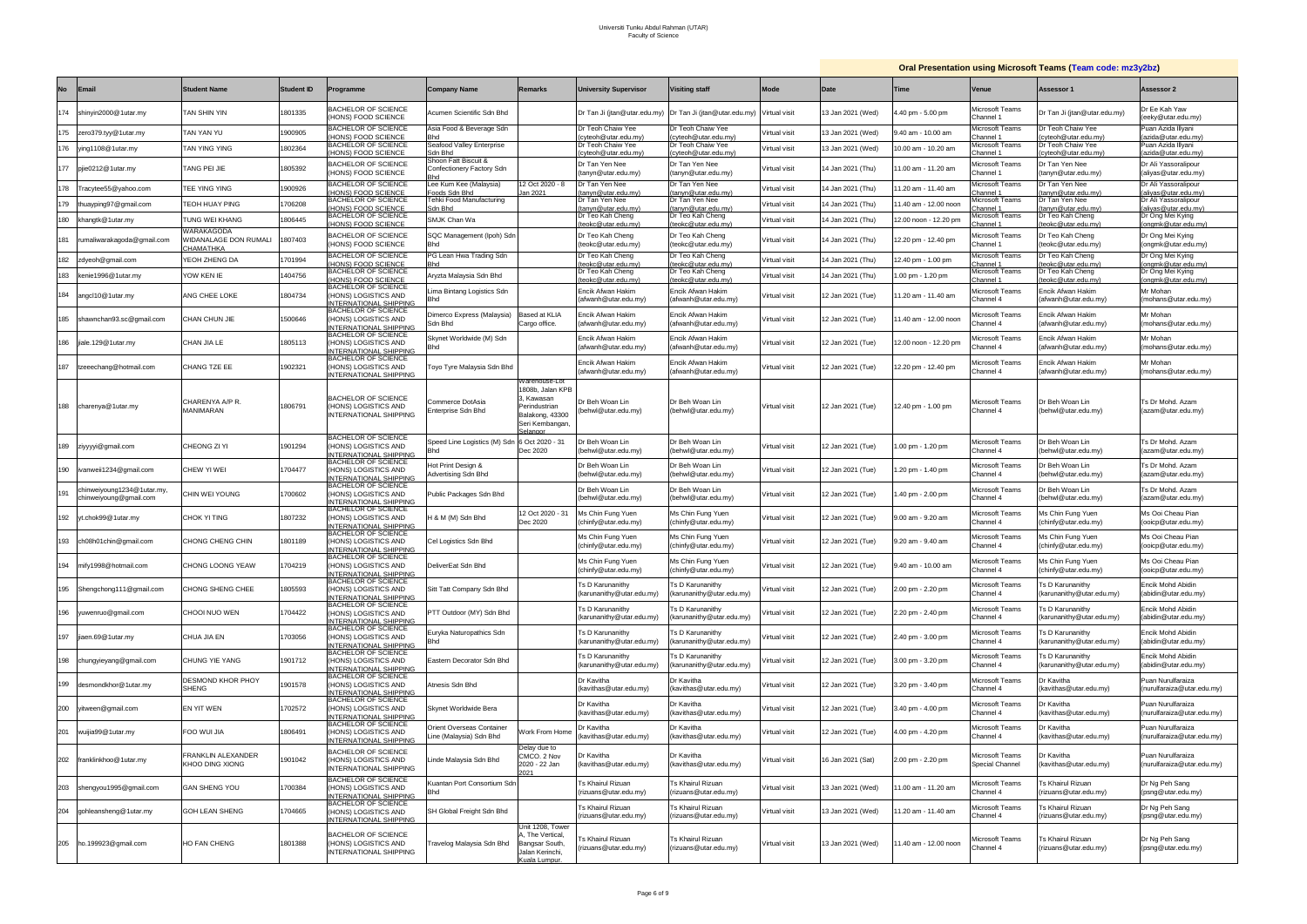## **Oral Presentation using Microsoft Teams (Team code: mz3y2bz)**

|           |                                                     |                                                  |                   |                                                                                                        |                                                     |                                                                                          |                                                      |                                                           |               |                   |                       |                                             | <b>Oral Presentation using Microsoft Teams (Team code: mz3y2bz)</b> |                                                 |
|-----------|-----------------------------------------------------|--------------------------------------------------|-------------------|--------------------------------------------------------------------------------------------------------|-----------------------------------------------------|------------------------------------------------------------------------------------------|------------------------------------------------------|-----------------------------------------------------------|---------------|-------------------|-----------------------|---------------------------------------------|---------------------------------------------------------------------|-------------------------------------------------|
| <b>No</b> | <b>Email</b>                                        | <b>Student Name</b>                              | <b>Student ID</b> | Programme                                                                                              | <b>Company Name</b>                                 | Remarks                                                                                  | <b>University Supervisor</b>                         | <b>Visiting staff</b>                                     | <b>Mode</b>   | Date              | <b>Time</b>           | Venue                                       | Assessor 1                                                          | Assessor 2                                      |
| 174       | shinyin2000@1utar.my                                | TAN SHIN YIN                                     | 1801335           | <b>BACHELOR OF SCIENCE</b><br>HONS) FOOD SCIENCE                                                       | Acumen Scientific Sdn Bhd                           |                                                                                          |                                                      | Dr Tan Ji (jtan@utar.edu.my) Dr Tan Ji (jtan@utar.edu.my) | Virtual visit | 13 Jan 2021 (Wed) | .40 pm - 5.00 pm      | <i>l</i> icrosoft Teams<br>Channel 1        | Dr Tan Ji (jtan@utar.edu.my)                                        | Dr Ee Kah Yaw<br>(eeky@utar.edu.my)             |
| 175       | zero379.tyy@1utar.my                                | TAN YAN YU                                       | 1900905           | <b>BACHELOR OF SCIENCE</b><br><b>HONS) FOOD SCIENCE</b>                                                | Asia Food & Beverage Sdn                            |                                                                                          | Dr Teoh Chaiw Yee<br>cyteoh@utar.edu.my)             | Dr Teoh Chaiw Yee<br>yteoh@utar.edu.my                    | Virtual visit | 13 Jan 2021 (Wed) | .40 am - 10.00 am     | <i>l</i> licrosoft Teams<br>hannel 1        | Dr Teoh Chaiw Yee<br>yteoh@utar.edu.my                              | Puan Azida Illyani<br>azida@utar.edu.my         |
| 176       | ying1108@1utar.my                                   | TAN YING YING                                    | 802364            | <b>BACHELOR OF SCIENCE</b>                                                                             | Seafood Valley Enterprise                           |                                                                                          | Dr Teoh Chaiw Yee                                    | Dr Teoh Chaiw Yee                                         | Virtual visit | I3 Jan 2021 (Wed) | 0.00 am - 10.20 am    | <i>l</i> icrosoft Teams                     | Dr Teoh Chaiw Yee                                                   | Puan Azida Illyani                              |
|           |                                                     |                                                  |                   | (HONS) FOOD SCIENCE<br><b>BACHELOR OF SCIENCE</b>                                                      | Sdn Bhd<br>Shoon Fatt Biscuit &                     |                                                                                          | cyteoh@utar.edu.my)<br>Dr Tan Yen Nee                | cyteoh@utar.edu.my)<br>Dr Tan Yen Nee                     |               |                   |                       | hannel 1:<br><i>l</i> icrosoft Teams        | :yteoh@utar.edu.my)<br>Dr Tan Yen Nee                               | (azida@utar.edu.my)<br>Dr Ali Yassoralipour     |
| 177       | pjie0212@1utar.my                                   | TANG PEI JIE                                     | 1805392           | (HONS) FOOD SCIENCE                                                                                    | Confectionery Factory Sdn                           |                                                                                          | (tanyn@utar.edu.my)                                  | (tanyn@utar.edu.my)                                       | Virtual visit | 14 Jan 2021 (Thu) | 1.00 am - 11.20 am    | Channel 1                                   | tanyn@utar.edu.my)                                                  | (aliyas@utar.edu.my)                            |
| 178       | Tracytee55@yahoo.com                                | TEE YING YING                                    | 900926            | <b>BACHELOR OF SCIENCE</b><br>HONS) FOOD SCIENCE                                                       | Lee Kum Kee (Malaysia)<br>Foods Sdn Bho             | 2 Oct 2020 - 8<br>an 2021                                                                | Dr Tan Yen Nee<br>tanyn@utar.edu.my                  | Dr Tan Yen Nee<br>tanyn@utar.edu.my)                      | √irtual visit | 4 Jan 2021 (Thu)  | 1.20 am - 11.40 am    | <i>l</i> licrosoft Teams<br>annel 1         | Dr Tan Yen Nee<br>tanyn@utar.edu.my                                 | Dr Ali Yassoralipour<br>(aliyas@utar.edu.my)    |
| 179       | thuayping97@gmail.com                               | TEOH HUAY PING                                   | 706208            | <b>BACHELOR OF SCIENCE</b><br>HONS) FOOD SCIENCE                                                       | Tehki Food Manufacturing<br>Sdn Bhd                 |                                                                                          | Dr Tan Yen Nee<br>(tanyn@utar.edu.my                 | Dr Tan Yen Nee<br>(tanyn@utar.edu.my)                     | Virtual visit | 4 Jan 2021 (Thu)  | 1.40 am - 12.00 noon  | <i>l</i> icrosoft Teams<br>hannel 1         | Dr Tan Yen Nee<br>tanyn@utar.edu.my)                                | Dr Ali Yassoralipour<br>(aliyas@utar.edu.my)    |
| 180       | khangtk@1utar.my                                    | TUNG WEI KHANG                                   | 1806445           | <b>BACHELOR OF SCIENCE</b><br>HONS) FOOD SCIENCE                                                       | SMJK Chan Wa                                        |                                                                                          | Dr Teo Kah Cheng<br>eokc@utar.edu.mv                 | Dr Teo Kah Cheng<br>(teokc@utar.edu.mv                    | Virtual visit | 4 Jan 2021 (Thu)  | 12.00 noon - 12.20 pm | licrosoft Teams<br>hannel :                 | Dr Teo Kah Cheng<br>eokc@utar.edu.mv                                | Dr Ong Mei Kying<br>onamk@utar.edu.mv/          |
| 181       | rumaliwarakagoda@gmail.com                          | WARAKAGODA<br>VIDANALAGE DON RUMALI<br>СНАМАТНКА | 1807403           | <b>BACHELOR OF SCIENCE</b><br>(HONS) FOOD SCIENCE                                                      | SQC Management (Ipoh) Sdn<br>Bhd                    |                                                                                          | Dr Teo Kah Cheng<br>(teokc@utar.edu.my)              | Dr Teo Kah Cheng<br>(teokc@utar.edu.my)                   | Virtual visit | 4 Jan 2021 (Thu)  | 12.20 pm - 12.40 pm   | <i>l</i> icrosoft Teams<br><b>Channel</b> 1 | Dr Teo Kah Cheng<br>teokc@utar.edu.my)                              | Dr Ong Mei Kying<br>(ongmk@utar.edu.my)         |
| 182       | zdyeoh@gmail.com                                    | YEOH ZHENG DA                                    | 701994            | <b>BACHELOR OF SCIENCE</b><br>HONS) FOOD SCIENCE                                                       | PG Lean Hwa Trading Sdn<br>3hd                      |                                                                                          | Dr Teo Kah Cheng<br>eokc@utar.edu.mv                 | Dr Teo Kah Cheng<br>(teokc@utar.edu.mv)                   | Virtual visit | 14 Jan 2021 (Thu) | 12.40 pm - 1.00 pm    | <i>l</i> icrosoft Teams<br>hannel 1:        | Dr Teo Kah Cheng<br>eokc@utar.edu.mv                                | Dr Ong Mei Kying<br>(onamk@utar.edu.mv          |
| 183       | kenie1996@1utar.my                                  | YOW KEN IE                                       | 1404756           | <b>BACHELOR OF SCIENCE</b><br>HONS) FOOD SCIENCE                                                       | Aryzta Malaysia Sdn Bhd                             |                                                                                          | Dr Teo Kah Cheng<br>teokc@utar.edu.my)               | Dr Teo Kah Cheng<br>(teokc@utar.edu.my)                   | Virtual visit | 14 Jan 2021 (Thu) | 1.00 pm - 1.20 pm     | Microsoft Teams<br>hannel 1:                | <b>Dr Teo Kah Cheng</b><br>teokc@utar.edu.my)                       | Dr Ong Mei Kying<br>(onamk@utar.edu.mv)         |
| 184       | angcl10@1utar.my                                    | ANG CHEE LOKE                                    | 1804734           | <b>BACHELOR OF SCIENCE</b><br>HONS) LOGISTICS AND<br>NTERNATIONAL SHIPPING                             | ima Bintang Logistics Sdn<br>Bhd                    |                                                                                          | Encik Afwan Hakim<br>(afwanh@utar.edu.mv)            | Encik Afwan Hakim<br>(afwanh@utar.edu.my)                 | Virtual visit | 12 Jan 2021 (Tue) | 1.20 am - 11.40 am    | <i>l</i> licrosoft Teams<br>hannel 4        | Encik Afwan Hakim<br>afwanh@utar.edu.my)                            | Mr Mohan<br>(mohans@utar.edu.my)                |
| 185       | shawnchan93.sc@gmail.com                            | CHAN CHUN JIE                                    | 1500646           | <b>BACHELOR OF SCIENCE</b><br>HONS) LOGISTICS AND                                                      | Dimerco Express (Malaysia)<br>Sdn Bhd               | Based at KLIA<br>Cargo office.                                                           | Encik Afwan Hakim<br>(afwanh@utar.edu.my)            | Encik Afwan Hakim<br>(afwanh@utar.edu.my)                 | Virtual visit | 12 Jan 2021 (Tue) | 1.40 am - 12.00 noon  | <i>l</i> licrosoft Teams<br>hannel 4:       | Encik Afwan Hakim<br>afwanh@utar.edu.my)                            | Mr Mohan<br>(mohans@utar.edu.my)                |
| 186       | jiale.129@1utar.my                                  | CHAN JIA LE                                      | 1805113           | NTERNATIONAL SHIPPING<br><b>BACHELOR OF SCIENCE</b><br>HONS) LOGISTICS AND                             | Skynet Worldwide (M) Sdn<br>Bhd                     |                                                                                          | Encik Afwan Hakim<br>(afwanh@utar.edu.my)            | Encik Afwan Hakim<br>(afwanh@utar.edu.my)                 | Virtual visit | I2 Jan 2021 (Tue) | 2.00 noon - 12.20 pm  | licrosoft Teams<br>hannel 4                 | Encik Afwan Hakim<br>afwanh@utar.edu.mv)                            | Mr Mohan<br>(mohans@utar.edu.my)                |
| 187       | tzeeechang@hotmail.com                              | CHANG TZE EE                                     | 1902321           | <b>NTERNATIONAL SHIPPING</b><br><b>BACHELOR OF SCIENCE</b><br>HONS) LOGISTICS AND                      | Toyo Tyre Malaysia Sdn Bhd                          |                                                                                          | Encik Afwan Hakim<br>(afwanh@utar.edu.my)            | Encik Afwan Hakim<br>(afwanh@utar.edu.my)                 | Virtual visit | 12 Jan 2021 (Tue) | 12.20 pm - 12.40 pm   | <i>l</i> icrosoft Teams<br>Channel 4        | Encik Afwan Hakim<br>afwanh@utar.edu.my)                            | Mr Mohan<br>(mohans@utar.edu.my)                |
|           |                                                     |                                                  |                   | NTERNATIONAL SHIPPING                                                                                  |                                                     | Narehouse-Lot<br>1808b, Jalan KPB                                                        |                                                      |                                                           |               |                   |                       |                                             |                                                                     |                                                 |
|           | 188 charenya@1utar.my                               | CHARENYA A/P R.<br>MANIMARAN                     | 1806791           | <b>BACHELOR OF SCIENCE</b><br>HONS) LOGISTICS AND<br>NTERNATIONAL SHIPPING                             | Commerce DotAsia<br>Enterprise Sdn Bhd              | , Kawasan<br>Perindustrian<br>Balakong, 43300<br>Seri Kembangan,<br>elangor              | Dr Beh Woan Lin<br>(behwl@utar.edu.my)               | Dr Beh Woan Lin<br>(behwl@utar.edu.my)                    | Virtual visit | 12 Jan 2021 (Tue) | 12.40 pm - 1.00 pm    | <i>A</i> icrosoft Teams<br>Channel 4        | Dr Beh Woan Lin<br>(behwl@utar.edu.my)                              | Ts Dr Mohd. Azam<br>(azam@utar.edu.my)          |
| 189       | ziyyyyi@gmail.com                                   | CHEONG ZI YI                                     | 1901294           | <b>BACHELOR OF SCIENCE</b><br>HONS) LOGISTICS AND<br><b>VTERNATIONAL SHIPPING</b>                      | Speed Line Logistics (M) Sdn<br>Bhd                 | 6 Oct 2020 - 31<br>Dec 2020                                                              | r Beh Woan Lin<br>(behwl@utar.edu.my)                | Dr Beh Woan Lin<br>(behwl@utar.edu.my)                    | Virtual visit | 12 Jan 2021 (Tue) | .00 pm - 1.20 pm      | <i>l</i> icrosoft Teams<br>Channel 4        | Dr Beh Woan Lin<br>(behwl@utar.edu.my)                              | Ts Dr Mohd. Azam<br>(azam@utar.edu.my)          |
| 190       | ivanweii1234@gmail.com                              | CHEW YI WEI                                      | 704477            | <b>BACHELOR OF SCIENCE</b><br>HONS) LOGISTICS AND<br>NTERNATIONAL SHIPPING                             | Hot Print Design &<br>Advertising Sdn Bhd           |                                                                                          | Dr Beh Woan Lin<br>(behwl@utar.edu.my)               | Dr Beh Woan Lin<br>(behwl@utar.edu.my)                    | Virtual visit | 12 Jan 2021 (Tue) | .20 pm - 1.40 pm      | <i>l</i> icrosoft Teams<br>Channel 4        | Dr Beh Woan Lin<br>behwl@utar.edu.my)                               | Ts Dr Mohd. Azam<br>(azam@utar.edu.my)          |
| 191       | chinweiyoung1234@1utar.my<br>chinweiyoung@gmail.com | CHIN WEI YOUNG                                   | 700602            | BACHELOR OF SCIENCE<br>HONS) LOGISTICS AND<br>NTERNATIONAL SHIPPING                                    | Public Packages Sdn Bhd                             |                                                                                          | Dr Beh Woan Lin<br>(behwl@utar.edu.my)               | Dr Beh Woan Lin<br>(behwl@utar.edu.my)                    | Virtual visit | 12 Jan 2021 (Tue) | .40 pm - 2.00 pm      | <i>l</i> icrosoft Teams<br>Channel 4        | Dr Beh Woan Lin<br>behwl@utar.edu.my)                               | Ts Dr Mohd. Azam<br>(azam@utar.edu.my)          |
| 192       | yt.chok99@1utar.my                                  | CHOK YI TING                                     | 1807232           | BACHELOR OF SCIENCE<br>HONS) LOGISTICS AND<br>NTERNATIONAL SHIPPING                                    | H & M (M) Sdn Bhd                                   | 12 Oct 2020 - 31<br>Dec 2020                                                             | Ms Chin Fung Yuen<br>chinfy@utar.edu.my)             | Ms Chin Fung Yuen<br>(chinfy@utar.edu.my)                 | Virtual visit | 12 Jan 2021 (Tue) | 9.00 am - 9.20 am     | <i>l</i> icrosoft Teams<br>Channel 4        | Ms Chin Fung Yuen<br>chinfy@utar.edu.my)                            | Ms Ooi Cheau Pian<br>(ooicp@utar.edu.my)        |
| 193       | ch08h01chin@gmail.com                               | CHONG CHENG CHIN                                 | 1801189           | <b>BACHELOR OF SCIENCE</b><br>HONS) LOGISTICS AND<br>NTERNATIONAL SHIPPING                             | Cel Logistics Sdn Bhd                               |                                                                                          | Ms Chin Fung Yuen<br>(chinfy@utar.edu.my)            | Ms Chin Fung Yuen<br>(chinfy@utar.edu.my)                 | Virtual visit | 12 Jan 2021 (Tue) | 3.20 am - 9.40 am     | <i>l</i> icrosoft Teams<br>Channel 4        | Ms Chin Fung Yuen<br>chinfy@utar.edu.my)                            | Ms Ooi Cheau Pian<br>(ooicp@utar.edu.my)        |
| 194       | mify1998@hotmail.com                                | CHONG LOONG YEAW                                 | 704219            | <b>BACHELOR OF SCIENCE</b><br>(HONS) LOGISTICS AND                                                     | DeliverEat Sdn Bhd                                  |                                                                                          | Ms Chin Fung Yuen<br>(chinfy@utar.edu.my)            | Ms Chin Fung Yuen<br>(chinfy@utar.edu.my)                 | Virtual visit | 12 Jan 2021 (Tue) | 9.40 am - 10.00 am    | Microsoft Teams<br>Channel 4                | Ms Chin Fung Yuen<br>(chinfy@utar.edu.my)                           | Ms Ooi Cheau Pian<br>(ooicp@utar.edu.my)        |
|           | 195 Shengchong111@gmail.com                         | CHONG SHENG CHEE                                 | 805593            | <u>INTERNATIONAL SHIPPING<br/>BACHELOR OF SCIENCE</u><br>(HONS) LOGISTICS AND<br>NTERNATIONAL SHIPPING | Sitt Tatt Company Sdn Bhd                           |                                                                                          | Ts D Karunanithy<br>(karunanithy@utar.edu.my)        | Ts D Karunanithy<br>(karunanithy@utar.edu.my)             | Virtual visit | 12 Jan 2021 (Tue) | 2.00 pm - 2.20 pm     | Microsoft Teams<br>Channel 4                | <b>Is D Karunanithy</b><br>(karunanithy@utar.edu.my)                | Encik Mohd Abidin<br>(abidin@utar.edu.my)       |
| 196       | yuwenruo@gmail.com                                  | CHOOI NUO WEN                                    | 704422            | <b>BACHELOR OF SCIENCE</b><br>HONS) LOGISTICS AND<br>NTERNATIONAL SHIPPING                             | PTT Outdoor (MY) Sdn Bhd                            |                                                                                          | <b>Ts D Karunanithv</b><br>(karunanithy@utar.edu.my) | <b>Ts D Karunanithv</b><br>(karunanithy@utar.edu.my)      | Virtual visit | 12 Jan 2021 (Tue) | 2.20 pm - 2.40 pm     | Microsoft Teams<br>Channel 4                | <b>S D Karunanithv</b><br>karunanithy@utar.edu.my)                  | Encik Mohd Abidin<br>(abidin@utar.edu.my)       |
| 197       | jiaen.69@1utar.my                                   | CHUA JIA EN                                      | 1703056           | <b>BACHELOR OF SCIENCE</b><br>HONS) LOGISTICS AND<br><b>VTERNATIONAL SHIPPING</b>                      | Euryka Naturopathics Sdn<br>Bhd                     |                                                                                          | Ts D Karunanithy<br>(karunanithy@utar.edu.my)        | Ts D Karunanithy<br>(karunanithy@utar.edu.my)             | Virtual visit | 12 Jan 2021 (Tue) | 2.40 pm - 3.00 pm     | Microsoft Teams<br>Channel 4                | 's D Karunanithv<br>karunanithy@utar.edu.my)                        | Encik Mohd Abidin<br>(abidin@utar.edu.my)       |
| 198       | chungyieyang@gmail.com                              | CHUNG YIE YANG                                   | 1901712           | BACHELOR OF SCIENCE<br>HONS) LOGISTICS AND<br>NTERNATIONAL SHIPPING                                    | Eastern Decorator Sdn Bhd                           |                                                                                          | Ts D Karunanithy<br>(karunanithy@utar.edu.mv)        | Ts D Karunanithy<br>(karunanithy@utar.edu.my)             | √irtual visit | 12 Jan 2021 (Tue) | 3.00 pm - 3.20 pm     | Microsoft Teams<br>Channel 4                | <b>Is D Karunanithy</b><br>karunanithy@utar.edu.my)                 | Encik Mohd Abidin<br>(abidin@utar.edu.my)       |
| 199       | desmondkhor@1utar.my                                | DESMOND KHOR PHOY<br><b>SHENG</b>                | 1901578           | <b>BACHELOR OF SCIENCE</b><br>HONS) LOGISTICS AND                                                      | Atnesis Sdn Bhd                                     |                                                                                          | Dr Kavitha<br>(kavithas@utar.edu.my)                 | Dr Kavitha<br>(kavithas@utar.edu.my)                      | Virtual visit | 12 Jan 2021 (Tue) | 3.20 pm - 3.40 pm     | Aicrosoft Teams<br>Channel 4                | Dr Kavitha<br>(kavithas@utar.edu.my)                                | Puan Nurulfaraiza<br>(nurulfaraiza@utar.edu.my) |
| 200       | yitween@gmail.com                                   | <b>EN YIT WEN</b>                                | 702572            | INTERNATIONAL SHIPPING<br>BACHELOR OF SCIENCE<br>HONS) LOGISTICS AND<br>NTERNATIONAL SHIPPING          | Skynet Worldwide Bera                               |                                                                                          | Dr Kavitha<br>(kavithas@utar.edu.my)                 | Dr Kavitha<br>(kavithas@utar.edu.my)                      | Virtual visit | 12 Jan 2021 (Tue) | 3.40 pm - 4.00 pm     | Microsoft Teams<br>Channel 4                | Dr Kavitha<br>(kavithas@utar.edu.my)                                | Puan Nurulfaraiza<br>(nurulfaraiza@utar.edu.my) |
| 201       | wuijia99@1utar.my                                   | FOO WUI JIA                                      | 1806491           | <b>BACHELOR OF SCIENCE</b><br>HONS) LOGISTICS AND<br>NTERNATIONAL SHIPPING                             | Orient Overseas Container<br>ine (Malaysia) Sdn Bhd | Vork From Hom                                                                            | Dr Kavitha<br>kavithas@utar.edu.my)                  | Dr Kavitha<br>(kavithas@utar.edu.my)                      | Virtual visit | 12 Jan 2021 (Tue) | 1.00 pm - 4.20 pm     | Microsoft Teams<br>Channel 4                | Dr Kavitha<br>kavithas@utar.edu.my)                                 | Puan Nurulfaraiza<br>(nurulfaraiza@utar.edu.my) |
| 202       | franklinkhoo@1utar.my                               | FRANKLIN ALEXANDER<br>KHOO DING XIONG            | 1901042           | <b>BACHELOR OF SCIENCE</b><br>(HONS) LOGISTICS AND<br>INTERNATIONAL SHIPPING                           | inde Malaysia Sdn Bhd                               | Delay due to<br>CMCO. 2 Nov<br>2020 - 22 Jan<br>ነበ?1                                     | Dr Kavitha<br>kavithas@utar.edu.my)                  | Dr Kavitha<br>(kavithas@utar.edu.my)                      | Virtual visit | 6 Jan 2021 (Sat)  | 2.00 pm - 2.20 pm     | Microsoft Teams<br>Special Channel          | Dr Kavitha<br>kavithas@utar.edu.my)                                 | Puan Nurulfaraiza<br>(nurulfaraiza@utar.edu.my) |
| 203       | shengyou1995@gmail.com                              | <b>GAN SHENG YOU</b>                             | 700384            | <b>BACHELOR OF SCIENCE</b><br>HONS) LOGISTICS AND<br><b>NTERNATIONAL SHIPPING</b>                      | Guantan Port Consortium Sdn<br>Bhd                  |                                                                                          | <b>Fs Khairul Rizuan</b><br>rizuans@utar.edu.my)     | <b>Ts Khairul Rizuan</b><br>(rizuans@utar.edu.my)         | Virtual visit | 13 Jan 2021 (Wed) | 1.00 am - 11.20 am    | Aicrosoft Teams<br>hannel 4                 | 's Khairul Rizuan<br>rizuans@utar.edu.my)                           | Dr Ng Peh Sang<br>(psng@utar.edu.my)            |
| 204       | gohleansheng@1utar.my                               | GOH LEAN SHENG                                   | 704665            | <b>BACHELOR OF SCIENCE</b><br>(HONS) LOGISTICS AND<br>NTERNATIONAL SHIPPING                            | SH Global Freight Sdn Bhd                           |                                                                                          | Ts Khairul Rizuan<br>rizuans@utar.edu.my)            | <b>Ts Khairul Rizuan</b><br>(rizuans@utar.edu.my)         | Virtual visit | 13 Jan 2021 (Wed) | 1.20 am - 11.40 am    | Aicrosoft Teams<br>Channel 4                | 's Khairul Rizuan<br>rizuans@utar.edu.my)                           | Dr Ng Peh Sang<br>(psng@utar.edu.my)            |
| 205       | ho.199923@gmail.com                                 | HO FAN CHENG                                     | 1801388           | BACHELOR OF SCIENCE<br>HONS) LOGISTICS AND<br>NTERNATIONAL SHIPPING                                    | <sup>r</sup> ravelog Malaysia Sdn Bhd               | Jnit 1208, Tower<br>., The Vertical<br>Bangsar South,<br>Jalan Kerinchi,<br>Kuala Lumpur | 's Khairul Rizuan<br>rizuans@utar.edu.my)            | <b>Ts Khairul Rizuan</b><br>(rizuans@utar.edu.my)         | Virtual visit | 13 Jan 2021 (Wed) | 1.40 am - 12.00 noon  | Aicrosoft Teams<br>hannel 4                 | 's Khairul Rizuan<br>rizuans@utar.edu.my)                           | Dr Ng Peh Sang<br>(psng@utar.edu.my)            |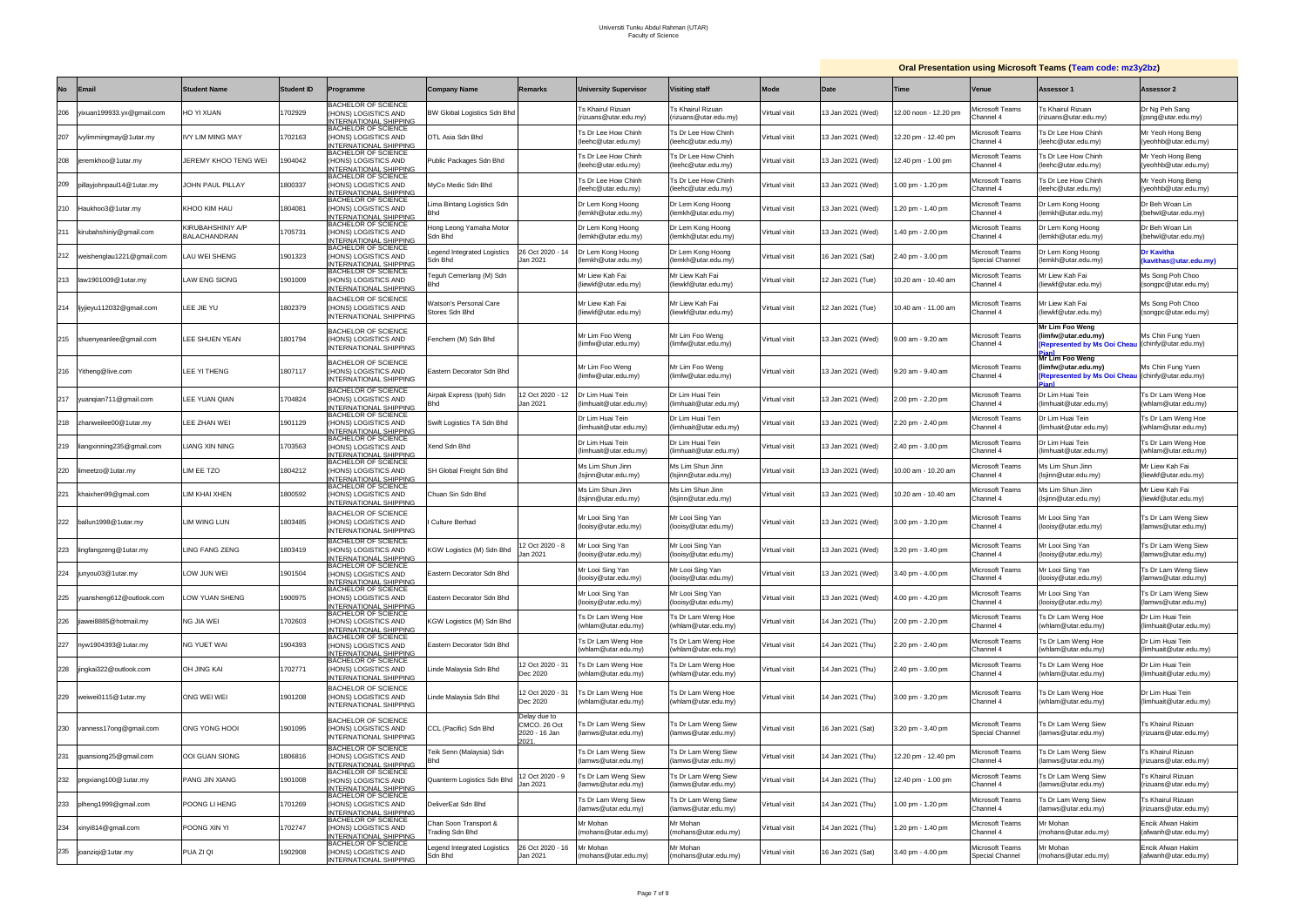|           |                               |                                   |                   |                                                                                     |                                                 |                                                       |                                                   |                                            |               | <b>Oral Presentation using Microsoft Teams (Team code: mz3y2bz)</b> |                      |                                            |                                                                                             |                                                   |
|-----------|-------------------------------|-----------------------------------|-------------------|-------------------------------------------------------------------------------------|-------------------------------------------------|-------------------------------------------------------|---------------------------------------------------|--------------------------------------------|---------------|---------------------------------------------------------------------|----------------------|--------------------------------------------|---------------------------------------------------------------------------------------------|---------------------------------------------------|
| <b>No</b> | <b>Email</b>                  | <b>Student Name</b>               | <b>Student ID</b> | Programme                                                                           | <b>Company Name</b>                             | <b>Remarks</b>                                        | <b>University Supervisor</b>                      | <b>Visiting staff</b>                      | Mode          | Date                                                                | Time                 | <b>Venue</b>                               | Assessor 1                                                                                  | <b>Assessor 2</b>                                 |
| 206       | yixuan199933.yx@gmail.com     | <b>NAUX IY OF</b>                 | 702929            | <b>BACHELOR OF SCIENCE</b><br>HONS) LOGISTICS AND<br><b>NTERNATIONAL SHIPPING</b>   | BW Global Logistics Sdn Bhd                     |                                                       | <b>Ts Khairul Rizuan</b><br>(rizuans@utar.edu.my) | Ts Khairul Rizuan<br>(rizuans@utar.edu.my) | Virtual visit | 13 Jan 2021 (Wed)                                                   | 2.00 noon - 12.20 pm | licrosoft Teams<br>Channel 4               | Ts Khairul Rizuan<br>(rizuans@utar.edu.my)                                                  | Dr Ng Peh Sang<br>(psng@utar.edu.my)              |
| 207       | ivylimmingmay@1utar.my        | <b>IVY LIM MING MAY</b>           | 1702163           | <b>BACHELOR OF SCIENCE</b><br>HONS) LOGISTICS AND<br><b>NTERNATIONAL SHIPPING</b>   | OTL Asia Sdn Bhd                                |                                                       | Ts Dr Lee How Chinh<br>leehc@utar.edu.my)         | Ts Dr Lee How Chinh<br>(leehc@utar.edu.mv) | Virtual visit | 13 Jan 2021 (Wed)                                                   | 2.20 pm - 12.40 pm   | <i>A</i> icrosoft Teams<br>Channel 4       | Ts Dr Lee How Chinh<br>(leehc@utar.edu.my)                                                  | Mr Yeoh Hong Beng<br>(yeohhb@utar.edu.my)         |
| 208       | jeremkhoo@1utar.my            | JEREMY KHOO TENG WEI              | 904042            | BACHELOR OF SCIENCE<br>HONS) LOGISTICS AND<br><b>NTERNATIONAL SHIPPING</b>          | Public Packages Sdn Bhd                         |                                                       | Ts Dr Lee How Chinh<br>(leehc@utar.edu.my)        | Ts Dr Lee How Chinh<br>(leehc@utar.edu.my) | Virtual visit | 13 Jan 2021 (Wed)                                                   | 2.40 pm - 1.00 pm    | <i>A</i> icrosoft Teams<br>Channel 4       | Ts Dr Lee How Chinh<br>(leehc@utar.edu.my)                                                  | Mr Yeoh Hong Beng<br>(yeohhb@utar.edu.my)         |
| 209       | pillayjohnpaul14@1utar.my     | JOHN PAUL PILLAY                  | 800337            | BACHELOR OF SCIENCE<br>HONS) LOGISTICS AND<br>NTERNATIONAL SHIPPING                 | MyCo Medic Sdn Bhd                              |                                                       | Ts Dr Lee How Chinh<br>(leehc@utar.edu.my)        | Ts Dr Lee How Chinh<br>(leehc@utar.edu.my) | Virtual visit | 13 Jan 2021 (Wed)                                                   | .00 pm - 1.20 pm     | Microsoft Teams<br>Channel 4               | Ts Dr Lee How Chinh<br>(leehc@utar.edu.my)                                                  | Mr Yeoh Hong Beng<br>(yeohhb@utar.edu.my)         |
| 210       | Haukhoo3@1utar.my             | KHOO KIM HAU                      | 1804081           | <b>BACHELOR OF SCIENCE</b><br>HONS) LOGISTICS AND<br>NTERNATIONAL SHIPPING          | ima Bintang Logistics Sdn                       |                                                       | Dr Lem Kong Hoong<br>(lemkh@utar.edu.my)          | Dr Lem Kong Hoong<br>(lemkh@utar.edu.my)   | Virtual visit | 13 Jan 2021 (Wed)                                                   | .20 pm - 1.40 pm     | <i>A</i> icrosoft Teams<br>Channel 4       | Dr Lem Kong Hoong<br>(lemkh@utar.edu.my)                                                    | Dr Beh Woan Lin<br>(behwl@utar.edu.my)            |
| 211       | kirubahshiniy@gmail.com       | (IRUBAHSHINIY A/P<br>BALACHANDRAN | 1705731           | BACHELOR OF SCIENCE<br>HONS) LOGISTICS AND<br><b>NTERNATIONAL SHIPPING</b>          | Hong Leong Yamaha Motor<br>Sdn Bhd              |                                                       | Dr Lem Kong Hoong<br>(lemkh@utar.edu.my)          | Dr Lem Kong Hoong<br>(lemkh@utar.edu.my)   | Virtual visit | 13 Jan 2021 (Wed)                                                   | .40 pm - 2.00 pm     | Aicrosoft Teams<br>Channel 4               | Dr Lem Kong Hoong<br>(lemkh@utar.edu.my)                                                    | Dr Beh Woan Lin<br>(behwl@utar.edu.my)            |
|           | 212 weishenglau1221@gmail.com | AU WEI SHENG                      | 1901323           | BACHELOR OF SCIENCE<br>HONS) LOGISTICS AND<br><b>NTERNATIONAL SHIPPING</b>          | egend Integrated Logistics<br>Sdn Bhd           | 26 Oct 2020 - 14<br>Jan 2021                          | Dr Lem Kong Hoong<br>lemkh@utar.edu.my)           | Dr Lem Kong Hoong<br>(lemkh@utar.edu.my)   | Virtual visit | 16 Jan 2021 (Sat)                                                   | .40 pm - 3.00 pm     | Microsoft Teams<br>Special Channel         | Dr Lem Kong Hoong<br>lemkh@utar.edu.my)                                                     | <b>Dr Kavitha</b><br>(kavithas@utar.edu.my)       |
|           | 213 law1901009@1utar.my       | LAW ENG SIONG                     | 1901009           | <b>BACHELOR OF SCIENCE</b><br>HONS) LOGISTICS AND<br>NTERNATIONAL SHIPPING          | Teguh Cemerlang (M) Sdn                         |                                                       | Mr Liew Kah Fai<br>(liewkf@utar.edu.mv)           | Mr Liew Kah Fai<br>(liewkf@utar.edu.my)    | Virtual visit | 12 Jan 2021 (Tue)                                                   | 0.20 am - 10.40 am   | licrosoft Teams<br>Channel 4               | Mr Liew Kah Fai<br>(liewkf@utar.edu.my)                                                     | Ms Song Poh Choo<br>(songpc@utar.edu.my)          |
|           | 214 liyjieyu112032@gmail.com  | LEE JIE YU                        | 802379            | <b>BACHELOR OF SCIENCE</b><br>HONS) LOGISTICS AND<br>NTERNATIONAL SHIPPING          | Natson's Personal Care<br>Stores Sdn Bhd        |                                                       | Mr Liew Kah Fai<br>(liewkf@utar.edu.my)           | Mr Liew Kah Fai<br>(liewkf@utar.edu.my)    | Virtual visit | 12 Jan 2021 (Tue)                                                   | 0.40 am - 11.00 am   | Aicrosoft Teams<br>Channel 4               | Mr Liew Kah Fai<br>(liewkf@utar.edu.my)                                                     | Ms Song Poh Choo<br>(songpc@utar.edu.my)          |
|           | 215 shuenyeanlee@gmail.com    | LEE SHUEN YEAN                    | 1801794           | BACHELOR OF SCIENCE<br>HONS) LOGISTICS AND<br><b>INTERNATIONAL SHIPPING</b>         | Fenchem (M) Sdn Bhd                             |                                                       | Mr Lim Foo Weng<br>(limfw@utar.edu.my)            | Mr Lim Foo Weng<br>(limfw@utar.edu.my)     | Virtual visit | 13 Jan 2021 (Wed)                                                   | 0.00 am - 9.20 am    | Microsoft Teams<br>Channel 4               | Mr Lim Foo Weng<br>(limfw@utar.edu.my)<br>[Represented by Ms Ooi Cheau (chinfy@utar.edu.my) | Ms Chin Fung Yuen                                 |
| 216       | Yitheng@live.com              | LEE YI THENG                      | 1807117           | <b>BACHELOR OF SCIENCE</b><br>HONS) LOGISTICS AND<br>NTERNATIONAL SHIPPING          | Eastern Decorator Sdn Bhd                       |                                                       | Mr Lim Foo Weng<br>(limfw@utar.edu.my)            | Mr Lim Foo Weng<br>(limfw@utar.edu.my)     | Virtual visit | 13 Jan 2021 (Wed)                                                   | 9.20 am - 9.40 am    | <i>l</i> licrosoft Teams<br>Channel 4      | Mr Lim Foo Weng<br>(limfw@utar.edu.my)<br>[Represented by Ms Ooi Cheau                      | Ms Chin Fung Yuen<br>(chinfy@utar.edu.my)         |
| 217       | yuangian711@gmail.com         | EE YUAN QIAN.                     | 704824            | <b>BACHELOR OF SCIENCE</b><br>HONS) LOGISTICS AND<br>NTERNATIONAL SHIPPING          | <b>lirpak Express (Ipoh) Sdn</b><br>Bhd         | 2 Oct 2020 - 12<br>Jan 2021                           | Dr Lim Huai Tein<br>(limhuait@utar.edu.my)        | Dr Lim Huai Tein<br>(limhuait@utar.edu.my) | Virtual visit | 13 Jan 2021 (Wed)                                                   | .00 pm - 2.20 pm     | <i>A</i> icrosoft Teams<br>Channel 4       | Dr Lim Huai Tein<br>(limhuait@utar.edu.my)                                                  | Ts Dr Lam Weng Hoe<br>(whlam@utar.edu.my)         |
|           | 218 zhanweilee00@1utar.my     | LEE ZHAN WEI                      | 1901129           | BACHELOR OF SCIENCE<br>HONS) LOGISTICS AND<br><b>NTERNATIONAL SHIPPING</b>          | Swift Logistics TA Sdn Bhd                      |                                                       | Dr Lim Huai Tein<br>(limhuait@utar.edu.my)        | Dr Lim Huai Tein<br>(limhuait@utar.edu.my) | Virtual visit | 13 Jan 2021 (Wed)                                                   | 2.20 pm - 2.40 pm    | Aicrosoft Teams<br>Channel 4               | Dr Lim Huai Tein<br>(limhuait@utar.edu.my)                                                  | Ts Dr Lam Weng Hoe<br>(whlam@utar.edu.my)         |
| 219       | liangxinning235@gmail.com     | LIANG XIN NING                    | 703563            | BACHELOR OF SCIENCE<br>HONS) LOGISTICS AND<br>NTERNATIONAL SHIPPING                 | Kend Sdn Bhd                                    |                                                       | Dr Lim Huai Tein<br>(limhuait@utar.edu.my)        | Dr Lim Huai Tein<br>(limhuait@utar.edu.my) | Virtual visit | 13 Jan 2021 (Wed)                                                   | .40 pm - 3.00 pm     | Microsoft Teams<br>Channel 4               | Dr Lim Huai Tein<br>limhuait@utar.edu.my)                                                   | Ts Dr Lam Weng Hoe<br>(whlam@utar.edu.my)         |
| 220       | limeetzo@1utar.my             | LIM EE TZO                        | 1804212           | BACHELOR OF SCIENCE<br>HONS) LOGISTICS AND<br>NTERNATIONAL SHIPPING                 | SH Global Freight Sdn Bhd                       |                                                       | Ms Lim Shun Jinn<br>(Isjinn@utar.edu.my)          | Ms Lim Shun Jinn<br>(Isjinn@utar.edu.my)   | Virtual visit | 13 Jan 2021 (Wed)                                                   | 0.00 am - 10.20 am   | licrosoft Teams<br>Channel 4               | Ms Lim Shun Jinn<br>(Isjinn@utar.edu.my)                                                    | Mr Liew Kah Fai<br>(liewkf@utar.edu.my)           |
| 221       | khaixhen99@gmail.com          | LIM KHAI XHEN                     | 800592            | BACHELOR OF SCIENCE<br>HONS) LOGISTICS AND<br>NTERNATIONAL SHIPPING                 | Chuan Sin Sdn Bhd                               |                                                       | Ms Lim Shun Jinn<br>(Isjinn@utar.edu.my)          | Ms Lim Shun Jinn<br>(Isjinn@utar.edu.my)   | Virtual visit | 13 Jan 2021 (Wed)                                                   | 0.20 am - 10.40 am   | <i>A</i> icrosoft Teams<br>Channel 4       | Ms Lim Shun Jinn<br>(Isjinn@utar.edu.my)                                                    | Mr Liew Kah Fai<br>(liewkf@utar.edu.my)           |
|           | 222 ballun1998@1utar.my       | <b>LIM WING LUN</b>               | 1803485           | BACHELOR OF SCIENCE<br>HONS) LOGISTICS AND<br>NTERNATIONAL SHIPPING                 | <b>Culture Berhad</b>                           |                                                       | Mr Looi Sing Yan<br>(looisy@utar.edu.my)          | Mr Looi Sing Yan<br>(looisy@utar.edu.my)   | Virtual visit | 13 Jan 2021 (Wed)                                                   | 3.00 pm - 3.20 pm    | <i>A</i> icrosoft Teams<br>Channel 4       | Mr Looi Sing Yan<br>(looisy@utar.edu.my)                                                    | Ts Dr Lam Weng Siew<br>(lamws@utar.edu.mv)        |
|           | 223 lingfangzeng@1utar.my     | LING FANG ZENG                    | 1803419           | <b>BACHELOR OF SCIENCE</b><br>(HONS) LOGISTICS AND<br><b>INTERNATIONAL SHIPPING</b> | KGW Logistics (M) Sdn Bhd                       | 12 Oct 2020 - 8<br>lan 2021                           | Mr Looi Sing Yan<br>looisy@utar.edu.my)           | Mr Looi Sing Yan<br>(looisy@utar.edu.my)   | Virtual visit | 13 Jan 2021 (Wed)                                                   | 3.20 pm - 3.40 pm    | Microsoft Teams<br>hannel 4                | Mr Looi Sing Yan<br>(looisy@utar.edu.my)                                                    | Ts Dr Lam Weng Siew<br>amws@utar.edu.my)          |
| 224       | junyou03@1utar.my             | LOW JUN WEI                       | 1901504           | <b>BACHELOR OF SCIENCE</b><br>HONS) LOGISTICS AND<br>NTERNATIONAL SHIPPING          | Eastern Decorator Sdn Bhd                       |                                                       | Mr Looi Sing Yan<br>(looisy@utar.edu.my)          | Mr Looi Sing Yan<br>(looisy@utar.edu.my)   | Virtual visit | 13 Jan 2021 (Wed)                                                   | 3.40 pm - 4.00 pm    | Microsoft Teams<br>Channel 4               | Mr Looi Sing Yan<br>(looisy@utar.edu.my)                                                    | Ts Dr Lam Weng Siew<br>(lamws@utar.edu.my)        |
| 225       | yuansheng612@outlook.com      | <b>LOW YUAN SHENG</b>             | 900975            | BACHELOR OF SCIENCE<br>HONS) LOGISTICS AND<br>NTERNATIONAL SHIPPING                 | Eastern Decorator Sdn Bhd                       |                                                       | Mr Looi Sing Yan<br>(looisy@utar.edu.my)          | Mr Looi Sing Yan<br>(looisy@utar.edu.my)   | Virtual visit | 13 Jan 2021 (Wed)                                                   | 00 pm - 4.20 pm      | Microsoft Teams<br>Channel 4               | Mr Looi Sing Yan<br>(looisy@utar.edu.my)                                                    | Ts Dr Lam Weng Siew<br>(lamws@utar.edu.my)        |
| 226       | jiawei8885@hotmail.my         | NG JIA WEI                        | 1702603           | <b>BACHELOR OF SCIENCE</b><br>HONS) LOGISTICS AND<br>NTERNATIONAL SHIPPING          | KGW Logistics (M) Sdn Bhd                       |                                                       | Ts Dr Lam Weng Hoe<br>(whlam@utar.edu.my)         | Ts Dr Lam Weng Hoe<br>(whlam@utar.edu.my)  | Virtual visit | 14 Jan 2021 (Thu)                                                   | 2.00 pm - 2.20 pm    | Microsoft Teams<br>Channel 4               | Ts Dr Lam Weng Hoe<br>(whlam@utar.edu.my)                                                   | Dr Lim Huai Tein<br>(limhuait@utar.edu.my)        |
| 227       | nyw1904393@1utar.my           | NG YUET WAI                       | 1904393           | <b>BACHELOR OF SCIENCE</b><br>HONS) LOGISTICS AND<br><b>NTERNATIONAL SHIPPING</b>   | Eastern Decorator Sdn Bhd                       |                                                       | Ts Dr Lam Weng Hoe<br>(whlam@utar.edu.my)         | Ts Dr Lam Weng Hoe<br>(whlam@utar.edu.my)  | Virtual visit | 14 Jan 2021 (Thu)                                                   | 2.20 pm - 2.40 pm    | Microsoft Teams<br>Channel 4               | Ts Dr Lam Weng Hoe<br>whlam@utar.edu.my)                                                    | Dr Lim Huai Tein<br>(limhuait@utar.edu.my)        |
| 228       | jingkai322@outlook.com        | <b>OH JING KAI</b>                | 702771            | BACHELOR OF SCIENCE<br>HONS) LOGISTICS AND<br>NTERNATIONAL SHIPPING                 | Linde Malaysia Sdn Bhd                          | 2 Oct 2020 - 3<br>Dec 2020                            | 's Dr Lam Weng Hoe<br>(whlam@utar.edu.my)         | Ts Dr Lam Weng Hoe<br>(whlam@utar.edu.my)  | Virtual visit | 14 Jan 2021 (Thu)                                                   | 2.40 pm - 3.00 pm    | Aicrosoft Teams<br>Channel 4               | Ts Dr Lam Weng Hoe<br>(whlam@utar.edu.my)                                                   | Dr Lim Huai Tein<br>(limhuait@utar.edu.my)        |
|           | 229 weiwei0115@1utar.my       | ONG WEI WEI                       | 1901208           | BACHELOR OF SCIENCE<br>HONS) LOGISTICS AND<br>NTERNATIONAL SHIPPING                 | inde Malaysia Sdn Bhd                           | 12 Oct 2020 - 31<br>Dec 2020                          | Ts Dr Lam Weng Hoe<br>(whlam@utar.edu.my)         | Ts Dr Lam Weng Hoe<br>(whlam@utar.edu.my)  | Virtual visit | 14 Jan 2021 (Thu)                                                   | 3.00 pm - 3.20 pm    | Microsoft Teams<br>Channel 4               | Ts Dr Lam Weng Hoe<br>(whlam@utar.edu.my)                                                   | Dr Lim Huai Tein<br>(limhuait@utar.edu.my)        |
| 230       | vanness17ong@gmail.com        | ONG YONG HOOI                     | 1901095           | BACHELOR OF SCIENCE<br>HONS) LOGISTICS AND<br>NTERNATIONAL SHIPPING                 | CCL (Pacific) Sdn Bhd                           | Delay due to<br>CMCO. 26 Oct<br>2020 - 16 Jan<br>2021 | Ts Dr Lam Weng Siew<br>(lamws@utar.edu.my)        | Ts Dr Lam Weng Siew<br>(lamws@utar.edu.my) | Virtual visit | 16 Jan 2021 (Sat)                                                   | 3.20 pm - 3.40 pm    | Microsoft Teams<br><b>Special Channel</b>  | Ts Dr Lam Weng Siew<br>(lamws@utar.edu.my)                                                  | <b>Ts Khairul Rizuan</b><br>(rizuans@utar.edu.my) |
| 231       | guansiong25@gmail.com         | OOI GUAN SIONG                    | 806816            | <b>BACHELOR OF SCIENCE</b><br>HONS) LOGISTICS AND<br>NTERNATIONAL SHIPPING          | Teik Senn (Malaysia) Sdn<br><b>Bhd</b>          |                                                       | Ts Dr Lam Weng Siew<br>(lamws@utar.edu.my)        | Ts Dr Lam Weng Siew<br>(lamws@utar.edu.my) | Virtual visit | 14 Jan 2021 (Thu)                                                   | 2.20 pm - 12.40 pm   | Microsoft Teams<br>Channel 4               | Ts Dr Lam Weng Siew<br>(lamws@utar.edu.my)                                                  | Ts Khairul Rizuan<br>rizuans@utar.edu.my)         |
| 232       | pngxiang100@1utar.my          | PANG JIN XIANG                    | 1901008           | <b>BACHELOR OF SCIENCE</b><br>HONS) LOGISTICS AND<br>NTERNATIONAL SHIPPING          | Quanterm Logistics Sdn Bho                      | 12 Oct 2020 - 9<br>Jan 2021                           | <b>Fs Dr Lam Weng Siew</b><br>(lamws@utar.edu.my) | Ts Dr Lam Weng Siew<br>(lamws@utar.edu.my) | Virtual visit | 14 Jan 2021 (Thu)                                                   | 2.40 pm - 1.00 pm    | Microsoft Teams<br>Channel 4               | Ts Dr Lam Weng Siew<br>(lamws@utar.edu.my)                                                  | Ts Khairul Rizuan<br>(rizuans@utar.edu.my)        |
|           | 233 plheng1999@gmail.com      | POONG LI HENG                     | 701269            | BACHELOR OF SCIENCE<br>HONS) LOGISTICS AND<br>NTERNATIONAL SHIPPING                 | DeliverEat Sdn Bhd                              |                                                       | Ts Dr Lam Weng Siew<br>(lamws@utar.edu.my)        | Ts Dr Lam Weng Siew<br>(lamws@utar.edu.my) | Virtual visit | 14 Jan 2021 (Thu)                                                   | .00 pm - 1.20 pm     | Microsoft Teams<br>Channel 4               | Ts Dr Lam Weng Siew<br>(lamws@utar.edu.my)                                                  | Ts Khairul Rizuan<br>(rizuans@utar.edu.my)        |
| 234       | xinyi814@gmail.com            | POONG XIN YI                      | 1702747           | BACHELOR OF SCIENCE<br>HONS) LOGISTICS AND<br><b>NTERNATIONAL SHIPPING</b>          | Chan Soon Transport &<br><b>Trading Sdn Bhd</b> |                                                       | Mr Mohan<br>mohans@utar.edu.my)                   | Mr Mohan<br>(mohans@utar.edu.my)           | Virtual visit | 14 Jan 2021 (Thu)                                                   | .20 pm - 1.40 pm     | Microsoft Teams<br>Channel 4               | Mr Mohan<br>mohans@utar.edu.my)                                                             | Encik Afwan Hakim<br>(afwanh@utar.edu.my)         |
| 235       | joanziqi@1utar.my             | PUA ZI QI                         | 1902908           | <b>BACHELOR OF SCIENCE</b><br>HONS) LOGISTICS AND<br><b>NTERNATIONAL SHIPPING</b>   | egend Integrated Logistics<br>Sdn Bhd           | 26 Oct 2020 - 16<br>Jan 2021                          | Mr Mohan<br>mohans@utar.edu.my)                   | Mr Mohan<br>(mohans@utar.edu.my)           | Virtual visit | 16 Jan 2021 (Sat)                                                   | 3.40 pm - 4.00 pm    | <i>A</i> icrosoft Teams<br>Special Channel | Mr Mohan<br>(mohans@utar.edu.my)                                                            | Encik Afwan Hakim<br>(afwanh@utar.edu.my)         |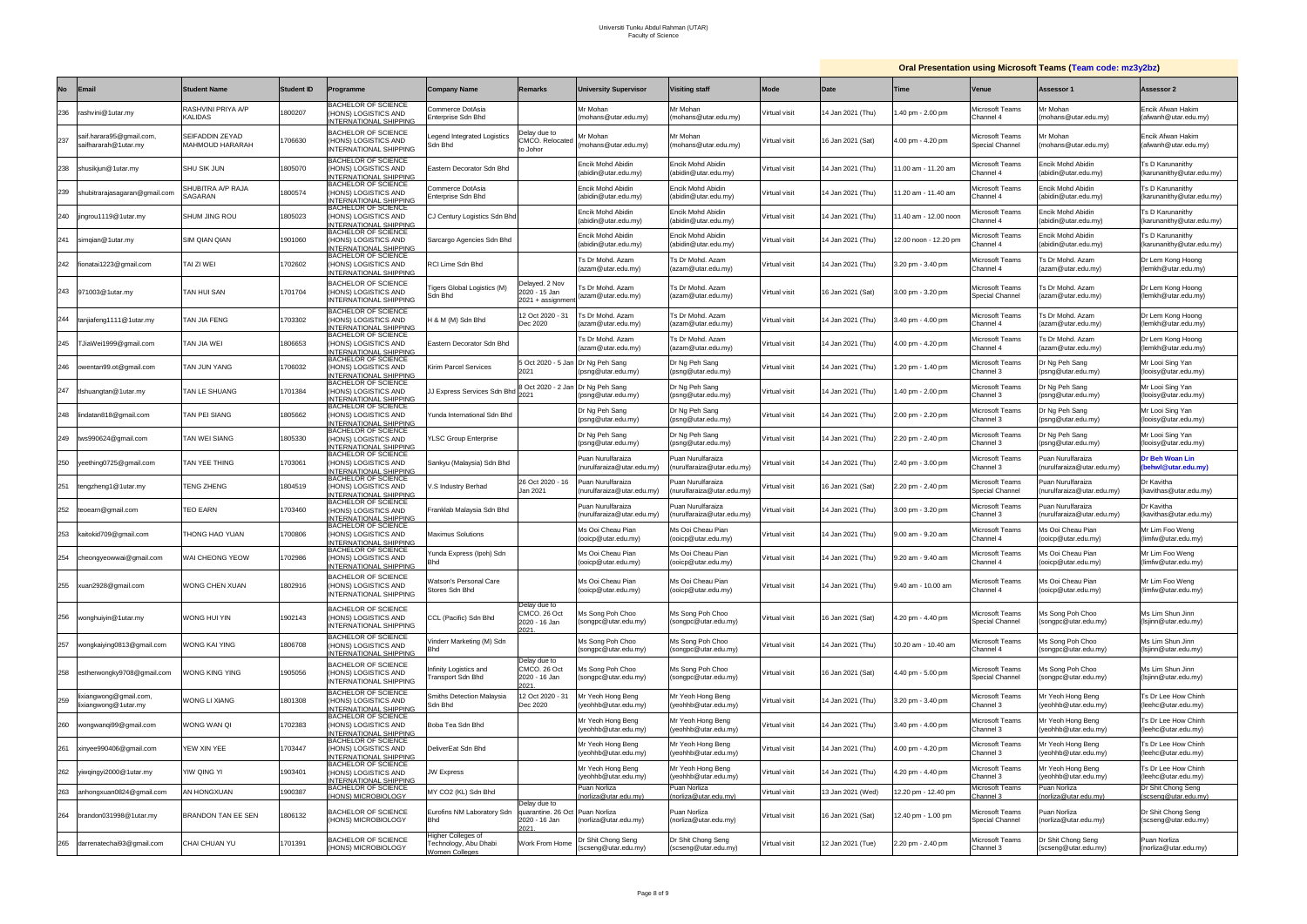|           |                                                  |                                      |                   |                                                                                    |                                                                      |                                                                          |                                                  |                                                  |               |                   |                                    |                                             | <b>Oral Presentation using Microsoft Teams (Team code: mz3y2bz)</b> |                                               |
|-----------|--------------------------------------------------|--------------------------------------|-------------------|------------------------------------------------------------------------------------|----------------------------------------------------------------------|--------------------------------------------------------------------------|--------------------------------------------------|--------------------------------------------------|---------------|-------------------|------------------------------------|---------------------------------------------|---------------------------------------------------------------------|-----------------------------------------------|
| <b>No</b> | Email                                            | <b>Student Name</b>                  | <b>Student ID</b> | rogramme                                                                           | <b>Company Name</b>                                                  | <b>Remarks</b>                                                           | <b>University Supervisor</b>                     | <b>Visiting staff</b>                            | <b>Mode</b>   | Date              | Time                               | <b>Venue</b>                                | <b>Assessor 1</b>                                                   | <b>Assessor 2</b>                             |
| 236       | rashvini@1utar.my                                | RASHVINI PRIYA A/P<br><b>KALIDAS</b> | 800207            | <b>BACHELOR OF SCIENCE</b><br>HONS) LOGISTICS AND<br>NTERNATIONAL SHIPPING         | Commerce DotAsia<br>Interprise Sdn Bhd                               |                                                                          | Mr Mohan<br>(mohans@utar.edu.my)                 | Mr Mohan<br>(mohans@utar.edu.mv)                 | Virtual visit | 14 Jan 2021 (Thu) | .40 pm - 2.00 pm                   | Microsoft Teams<br>Channel 4                | Mr Mohan<br>mohans@utar.edu.my)                                     | Encik Afwan Hakim<br>(afwanh@utar.edu.my)     |
| 237       | saif.harara95@gmail.com,<br>saifhararah@1utar.my | SEIFADDIN ZEYAD<br>MAHMOUD HARARAH   | 706630            | <b>BACHELOR OF SCIENCE</b><br>HONS) LOGISTICS AND<br>NTERNATIONAL SHIPPING         | egend Integrated Logistics<br>Sdn Bhd                                | Delay due to<br><b>CMCO. Relocated</b><br>to Johor                       | Ir Mohan<br>mohans@utar.edu.my)                  | Mr Mohan<br>(mohans@utar.edu.my)                 | Virtual visit | 16 Jan 2021 (Sat) | 4.00 pm - 4.20 pm                  | <i>l</i> licrosoft Teams<br>Special Channel | <i>I</i> r Mohan<br>mohans@utar.edu.my)                             | Encik Afwan Hakim<br>(afwanh@utar.edu.my)     |
| 238       | shusikjun@1utar.my                               | SHU SIK JUN                          | 1805070           | <b>BACHELOR OF SCIENCE</b><br>HONS) LOGISTICS AND<br>NTERNATIONAL SHIPPING         | Eastern Decorator Sdn Bhd                                            |                                                                          | Encik Mohd Abidin<br>(abidin@utar.edu.my)        | Encik Mohd Abidin<br>(abidin@utar.edu.my)        | Virtual visit | 14 Jan 2021 (Thu) | 1.00 am - 11.20 am                 | licrosoft Teams<br>hannel 4                 | Encik Mohd Abidin<br>abidin@utar.edu.my)                            | Ts D Karunanithy<br>(karunanithy@utar.edu.my) |
| 239       | shubitrarajasagaran@gmail.con                    | SHUBITRA A/P RAJA<br>SAGARAN         | 800574            | <b>BACHELOR OF SCIENCE</b><br>(HONS) LOGISTICS AND<br>NTERNATIONAL SHIPPING        | Commerce DotAsia<br>Interprise Sdn Bhd                               |                                                                          | <b>Encik Mohd Abidin</b><br>(abidin@utar.edu.my) | <b>Encik Mohd Abidin</b><br>(abidin@utar.edu.my) | Virtual visit | 4 Jan 2021 (Thu)  | 1.20 am - 11.40 am                 | <i>l</i> licrosoft Teams<br>hannel 4        | Encik Mohd Abidin<br>abidin@utar.edu.my)                            | Ts D Karunanithy<br>(karunanithy@utar.edu.my) |
| 240       | jingrou1119@1utar.my                             | SHUM JING ROU                        | 805023            | <b>BACHELOR OF SCIENCE</b><br>HONS) LOGISTICS AND<br>NTERNATIONAL SHIPPING         | CJ Century Logistics Sdn Bhd                                         |                                                                          | Encik Mohd Abidin<br>(abidin@utar.edu.my)        | <b>Encik Mohd Abidin</b><br>(abidin@utar.edu.my) | Virtual visit | 4 Jan 2021 (Thu)  | 1.40 am - 12.00 noon               | licrosoft Teams<br>`hannel 4                | Encik Mohd Abidin<br>abidin@utar.edu.my)                            | Ts D Karunanithy<br>(karunanithy@utar.edu.my) |
| 241       | simqian@1utar.my                                 | <b>SIM QIAN QIAN</b>                 | 1901060           | <b>BACHELOR OF SCIENCE</b><br>HONS) LOGISTICS AND<br><b>NTERNATIONAL SHIPPING</b>  | Sarcargo Agencies Sdn Bhd                                            |                                                                          | Encik Mohd Abidin<br>(abidin@utar.edu.my)        | <b>Encik Mohd Abidin</b><br>(abidin@utar.edu.my  | Virtual visit | 14 Jan 2021 (Thu) | 2.00 noon - 12.20 pm               | licrosoft Teams<br>hannel 4:                | Encik Mohd Abidin<br>(abidin@utar.edu.my)                           | Ts D Karunanithy<br>(karunanithy@utar.edu.my) |
| 242       | fionatai1223@gmail.com                           | TAI ZI WEI                           | 702602            | <b>BACHELOR OF SCIENCE</b><br>HONS) LOGISTICS AND<br>NTERNATIONAL SHIPPING         | RCI Lime Sdn Bhd                                                     |                                                                          | Ts Dr Mohd. Azam<br>(azam@utar.edu.my)           | Ts Dr Mohd. Azam<br>(azam@utar.edu.my)           | Virtual visit | 14 Jan 2021 (Thu) | 3.20 pm - 3.40 pm                  | <i>l</i> licrosoft Teams<br>Channel 4       | Ts Dr Mohd. Azam<br>azam@utar.edu.my)                               | Dr Lem Kong Hoong<br>(lemkh@utar.edu.my)      |
|           | 243 971003@1utar.my                              | TAN HUI SAN                          | 1701704           | <b>BACHELOR OF SCIENCE</b><br>HONS) LOGISTICS AND<br>NTERNATIONAL SHIPPING         | <b>Tigers Global Logistics (M)</b><br>Sdn Bhd                        | Delayed. 2 Nov<br>2020 - 15 Jan<br>2021 + assignmen                      | 's Dr Mohd. Azam<br>(azam@utar.edu.my)           | Ts Dr Mohd. Azam<br>(azam@utar.edu.my)           | Virtual visit | 16 Jan 2021 (Sat) | 3.00 pm - 3.20 pm                  | <i>l</i> licrosoft Teams<br>Special Channel | <b>Ts Dr Mohd. Azam</b><br>azam@utar.edu.my)                        | Dr Lem Kong Hoong<br>(lemkh@utar.edu.my)      |
| 244       | tanjiafeng1111@1utar.my                          | TAN JIA FENG                         | 1703302           | <b>BACHELOR OF SCIENCE</b><br>HONS) LOGISTICS AND<br>NTERNATIONAL SHIPPING         | H & M (M) Sdn Bhd                                                    | 12 Oct 2020 - 31<br>Dec 2020                                             | 's Dr Mohd. Azam<br>(azam@utar.edu.my)           | Ts Dr Mohd. Azam<br>(azam@utar.edu.mv)           | Virtual visit | 14 Jan 2021 (Thu) | 3.40 pm - 4.00 pm                  | licrosoft Teams<br>Channel 4                | 's Dr Mohd. Azam<br>azam@utar.edu.my)                               | Dr Lem Kong Hoong<br>(lemkh@utar.edu.my)      |
| 245       | TJiaWei1999@gmail.com                            | TAN JIA WEI                          | 806653            | <b>BACHELOR OF SCIENCE</b><br>HONS) LOGISTICS AND<br>NTERNATIONAL SHIPPING         | Eastern Decorator Sdn Bhd                                            |                                                                          | Ts Dr Mohd. Azam<br>(azam@utar.edu.my)           | Ts Dr Mohd. Azam<br>(azam@utar.edu.my)           | Virtual visit | 14 Jan 2021 (Thu) | 1.00 pm - 4.20 pm                  | <i>l</i> licrosoft Teams<br>Channel 4       | <b>Ts Dr Mohd. Azam</b><br>azam@utar.edu.my)                        | Dr Lem Kong Hoong<br>(lemkh@utar.edu.my)      |
| 246       | owentan99.ot@gmail.com                           | TAN JUN YANG                         | 706032            | <b>BACHELOR OF SCIENCE</b><br>HONS) LOGISTICS AND<br><b>INTERNATIONAL SHIPPING</b> | Kirim Parcel Services                                                | 5 Oct 2020 - 5 Jan<br>2021                                               | Dr Ng Peh Sang<br>(psng@utar.edu.my)             | Dr Ng Peh Sang<br>(psng@utar.edu.my)             | Virtual visit | 4 Jan 2021 (Thu)  | $.20 \text{ pm} - 1.40 \text{ pm}$ | <i>l</i> licrosoft Teams<br>Channel 3       | Dr Ng Peh Sang<br>psng@utar.edu.my)                                 | Mr Looi Sing Yan<br>(looisy@utar.edu.my)      |
| 247       | tishuangtan@1utar.my                             | TAN LE SHUANG                        | 1701384           | <b>BACHELOR OF SCIENCE</b><br>HONS) LOGISTICS AND<br>NTERNATIONAL SHIPPING         | JJ Express Services Sdn Bho                                          | 8 Oct 2020 - 2 Jan                                                       | Dr Ng Peh Sang<br>(psng@utar.edu.my)             | Dr Ng Peh Sang<br>(psng@utar.edu.my)             | Virtual visit | 14 Jan 2021 (Thu) | .40 pm - 2.00 pm                   | <i>l</i> licrosoft Teams<br>Channel 3       | Dr Ng Peh Sang<br>(psng@utar.edu.my)                                | Mr Looi Sing Yan<br>(looisy@utar.edu.my)      |
| 248       | lindatan818@gmail.com                            | TAN PEI SIANG                        | 805662            | <b>BACHELOR OF SCIENCE</b><br>HONS) LOGISTICS AND<br>NTERNATIONAL SHIPPING         | 'unda International Sdn Bho                                          |                                                                          | Dr Ng Peh Sang<br>(psng@utar.edu.my)             | Dr Ng Peh Sang<br>(psng@utar.edu.my)             | Virtual visit | 4 Jan 2021 (Thu)  | .00 pm - 2.20 pm                   | <i>l</i> licrosoft Teams<br>Channel 3       | Dr Ng Peh Sang<br>psng@utar.edu.my)                                 | Mr Looi Sing Yan<br>(looisy@utar.edu.my)      |
| 249       | tws990624@gmail.com                              | TAN WEI SIANG                        | 805330            | <b>BACHELOR OF SCIENCE</b><br>HONS) LOGISTICS AND<br>NTERNATIONAL SHIPPING         | <b>/LSC Group Enterprise</b>                                         |                                                                          | Dr Ng Peh Sang<br>$(psnq@$ utar.edu.my           | Dr Ng Peh Sang<br>(psng@utar.edu.my)             | Virtual visit | 14 Jan 2021 (Thu) | 2.20 pm - 2.40 pm                  | licrosoft Teams<br>Channel 3                | Dr Ng Peh Sang<br>(psng@utar.edu.my)                                | Mr Looi Sing Yan<br>(looisy@utar.edu.my)      |
| 250       | yeething0725@gmail.com                           | TAN YEE THING                        | 703061            | <b>BACHELOR OF SCIENCE</b><br>(HONS) LOGISTICS AND<br>NTERNATIONAL SHIPPING        | Sankyu (Malaysia) Sdn Bhd                                            |                                                                          | Puan Nurulfaraiza<br>(nurulfaraiza@utar.edu.my)  | Puan Nurulfaraiza<br>(nurulfaraiza@utar.edu.mv)  | Virtual visit | 14 Jan 2021 (Thu) | 2.40 pm - 3.00 pm                  | <i>l</i> licrosoft Teams<br>Channel 3       | Puan Nurulfaraiza<br>nurulfaraiza@utar.edu.my)                      | Dr Beh Woan Lin<br>(behwl@utar.edu.my)        |
| 251       | tengzheng1@1utar.my                              | TENG ZHENG                           | 804519            | BACHELOR OF SCIENCE<br>HONS) LOGISTICS AND<br>NTERNATIONAL SHIPPING                | .S Industry Berhad                                                   | 26 Oct 2020 - 16<br>Jan 2021                                             | Puan Nurulfaraiza<br>nurulfaraiza@utar.edu.mv    | Puan Nurulfaraiza<br>(nurulfaraiza@utar.edu.my)  | Virtual visit | 16 Jan 2021 (Sat) | 2.20 pm - 2.40 pm                  | Aicrosoft Teams<br>Special Channel          | Puan Nurulfaraiza<br>nurulfaraiza@utar.edu.my                       | Dr Kavitha<br>(kavithas@utar.edu.my)          |
| 252       | teoearn@gmail.com                                | TEO EARN                             | 1703460           | <b>BACHELOR OF SCIENCE</b><br>HONS) LOGISTICS AND<br>NTERNATIONAL SHIPPING         | Franklab Malaysia Sdn Bhd                                            |                                                                          | Puan Nurulfaraiza<br>(nurulfaraiza@utar.edu.my)  | Puan Nurulfaraiza<br>(nurulfaraiza@utar.edu.my)  | Virtual visit | 14 Jan 2021 (Thu) | 3.00 pm - 3.20 pm                  | <i>l</i> licrosoft Teams<br>Channel 3       | Puan Nurulfaraiza<br>nurulfaraiza@utar.edu.my)                      | Dr Kavitha<br>(kavithas@utar.edu.my)          |
| 253       | kaitokid709@gmail.com                            | THONG HAO YUAN                       | 700806            | <b>BACHELOR OF SCIENCE</b><br>HONS) LOGISTICS AND<br>NTERNATIONAL SHIPPING         | <b>Maximus Solutions</b>                                             |                                                                          | Ms Ooi Cheau Pian<br>(ooicp@utar.edu.mv)         | Ms Ooi Cheau Pian<br>(ooicp@utar.edu.my)         | Virtual visit | 14 Jan 2021 (Thu) | 3.00 am - 9.20 am                  | <i>l</i> licrosoft Teams<br>Channel 4       | <i>l</i> ls Ooi Cheau Pian<br>ooicp@utar.edu.mv)                    | Mr Lim Foo Weng<br>(limfw@utar.edu.my)        |
| 254       | cheongyeowwai@gmail.com                          | WAI CHEONG YEOW                      | 1702986           | AUNELUR UF SUIENUE<br>(HONS) LOGISTICS AND<br><b>INTERNATIONAL SHIPPING</b>        | Yunda Express (Ipoh) Sdn<br>Bhd                                      |                                                                          | Ms Ooi Cheau Pian<br>(ooicp@utar.edu.my)         | Ms Ooi Cheau Pian<br>(ooicp@utar.edu.my)         | Virtual visit | 4 Jan 2021 (Thu)  | 9.20 am - 9.40 am                  | Microsoft Teams<br>Channel 4                | Ms Ooi Cheau Pian<br>(ooicp@utar.edu.my)                            | Mr Lim Foo Weng<br>(limfw@utar.edu.my)        |
| 255       | xuan2928@gmail.com                               | <b>WONG CHEN XUAN</b>                | 802916            | <b>BACHELOR OF SCIENCE</b><br>HONS) LOGISTICS AND<br><b>INTERNATIONAL SHIPPING</b> | <b>Natson's Personal Care</b><br>Stores Sdn Bhd                      |                                                                          | Ms Ooi Cheau Pian<br>(ooicp@utar.edu.my)         | Ms Ooi Cheau Pian<br>(ooicp@utar.edu.my)         | Virtual visit | 14 Jan 2021 (Thu) | 9.40 am - 10.00 am                 | Microsoft Teams<br>Channel 4                | Ms Ooi Cheau Pian<br>ooicp@utar.edu.my)                             | Mr Lim Foo Weng<br>(limfw@utar.edu.my)        |
| 256       | wonghuiyin@1utar.my                              | WONG HUI YIN                         | 902143            | <b>BACHELOR OF SCIENCE</b><br>HONS) LOGISTICS AND<br><b>INTERNATIONAL SHIPPING</b> | CCL (Pacific) Sdn Bhd                                                | Delay due to<br>CMCO. 26 Oct<br>2020 - 16 Jan<br>021                     | Ms Song Poh Choo<br>(songpc@utar.edu.my)         | Ms Song Poh Choo<br>(songpc@utar.edu.my)         | Virtual visit | 16 Jan 2021 (Sat) | 4.20 pm - 4.40 pm                  | Microsoft Teams<br>Special Channel          | Ms Song Poh Choo<br>songpc@utar.edu.my)                             | Ms Lim Shun Jinn<br>(Isjinn@utar.edu.my)      |
| 257       | wongkaiying0813@gmail.com                        | <b>NONG KAI YING</b>                 | 806708            | <b>BACHELOR OF SCIENCE</b><br>HONS) LOGISTICS AND<br>NTERNATIONAL SHIPPING         | /inderr Marketing (M) Sdn<br>Bhd                                     |                                                                          | Ms Song Poh Choo<br>(songpc@utar.edu.my)         | Ms Song Poh Choo<br>(songpc@utar.edu.my)         | Virtual visit | 4 Jan 2021 (Thu)  | 0.20 am - 10.40 am                 | Aicrosoft Teams<br>Channel 4                | Ms Song Poh Choo<br>songpc@utar.edu.my)                             | Ms Lim Shun Jinn<br>(Isjinn@utar.edu.my)      |
| 258       | estherwongky9708@gmail.com                       | NONG KING YING                       | 905056            | <b>BACHELOR OF SCIENCE</b><br>HONS) LOGISTICS AND<br>INTERNATIONAL SHIPPING        | Infinity Logistics and<br>Fransport Sdn Bhd                          | Delay due to<br>CMCO. 26 Oct<br>2020 - 16 Jan<br>2021                    | Ms Song Poh Choo<br>(songpc@utar.edu.my)         | Ms Song Poh Choo<br>(songpc@utar.edu.my)         | Virtual visit | 16 Jan 2021 (Sat) | 4.40 pm - 5.00 pm                  | <b>Microsoft Teams</b><br>Special Channel   | Ms Song Poh Choo<br>(songpc@utar.edu.my)                            | Ms Lim Shun Jinn<br>(Isjinn@utar.edu.my)      |
| 259       | ixiangwong@gmail.com,<br>lixiangwong@1utar.my    | WONG LI XIANG                        | 1801308           | <b>BACHELOR OF SCIENCE</b><br>(HONS) LOGISTICS AND<br>NTERNATIONAL SHIPPING        | <b>Smiths Detection Malaysia</b><br>Sdn Bhd                          | 2 Oct 2020 - 31<br>Dec 2020                                              | Mr Yeoh Hong Beng<br>yeohhb@utar.edu.my)         | Mr Yeoh Hong Beng<br>(yeohhb@utar.edu.my)        | Virtual visit | 14 Jan 2021 (Thu) | 3.20 pm - 3.40 pm                  | Aicrosoft Teams<br>Channel 3                | Mr Yeoh Hong Beng<br>yeohhb@utar.edu.my)                            | Ts Dr Lee How Chinh<br>(leehc@utar.edu.my)    |
| 260       | wongwanqi99@gmail.com                            | WONG WAN QI                          | 702383            | <b>BACHELOR OF SCIENCE</b><br>HONS) LOGISTICS AND<br><b>INTERNATIONAL SHIPPING</b> | Boba Tea Sdn Bhd                                                     |                                                                          | Mr Yeoh Hong Beng<br>yeohhb@utar.edu.my)         | Mr Yeoh Hong Beng<br>(yeohhb@utar.edu.my)        | Virtual visit | 4 Jan 2021 (Thu)  | 3.40 pm - 4.00 pm                  | Microsoft Teams<br>Channel 3                | Mr Yeoh Hong Beng<br>yeohhb@utar.edu.my)                            | Ts Dr Lee How Chinh<br>(leehc@utar.edu.my)    |
| 261       | xinyee990406@gmail.com                           | YEW XIN YEE                          | 1703447           | <b>BACHELOR OF SCIENCE</b><br>(HONS) LOGISTICS AND<br>NTERNATIONAL SHIPPING        | DeliverEat Sdn Bhd                                                   |                                                                          | Mr Yeoh Hong Beng<br>(yeohhb@utar.edu.my)        | Mr Yeoh Hong Beng<br>(yeohhb@utar.edu.my)        | Virtual visit | 14 Jan 2021 (Thu) | 4.00 pm - 4.20 pm                  | Microsoft Teams<br>Channel 3                | Mr Yeoh Hong Beng<br>yeohhb@utar.edu.my)                            | Ts Dr Lee How Chinh<br>(leehc@utar.edu.my)    |
| 262       | yiwqingyi2000@1utar.my                           | YIW QING YI                          | 1903401           | <b>BACHELOR OF SCIENCE</b><br>(HONS) LOGISTICS AND<br>NTERNATIONAL SHIPPING        | <b>JW Express</b>                                                    |                                                                          | Mr Yeoh Hong Beng<br>yeohhb@utar.edu.my)         | Mr Yeoh Hong Beng<br>(yeohhb@utar.edu.my)        | Virtual visit | 14 Jan 2021 (Thu) | 4.20 pm - 4.40 pm                  | Microsoft Teams<br>Channel 3                | Mr Yeoh Hong Beng<br>yeohhb@utar.edu.my)                            | Ts Dr Lee How Chinh<br>(leehc@utar.edu.my)    |
| 263       | anhongxuan0824@gmail.com                         | AN HONGXUAN                          | 900387            | <b>BACHELOR OF SCIENCE</b><br><b>HONS) MICROBIOLOGY</b>                            | MY CO2 (KL) Sdn Bhd                                                  |                                                                          | Puan Norliza<br>norliza@utar.edu.my)             | Puan Norliza<br>(norliza@utar.edu.my)            | Virtual visit | 3 Jan 2021 (Wed)  | 12.20 pm - 12.40 pm                | Microsoft Teams<br>hannel 3                 | Puan Norliza<br>norliza@utar.edu.my)                                | Dr Shit Chong Seng<br>(scseng@utar.edu.my)    |
| 264       | brandon031998@1utar.my                           | BRANDON TAN EE SEN                   | 806132            | <b>BACHELOR OF SCIENCE</b><br>HONS) MICROBIOLOGY                                   | Eurofins NM Laboratory Sdn<br><b>Bhd</b>                             | Delay due to<br>quarantine. 26 Oct Puan Norliza<br>2020 - 16 Jan<br>2021 | (norliza@utar.edu.my)                            | Puan Norliza<br>(norliza@utar.edu.my)            | Virtual visit | 16 Jan 2021 (Sat) | 12.40 pm - 1.00 pm                 | <b>Microsoft Teams</b><br>Special Channel   | Puan Norliza<br>norliza@utar.edu.my)                                | Dr Shit Chong Seng<br>(scseng@utar.edu.my)    |
| 265       | darrenatechai93@gmail.com                        | CHAI CHUAN YU                        | 1701391           | <b>BACHELOR OF SCIENCE</b><br>HONS) MICROBIOLOGY                                   | Higher Colleges of<br>Technology, Abu Dhabi<br><b>Nomen Colleges</b> | Work From Home                                                           | Dr Shit Chong Seng<br>(scseng@utar.edu.my)       | Dr Shit Chong Seng<br>(scseng@utar.edu.my)       | Virtual visit | 12 Jan 2021 (Tue) | 2.20 pm - 2.40 pm                  | Microsoft Teams<br>Channel 3                | Dr Shit Chong Seng<br>(scseng@utar.edu.my)                          | Puan Norliza<br>(norliza@utar.edu.my)         |